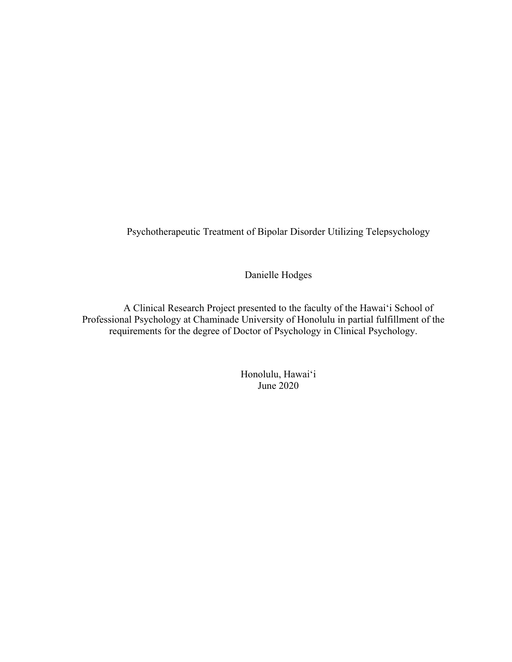Psychotherapeutic Treatment of Bipolar Disorder Utilizing Telepsychology

Danielle Hodges

A Clinical Research Project presented to the faculty of the Hawai'i School of Professional Psychology at Chaminade University of Honolulu in partial fulfillment of the requirements for the degree of Doctor of Psychology in Clinical Psychology.

> Honolulu, Hawai'i June 2020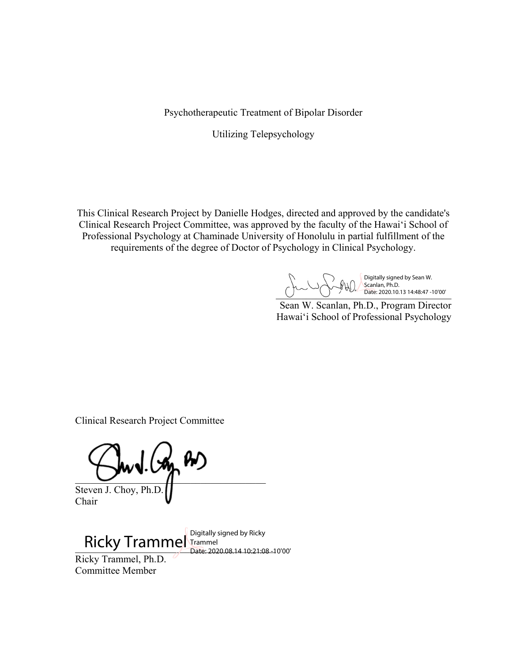Psychotherapeutic Treatment of Bipolar Disorder

Utilizing Telepsychology

This Clinical Research Project by Danielle Hodges, directed and approved by the candidate's Clinical Research Project Committee, was approved by the faculty of the Hawai'i School of Professional Psychology at Chaminade University of Honolulu in partial fulfillment of the requirements of the degree of Doctor of Psychology in Clinical Psychology.

 $\bigcup$  Date: 2020.10.13 14:48:47 -10'00' Digitally signed by Sean W. Scanlan, Ph.D. Date: 2020.10.13 14:48:47 -10'00'

Sean W. Scanlan, Ph.D., Program Director Hawai'i School of Professional Psychology

Clinical Research Project Committee

 $\frac{1}{2}$  (so as

Steven J. Choy, Ph.D. Chair

 $\overline{\text{Ricky Trammel}}$  Digitally signed by Ricky  $\overline{\text{Ricky}}$ Ricky Trammel, Ph.D. Committee Member Date: 2020.08.14 10:21:08 -10'00'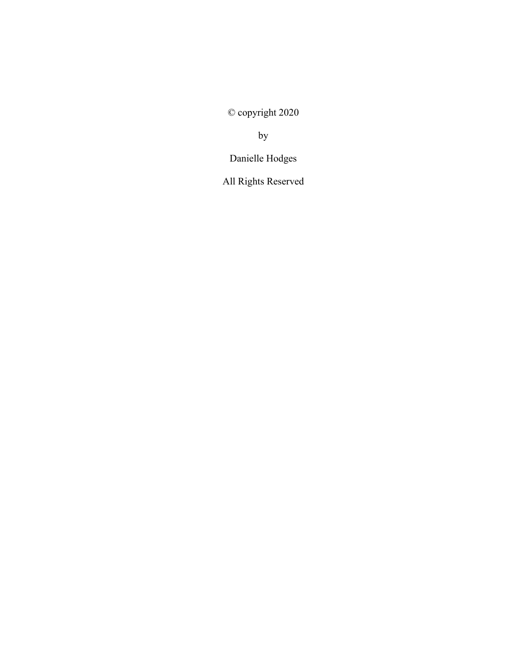© copyright 2020

by

Danielle Hodges

All Rights Reserved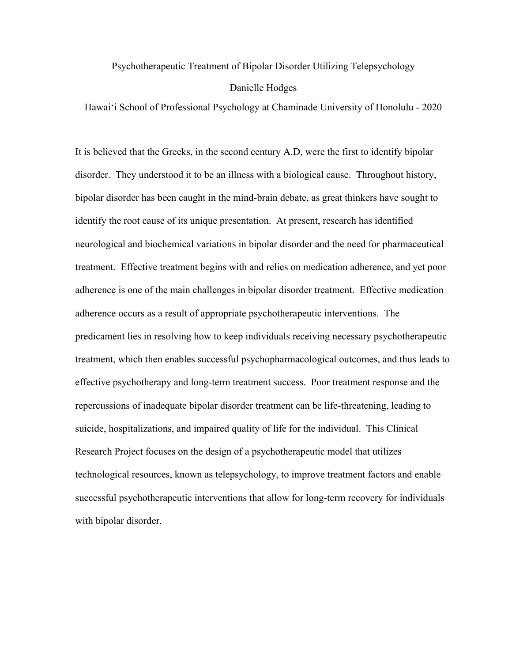# Psychotherapeutic Treatment of Bipolar Disorder Utilizing Telepsychology Danielle Hodges

Hawai'i School of Professional Psychology at Chaminade University of Honolulu - 2020

It is believed that the Greeks, in the second century A.D, were the first to identify bipolar disorder. They understood it to be an illness with a biological cause. Throughout history, bipolar disorder has been caught in the mind-brain debate, as great thinkers have sought to identify the root cause of its unique presentation. At present, research has identified neurological and biochemical variations in bipolar disorder and the need for pharmaceutical treatment. Effective treatment begins with and relies on medication adherence, and yet poor adherence is one of the main challenges in bipolar disorder treatment. Effective medication adherence occurs as a result of appropriate psychotherapeutic interventions. The predicament lies in resolving how to keep individuals receiving necessary psychotherapeutic treatment, which then enables successful psychopharmacological outcomes, and thus leads to effective psychotherapy and long-term treatment success. Poor treatment response and the repercussions of inadequate bipolar disorder treatment can be life-threatening, leading to suicide, hospitalizations, and impaired quality of life for the individual. This Clinical Research Project focuses on the design of a psychotherapeutic model that utilizes technological resources, known as telepsychology, to improve treatment factors and enable successful psychotherapeutic interventions that allow for long-term recovery for individuals with bipolar disorder.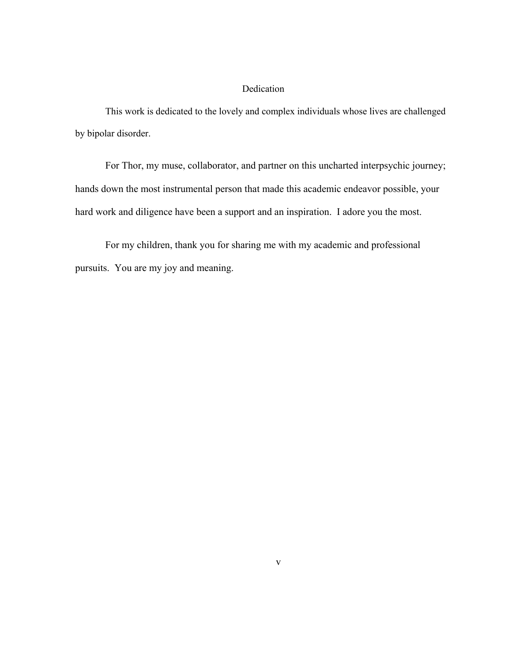## Dedication

This work is dedicated to the lovely and complex individuals whose lives are challenged by bipolar disorder.

For Thor, my muse, collaborator, and partner on this uncharted interpsychic journey; hands down the most instrumental person that made this academic endeavor possible, your hard work and diligence have been a support and an inspiration. I adore you the most.

For my children, thank you for sharing me with my academic and professional pursuits. You are my joy and meaning.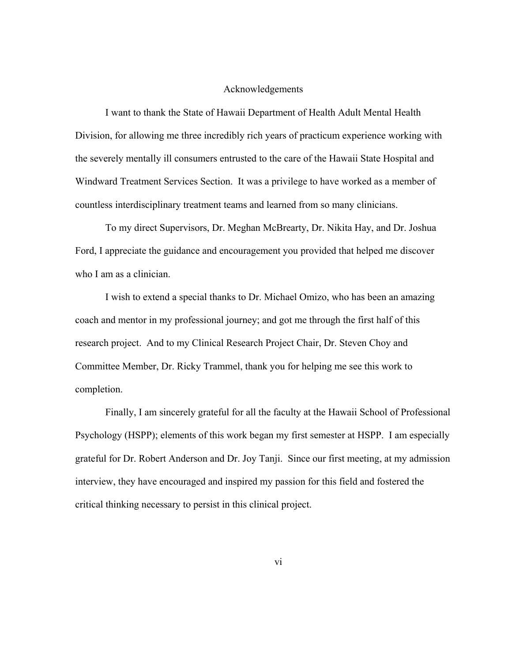## Acknowledgements

I want to thank the State of Hawaii Department of Health Adult Mental Health Division, for allowing me three incredibly rich years of practicum experience working with the severely mentally ill consumers entrusted to the care of the Hawaii State Hospital and Windward Treatment Services Section. It was a privilege to have worked as a member of countless interdisciplinary treatment teams and learned from so many clinicians.

To my direct Supervisors, Dr. Meghan McBrearty, Dr. Nikita Hay, and Dr. Joshua Ford, I appreciate the guidance and encouragement you provided that helped me discover who I am as a clinician.

I wish to extend a special thanks to Dr. Michael Omizo, who has been an amazing coach and mentor in my professional journey; and got me through the first half of this research project. And to my Clinical Research Project Chair, Dr. Steven Choy and Committee Member, Dr. Ricky Trammel, thank you for helping me see this work to completion.

Finally, I am sincerely grateful for all the faculty at the Hawaii School of Professional Psychology (HSPP); elements of this work began my first semester at HSPP. I am especially grateful for Dr. Robert Anderson and Dr. Joy Tanji. Since our first meeting, at my admission interview, they have encouraged and inspired my passion for this field and fostered the critical thinking necessary to persist in this clinical project.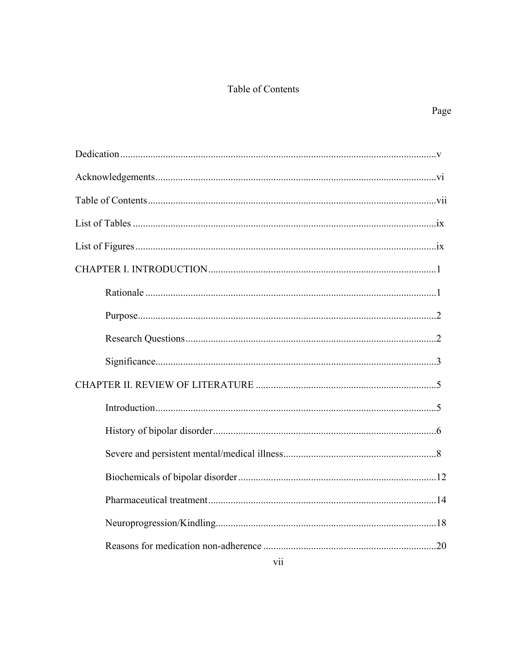## Table of Contents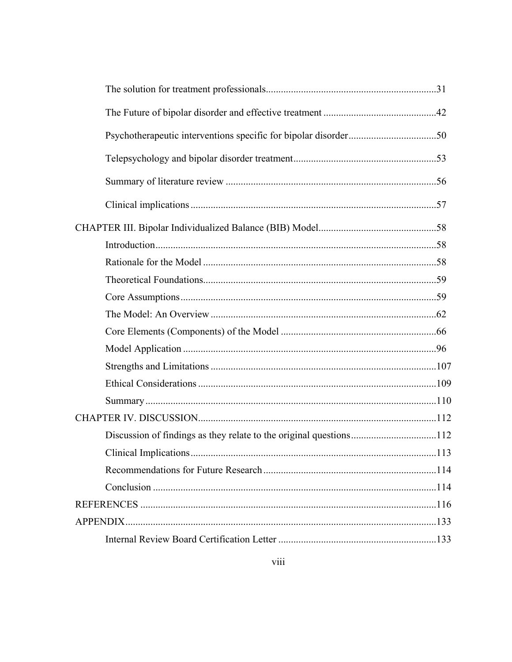| Discussion of findings as they relate to the original questions112 |  |
|--------------------------------------------------------------------|--|
|                                                                    |  |
|                                                                    |  |
|                                                                    |  |
|                                                                    |  |
|                                                                    |  |
|                                                                    |  |
|                                                                    |  |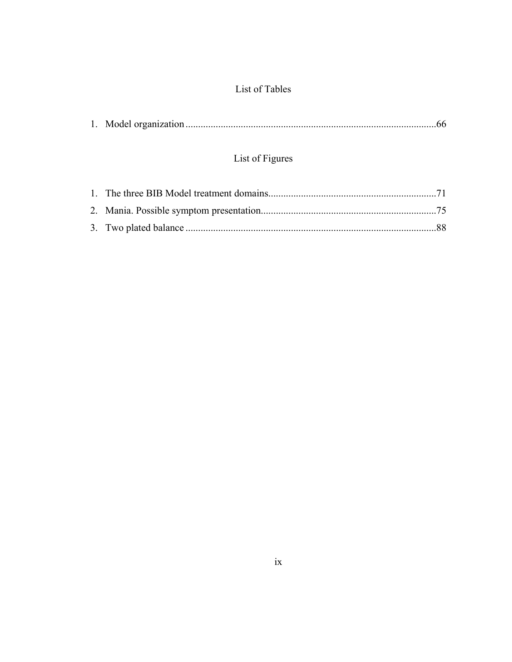## List of Tables

# List of Figures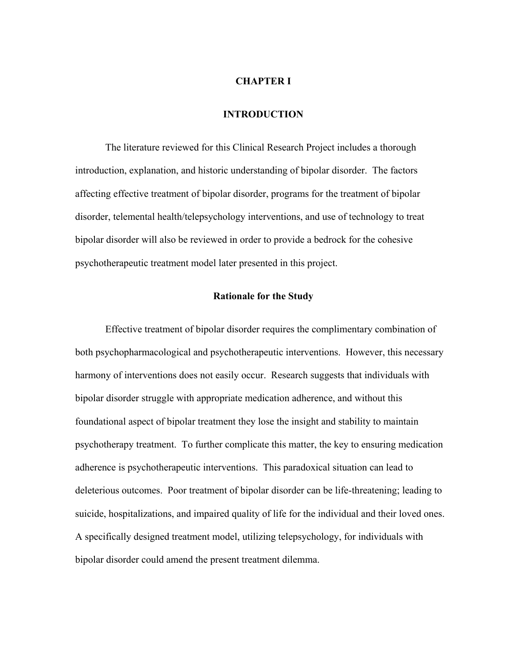#### **CHAPTER I**

## **INTRODUCTION**

The literature reviewed for this Clinical Research Project includes a thorough introduction, explanation, and historic understanding of bipolar disorder. The factors affecting effective treatment of bipolar disorder, programs for the treatment of bipolar disorder, telemental health/telepsychology interventions, and use of technology to treat bipolar disorder will also be reviewed in order to provide a bedrock for the cohesive psychotherapeutic treatment model later presented in this project.

## **Rationale for the Study**

Effective treatment of bipolar disorder requires the complimentary combination of both psychopharmacological and psychotherapeutic interventions. However, this necessary harmony of interventions does not easily occur. Research suggests that individuals with bipolar disorder struggle with appropriate medication adherence, and without this foundational aspect of bipolar treatment they lose the insight and stability to maintain psychotherapy treatment. To further complicate this matter, the key to ensuring medication adherence is psychotherapeutic interventions. This paradoxical situation can lead to deleterious outcomes. Poor treatment of bipolar disorder can be life-threatening; leading to suicide, hospitalizations, and impaired quality of life for the individual and their loved ones. A specifically designed treatment model, utilizing telepsychology, for individuals with bipolar disorder could amend the present treatment dilemma.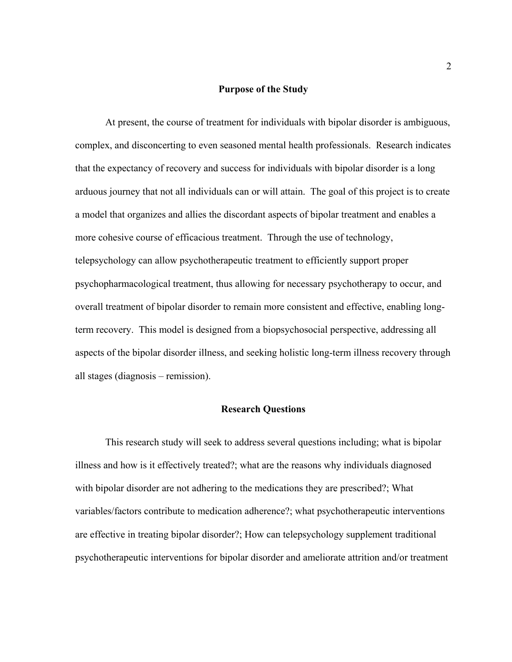## **Purpose of the Study**

At present, the course of treatment for individuals with bipolar disorder is ambiguous, complex, and disconcerting to even seasoned mental health professionals. Research indicates that the expectancy of recovery and success for individuals with bipolar disorder is a long arduous journey that not all individuals can or will attain. The goal of this project is to create a model that organizes and allies the discordant aspects of bipolar treatment and enables a more cohesive course of efficacious treatment. Through the use of technology, telepsychology can allow psychotherapeutic treatment to efficiently support proper psychopharmacological treatment, thus allowing for necessary psychotherapy to occur, and overall treatment of bipolar disorder to remain more consistent and effective, enabling longterm recovery. This model is designed from a biopsychosocial perspective, addressing all aspects of the bipolar disorder illness, and seeking holistic long-term illness recovery through all stages (diagnosis – remission).

## **Research Questions**

This research study will seek to address several questions including; what is bipolar illness and how is it effectively treated?; what are the reasons why individuals diagnosed with bipolar disorder are not adhering to the medications they are prescribed?; What variables/factors contribute to medication adherence?; what psychotherapeutic interventions are effective in treating bipolar disorder?; How can telepsychology supplement traditional psychotherapeutic interventions for bipolar disorder and ameliorate attrition and/or treatment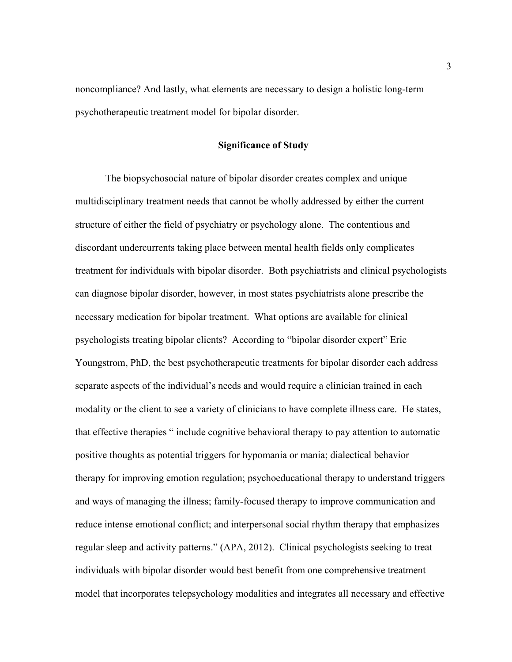noncompliance? And lastly, what elements are necessary to design a holistic long-term psychotherapeutic treatment model for bipolar disorder.

## **Significance of Study**

The biopsychosocial nature of bipolar disorder creates complex and unique multidisciplinary treatment needs that cannot be wholly addressed by either the current structure of either the field of psychiatry or psychology alone. The contentious and discordant undercurrents taking place between mental health fields only complicates treatment for individuals with bipolar disorder. Both psychiatrists and clinical psychologists can diagnose bipolar disorder, however, in most states psychiatrists alone prescribe the necessary medication for bipolar treatment. What options are available for clinical psychologists treating bipolar clients? According to "bipolar disorder expert" Eric Youngstrom, PhD, the best psychotherapeutic treatments for bipolar disorder each address separate aspects of the individual's needs and would require a clinician trained in each modality or the client to see a variety of clinicians to have complete illness care. He states, that effective therapies " include cognitive behavioral therapy to pay attention to automatic positive thoughts as potential triggers for hypomania or mania; dialectical behavior therapy for improving emotion regulation; psychoeducational therapy to understand triggers and ways of managing the illness; family-focused therapy to improve communication and reduce intense emotional conflict; and interpersonal social rhythm therapy that emphasizes regular sleep and activity patterns." (APA, 2012). Clinical psychologists seeking to treat individuals with bipolar disorder would best benefit from one comprehensive treatment model that incorporates telepsychology modalities and integrates all necessary and effective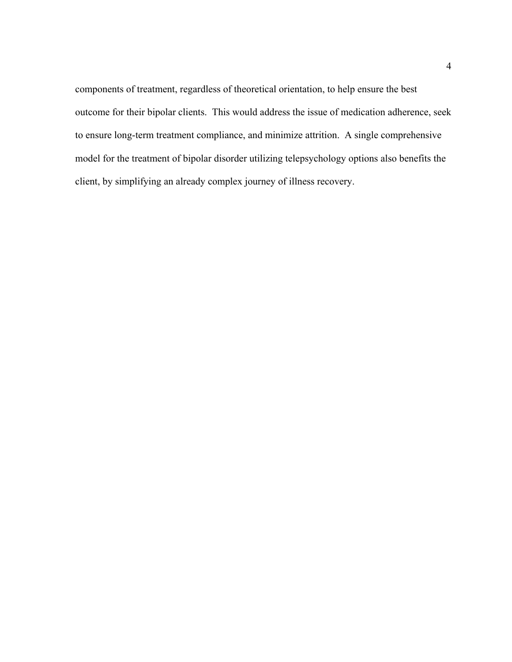components of treatment, regardless of theoretical orientation, to help ensure the best outcome for their bipolar clients. This would address the issue of medication adherence, seek to ensure long-term treatment compliance, and minimize attrition. A single comprehensive model for the treatment of bipolar disorder utilizing telepsychology options also benefits the client, by simplifying an already complex journey of illness recovery.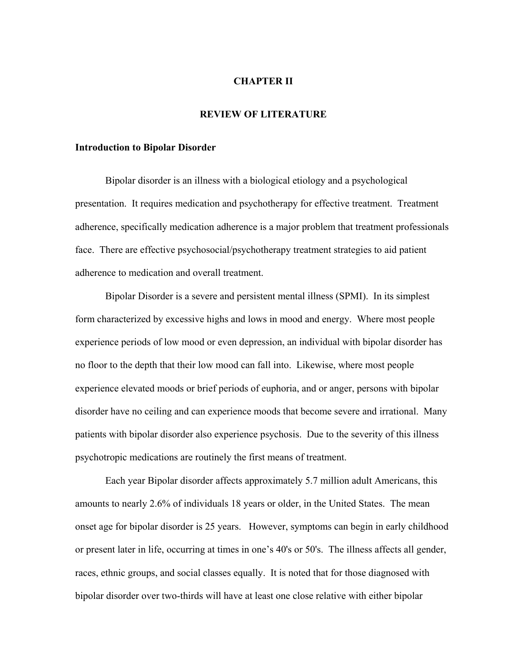#### **CHAPTER II**

## **REVIEW OF LITERATURE**

#### **Introduction to Bipolar Disorder**

Bipolar disorder is an illness with a biological etiology and a psychological presentation. It requires medication and psychotherapy for effective treatment. Treatment adherence, specifically medication adherence is a major problem that treatment professionals face. There are effective psychosocial/psychotherapy treatment strategies to aid patient adherence to medication and overall treatment.

Bipolar Disorder is a severe and persistent mental illness (SPMI). In its simplest form characterized by excessive highs and lows in mood and energy. Where most people experience periods of low mood or even depression, an individual with bipolar disorder has no floor to the depth that their low mood can fall into. Likewise, where most people experience elevated moods or brief periods of euphoria, and or anger, persons with bipolar disorder have no ceiling and can experience moods that become severe and irrational. Many patients with bipolar disorder also experience psychosis. Due to the severity of this illness psychotropic medications are routinely the first means of treatment.

Each year Bipolar disorder affects approximately 5.7 million adult Americans, this amounts to nearly 2.6% of individuals 18 years or older, in the United States. The mean onset age for bipolar disorder is 25 years. However, symptoms can begin in early childhood or present later in life, occurring at times in one's 40's or 50's. The illness affects all gender, races, ethnic groups, and social classes equally. It is noted that for those diagnosed with bipolar disorder over two-thirds will have at least one close relative with either bipolar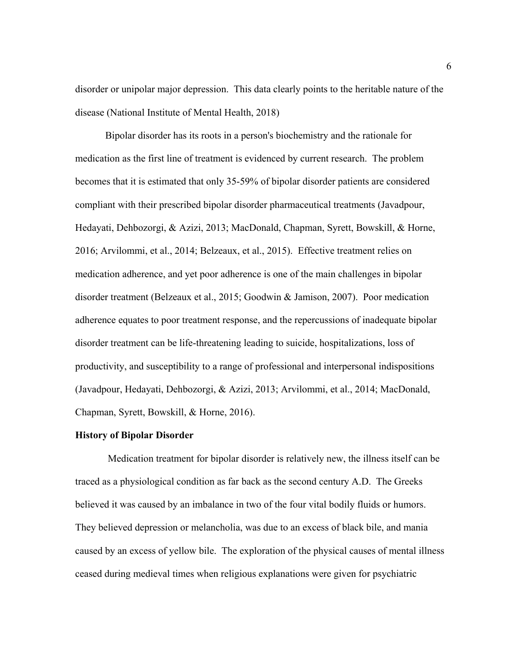disorder or unipolar major depression. This data clearly points to the heritable nature of the disease (National Institute of Mental Health, 2018)

Bipolar disorder has its roots in a person's biochemistry and the rationale for medication as the first line of treatment is evidenced by current research. The problem becomes that it is estimated that only 35-59% of bipolar disorder patients are considered compliant with their prescribed bipolar disorder pharmaceutical treatments (Javadpour, Hedayati, Dehbozorgi, & Azizi, 2013; MacDonald, Chapman, Syrett, Bowskill, & Horne, 2016; Arvilommi, et al., 2014; Belzeaux, et al., 2015). Effective treatment relies on medication adherence, and yet poor adherence is one of the main challenges in bipolar disorder treatment (Belzeaux et al., 2015; Goodwin & Jamison, 2007). Poor medication adherence equates to poor treatment response, and the repercussions of inadequate bipolar disorder treatment can be life-threatening leading to suicide, hospitalizations, loss of productivity, and susceptibility to a range of professional and interpersonal indispositions (Javadpour, Hedayati, Dehbozorgi, & Azizi, 2013; Arvilommi, et al., 2014; MacDonald, Chapman, Syrett, Bowskill, & Horne, 2016).

## **History of Bipolar Disorder**

Medication treatment for bipolar disorder is relatively new, the illness itself can be traced as a physiological condition as far back as the second century A.D. The Greeks believed it was caused by an imbalance in two of the four vital bodily fluids or humors. They believed depression or melancholia, was due to an excess of black bile, and mania caused by an excess of yellow bile. The exploration of the physical causes of mental illness ceased during medieval times when religious explanations were given for psychiatric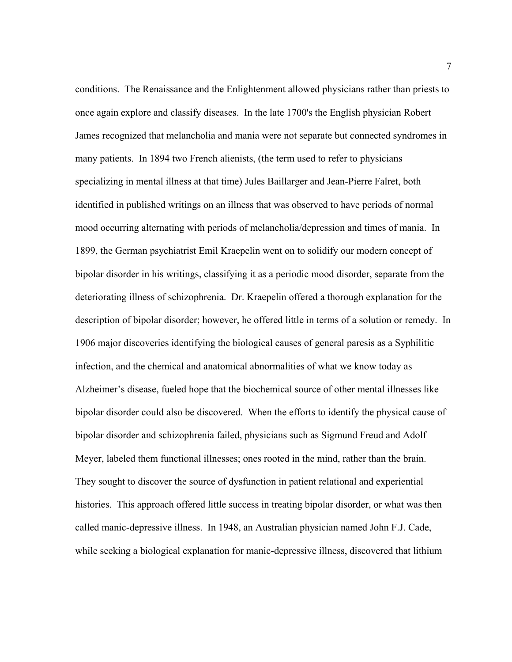conditions. The Renaissance and the Enlightenment allowed physicians rather than priests to once again explore and classify diseases. In the late 1700's the English physician Robert James recognized that melancholia and mania were not separate but connected syndromes in many patients. In 1894 two French alienists, (the term used to refer to physicians specializing in mental illness at that time) Jules Baillarger and Jean-Pierre Falret, both identified in published writings on an illness that was observed to have periods of normal mood occurring alternating with periods of melancholia/depression and times of mania. In 1899, the German psychiatrist Emil Kraepelin went on to solidify our modern concept of bipolar disorder in his writings, classifying it as a periodic mood disorder, separate from the deteriorating illness of schizophrenia. Dr. Kraepelin offered a thorough explanation for the description of bipolar disorder; however, he offered little in terms of a solution or remedy. In 1906 major discoveries identifying the biological causes of general paresis as a Syphilitic infection, and the chemical and anatomical abnormalities of what we know today as Alzheimer's disease, fueled hope that the biochemical source of other mental illnesses like bipolar disorder could also be discovered. When the efforts to identify the physical cause of bipolar disorder and schizophrenia failed, physicians such as Sigmund Freud and Adolf Meyer, labeled them functional illnesses; ones rooted in the mind, rather than the brain. They sought to discover the source of dysfunction in patient relational and experiential histories. This approach offered little success in treating bipolar disorder, or what was then called manic-depressive illness. In 1948, an Australian physician named John F.J. Cade, while seeking a biological explanation for manic-depressive illness, discovered that lithium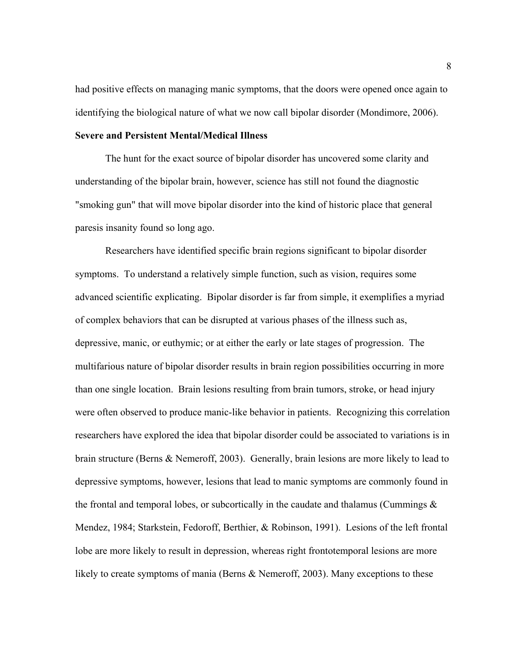had positive effects on managing manic symptoms, that the doors were opened once again to identifying the biological nature of what we now call bipolar disorder (Mondimore, 2006).

## **Severe and Persistent Mental/Medical Illness**

The hunt for the exact source of bipolar disorder has uncovered some clarity and understanding of the bipolar brain, however, science has still not found the diagnostic "smoking gun" that will move bipolar disorder into the kind of historic place that general paresis insanity found so long ago.

Researchers have identified specific brain regions significant to bipolar disorder symptoms. To understand a relatively simple function, such as vision, requires some advanced scientific explicating. Bipolar disorder is far from simple, it exemplifies a myriad of complex behaviors that can be disrupted at various phases of the illness such as, depressive, manic, or euthymic; or at either the early or late stages of progression. The multifarious nature of bipolar disorder results in brain region possibilities occurring in more than one single location. Brain lesions resulting from brain tumors, stroke, or head injury were often observed to produce manic-like behavior in patients. Recognizing this correlation researchers have explored the idea that bipolar disorder could be associated to variations is in brain structure (Berns & Nemeroff, 2003). Generally, brain lesions are more likely to lead to depressive symptoms, however, lesions that lead to manic symptoms are commonly found in the frontal and temporal lobes, or subcortically in the caudate and thalamus (Cummings  $\&$ Mendez, 1984; Starkstein, Fedoroff, Berthier, & Robinson, 1991). Lesions of the left frontal lobe are more likely to result in depression, whereas right frontotemporal lesions are more likely to create symptoms of mania (Berns & Nemeroff, 2003). Many exceptions to these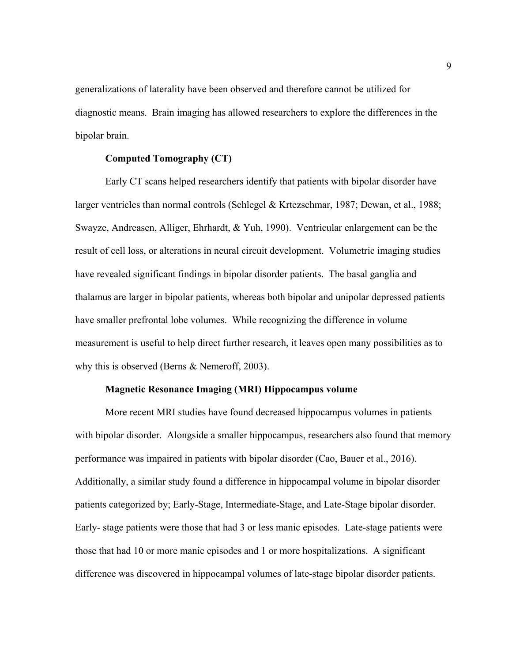generalizations of laterality have been observed and therefore cannot be utilized for diagnostic means. Brain imaging has allowed researchers to explore the differences in the bipolar brain.

#### **Computed Tomography (CT)**

Early CT scans helped researchers identify that patients with bipolar disorder have larger ventricles than normal controls (Schlegel & Krtezschmar, 1987; Dewan, et al., 1988; Swayze, Andreasen, Alliger, Ehrhardt, & Yuh, 1990). Ventricular enlargement can be the result of cell loss, or alterations in neural circuit development. Volumetric imaging studies have revealed significant findings in bipolar disorder patients. The basal ganglia and thalamus are larger in bipolar patients, whereas both bipolar and unipolar depressed patients have smaller prefrontal lobe volumes. While recognizing the difference in volume measurement is useful to help direct further research, it leaves open many possibilities as to why this is observed (Berns & Nemeroff, 2003).

#### **Magnetic Resonance Imaging (MRI) Hippocampus volume**

More recent MRI studies have found decreased hippocampus volumes in patients with bipolar disorder. Alongside a smaller hippocampus, researchers also found that memory performance was impaired in patients with bipolar disorder (Cao, Bauer et al., 2016). Additionally, a similar study found a difference in hippocampal volume in bipolar disorder patients categorized by; Early-Stage, Intermediate-Stage, and Late-Stage bipolar disorder. Early- stage patients were those that had 3 or less manic episodes. Late-stage patients were those that had 10 or more manic episodes and 1 or more hospitalizations. A significant difference was discovered in hippocampal volumes of late-stage bipolar disorder patients.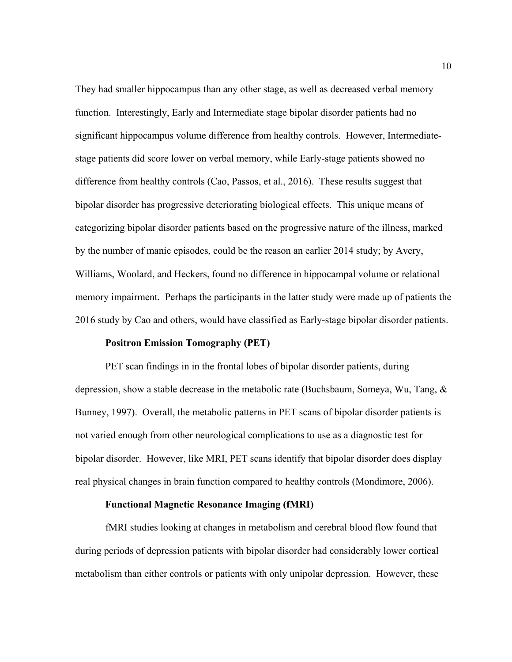They had smaller hippocampus than any other stage, as well as decreased verbal memory function. Interestingly, Early and Intermediate stage bipolar disorder patients had no significant hippocampus volume difference from healthy controls. However, Intermediatestage patients did score lower on verbal memory, while Early-stage patients showed no difference from healthy controls (Cao, Passos, et al., 2016). These results suggest that bipolar disorder has progressive deteriorating biological effects. This unique means of categorizing bipolar disorder patients based on the progressive nature of the illness, marked by the number of manic episodes, could be the reason an earlier 2014 study; by Avery, Williams, Woolard, and Heckers, found no difference in hippocampal volume or relational memory impairment. Perhaps the participants in the latter study were made up of patients the 2016 study by Cao and others, would have classified as Early-stage bipolar disorder patients.

#### **Positron Emission Tomography (PET)**

PET scan findings in in the frontal lobes of bipolar disorder patients, during depression, show a stable decrease in the metabolic rate (Buchsbaum, Someya, Wu, Tang, & Bunney, 1997). Overall, the metabolic patterns in PET scans of bipolar disorder patients is not varied enough from other neurological complications to use as a diagnostic test for bipolar disorder. However, like MRI, PET scans identify that bipolar disorder does display real physical changes in brain function compared to healthy controls (Mondimore, 2006).

#### **Functional Magnetic Resonance Imaging (fMRI)**

fMRI studies looking at changes in metabolism and cerebral blood flow found that during periods of depression patients with bipolar disorder had considerably lower cortical metabolism than either controls or patients with only unipolar depression. However, these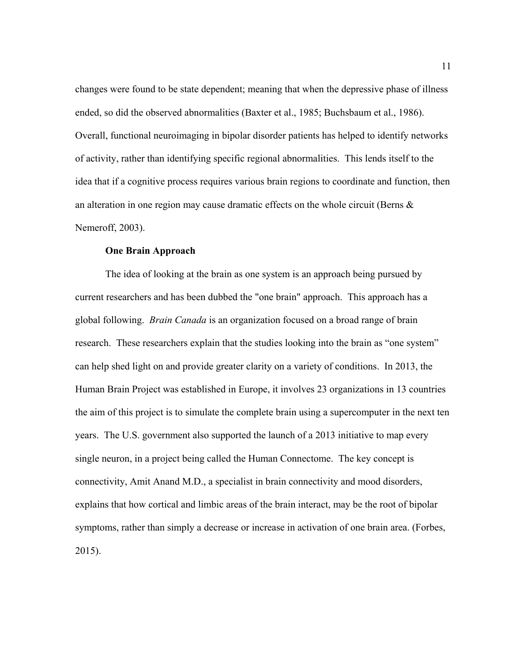changes were found to be state dependent; meaning that when the depressive phase of illness ended, so did the observed abnormalities (Baxter et al., 1985; Buchsbaum et al., 1986). Overall, functional neuroimaging in bipolar disorder patients has helped to identify networks of activity, rather than identifying specific regional abnormalities. This lends itself to the idea that if a cognitive process requires various brain regions to coordinate and function, then an alteration in one region may cause dramatic effects on the whole circuit (Berns & Nemeroff, 2003).

#### **One Brain Approach**

The idea of looking at the brain as one system is an approach being pursued by current researchers and has been dubbed the "one brain" approach. This approach has a global following. *Brain Canada* is an organization focused on a broad range of brain research. These researchers explain that the studies looking into the brain as "one system" can help shed light on and provide greater clarity on a variety of conditions. In 2013, the Human Brain Project was established in Europe, it involves 23 organizations in 13 countries the aim of this project is to simulate the complete brain using a supercomputer in the next ten years. The U.S. government also supported the launch of a 2013 initiative to map every single neuron, in a project being called the Human Connectome. The key concept is connectivity, Amit Anand M.D., a specialist in brain connectivity and mood disorders, explains that how cortical and limbic areas of the brain interact, may be the root of bipolar symptoms, rather than simply a decrease or increase in activation of one brain area. (Forbes, 2015).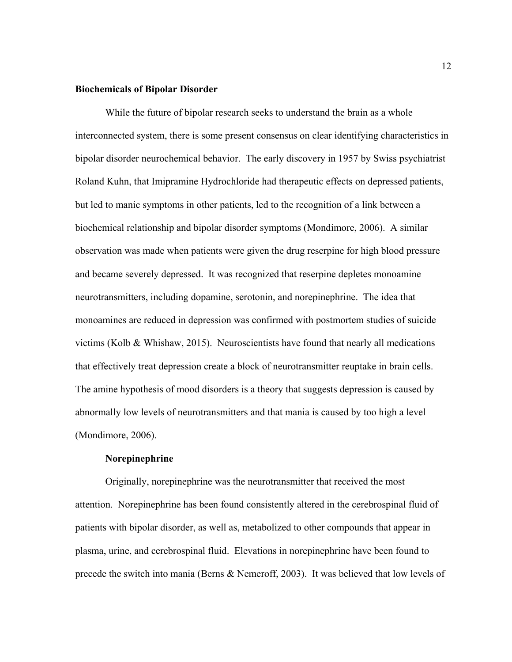## **Biochemicals of Bipolar Disorder**

While the future of bipolar research seeks to understand the brain as a whole interconnected system, there is some present consensus on clear identifying characteristics in bipolar disorder neurochemical behavior. The early discovery in 1957 by Swiss psychiatrist Roland Kuhn, that Imipramine Hydrochloride had therapeutic effects on depressed patients, but led to manic symptoms in other patients, led to the recognition of a link between a biochemical relationship and bipolar disorder symptoms (Mondimore, 2006). A similar observation was made when patients were given the drug reserpine for high blood pressure and became severely depressed. It was recognized that reserpine depletes monoamine neurotransmitters, including dopamine, serotonin, and norepinephrine. The idea that monoamines are reduced in depression was confirmed with postmortem studies of suicide victims (Kolb & Whishaw, 2015). Neuroscientists have found that nearly all medications that effectively treat depression create a block of neurotransmitter reuptake in brain cells. The amine hypothesis of mood disorders is a theory that suggests depression is caused by abnormally low levels of neurotransmitters and that mania is caused by too high a level (Mondimore, 2006).

#### **Norepinephrine**

Originally, norepinephrine was the neurotransmitter that received the most attention. Norepinephrine has been found consistently altered in the cerebrospinal fluid of patients with bipolar disorder, as well as, metabolized to other compounds that appear in plasma, urine, and cerebrospinal fluid. Elevations in norepinephrine have been found to precede the switch into mania (Berns & Nemeroff, 2003). It was believed that low levels of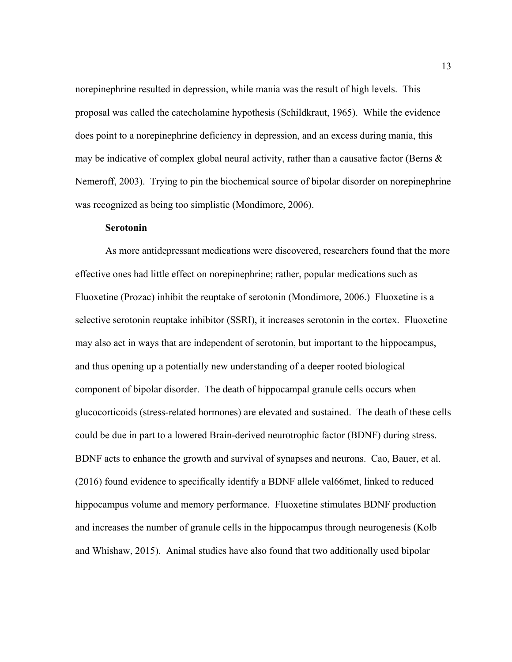norepinephrine resulted in depression, while mania was the result of high levels. This proposal was called the catecholamine hypothesis (Schildkraut, 1965). While the evidence does point to a norepinephrine deficiency in depression, and an excess during mania, this may be indicative of complex global neural activity, rather than a causative factor (Berns  $\&$ Nemeroff, 2003). Trying to pin the biochemical source of bipolar disorder on norepinephrine was recognized as being too simplistic (Mondimore, 2006).

#### **Serotonin**

As more antidepressant medications were discovered, researchers found that the more effective ones had little effect on norepinephrine; rather, popular medications such as Fluoxetine (Prozac) inhibit the reuptake of serotonin (Mondimore, 2006.) Fluoxetine is a selective serotonin reuptake inhibitor (SSRI), it increases serotonin in the cortex. Fluoxetine may also act in ways that are independent of serotonin, but important to the hippocampus, and thus opening up a potentially new understanding of a deeper rooted biological component of bipolar disorder. The death of hippocampal granule cells occurs when glucocorticoids (stress-related hormones) are elevated and sustained. The death of these cells could be due in part to a lowered Brain-derived neurotrophic factor (BDNF) during stress. BDNF acts to enhance the growth and survival of synapses and neurons. Cao, Bauer, et al. (2016) found evidence to specifically identify a BDNF allele val66met, linked to reduced hippocampus volume and memory performance. Fluoxetine stimulates BDNF production and increases the number of granule cells in the hippocampus through neurogenesis (Kolb and Whishaw, 2015). Animal studies have also found that two additionally used bipolar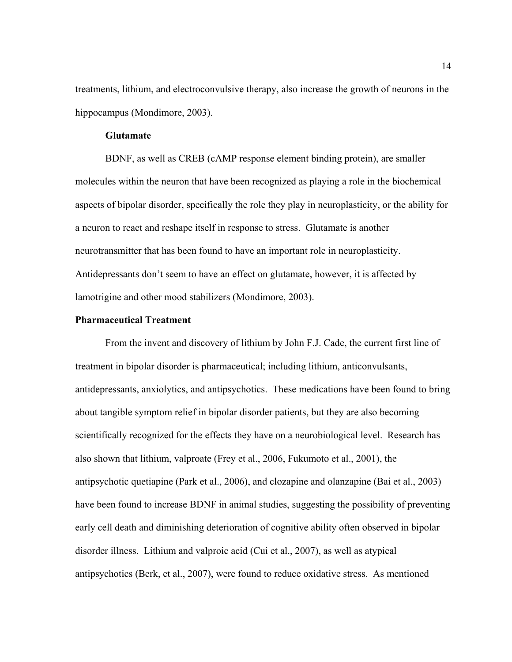treatments, lithium, and electroconvulsive therapy, also increase the growth of neurons in the hippocampus (Mondimore, 2003).

## **Glutamate**

BDNF, as well as CREB (cAMP response element binding protein), are smaller molecules within the neuron that have been recognized as playing a role in the biochemical aspects of bipolar disorder, specifically the role they play in neuroplasticity, or the ability for a neuron to react and reshape itself in response to stress. Glutamate is another neurotransmitter that has been found to have an important role in neuroplasticity. Antidepressants don't seem to have an effect on glutamate, however, it is affected by lamotrigine and other mood stabilizers (Mondimore, 2003).

## **Pharmaceutical Treatment**

From the invent and discovery of lithium by John F.J. Cade, the current first line of treatment in bipolar disorder is pharmaceutical; including lithium, anticonvulsants, antidepressants, anxiolytics, and antipsychotics. These medications have been found to bring about tangible symptom relief in bipolar disorder patients, but they are also becoming scientifically recognized for the effects they have on a neurobiological level. Research has also shown that lithium, valproate (Frey et al., 2006, Fukumoto et al., 2001), the antipsychotic quetiapine (Park et al., 2006), and clozapine and olanzapine (Bai et al., 2003) have been found to increase BDNF in animal studies, suggesting the possibility of preventing early cell death and diminishing deterioration of cognitive ability often observed in bipolar disorder illness. Lithium and valproic acid (Cui et al., 2007), as well as atypical antipsychotics (Berk, et al., 2007), were found to reduce oxidative stress. As mentioned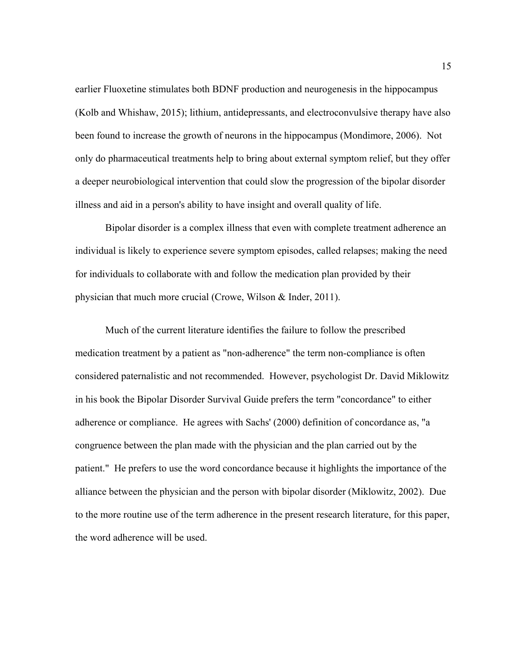earlier Fluoxetine stimulates both BDNF production and neurogenesis in the hippocampus (Kolb and Whishaw, 2015); lithium, antidepressants, and electroconvulsive therapy have also been found to increase the growth of neurons in the hippocampus (Mondimore, 2006). Not only do pharmaceutical treatments help to bring about external symptom relief, but they offer a deeper neurobiological intervention that could slow the progression of the bipolar disorder illness and aid in a person's ability to have insight and overall quality of life.

Bipolar disorder is a complex illness that even with complete treatment adherence an individual is likely to experience severe symptom episodes, called relapses; making the need for individuals to collaborate with and follow the medication plan provided by their physician that much more crucial (Crowe, Wilson & Inder, 2011).

Much of the current literature identifies the failure to follow the prescribed medication treatment by a patient as "non-adherence" the term non-compliance is often considered paternalistic and not recommended. However, psychologist Dr. David Miklowitz in his book the Bipolar Disorder Survival Guide prefers the term "concordance" to either adherence or compliance. He agrees with Sachs' (2000) definition of concordance as, "a congruence between the plan made with the physician and the plan carried out by the patient." He prefers to use the word concordance because it highlights the importance of the alliance between the physician and the person with bipolar disorder (Miklowitz, 2002). Due to the more routine use of the term adherence in the present research literature, for this paper, the word adherence will be used.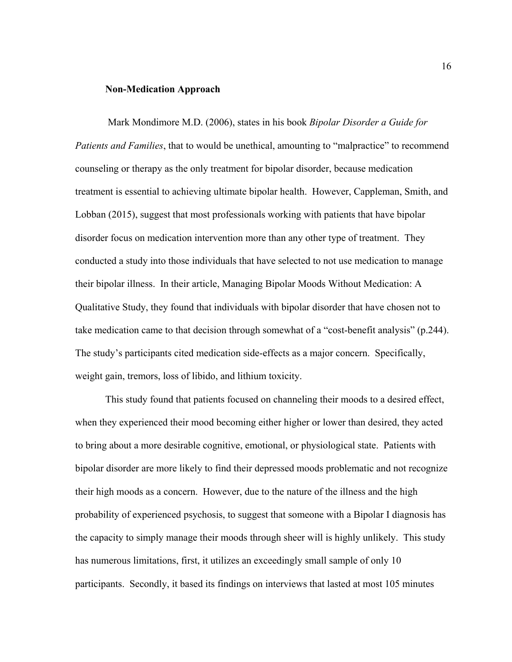#### **Non-Medication Approach**

Mark Mondimore M.D. (2006), states in his book *Bipolar Disorder a Guide for Patients and Families*, that to would be unethical, amounting to "malpractice" to recommend counseling or therapy as the only treatment for bipolar disorder, because medication treatment is essential to achieving ultimate bipolar health. However, Cappleman, Smith, and Lobban (2015), suggest that most professionals working with patients that have bipolar disorder focus on medication intervention more than any other type of treatment. They conducted a study into those individuals that have selected to not use medication to manage their bipolar illness. In their article, Managing Bipolar Moods Without Medication: A Qualitative Study, they found that individuals with bipolar disorder that have chosen not to take medication came to that decision through somewhat of a "cost-benefit analysis" (p.244). The study's participants cited medication side-effects as a major concern. Specifically, weight gain, tremors, loss of libido, and lithium toxicity.

This study found that patients focused on channeling their moods to a desired effect, when they experienced their mood becoming either higher or lower than desired, they acted to bring about a more desirable cognitive, emotional, or physiological state. Patients with bipolar disorder are more likely to find their depressed moods problematic and not recognize their high moods as a concern. However, due to the nature of the illness and the high probability of experienced psychosis, to suggest that someone with a Bipolar I diagnosis has the capacity to simply manage their moods through sheer will is highly unlikely. This study has numerous limitations, first, it utilizes an exceedingly small sample of only 10 participants. Secondly, it based its findings on interviews that lasted at most 105 minutes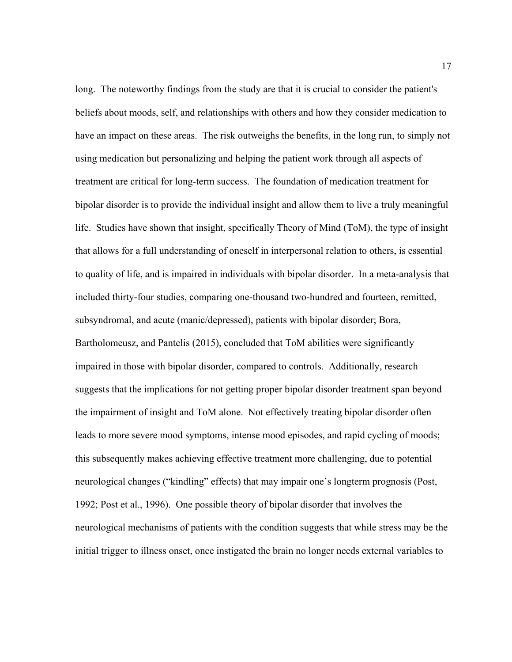long. The noteworthy findings from the study are that it is crucial to consider the patient's beliefs about moods, self, and relationships with others and how they consider medication to have an impact on these areas. The risk outweighs the benefits, in the long run, to simply not using medication but personalizing and helping the patient work through all aspects of treatment are critical for long-term success. The foundation of medication treatment for bipolar disorder is to provide the individual insight and allow them to live a truly meaningful life. Studies have shown that insight, specifically Theory of Mind (ToM), the type of insight that allows for a full understanding of oneself in interpersonal relation to others, is essential to quality of life, and is impaired in individuals with bipolar disorder. In a meta-analysis that included thirty-four studies, comparing one-thousand two-hundred and fourteen, remitted, subsyndromal, and acute (manic/depressed), patients with bipolar disorder; Bora, Bartholomeusz, and Pantelis (2015), concluded that ToM abilities were significantly impaired in those with bipolar disorder, compared to controls. Additionally, research suggests that the implications for not getting proper bipolar disorder treatment span beyond the impairment of insight and ToM alone. Not effectively treating bipolar disorder often leads to more severe mood symptoms, intense mood episodes, and rapid cycling of moods; this subsequently makes achieving effective treatment more challenging, due to potential neurological changes ("kindling" effects) that may impair one's longterm prognosis (Post, 1992; Post et al., 1996). One possible theory of bipolar disorder that involves the neurological mechanisms of patients with the condition suggests that while stress may be the initial trigger to illness onset, once instigated the brain no longer needs external variables to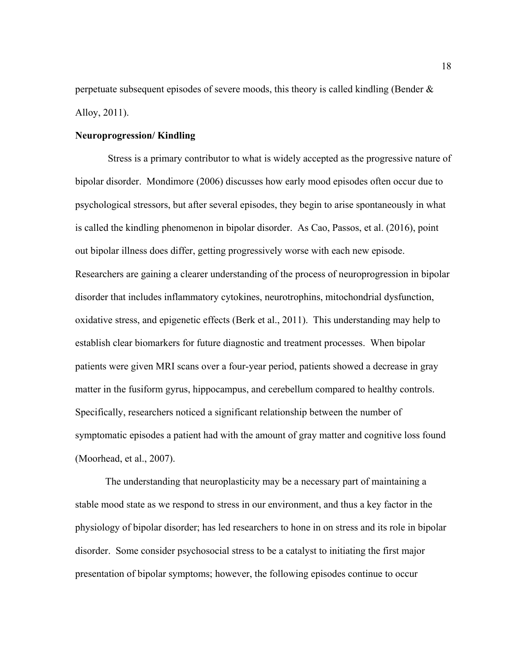perpetuate subsequent episodes of severe moods, this theory is called kindling (Bender & Alloy, 2011).

## **Neuroprogression/ Kindling**

Stress is a primary contributor to what is widely accepted as the progressive nature of bipolar disorder. Mondimore (2006) discusses how early mood episodes often occur due to psychological stressors, but after several episodes, they begin to arise spontaneously in what is called the kindling phenomenon in bipolar disorder. As Cao, Passos, et al. (2016), point out bipolar illness does differ, getting progressively worse with each new episode. Researchers are gaining a clearer understanding of the process of neuroprogression in bipolar disorder that includes inflammatory cytokines, neurotrophins, mitochondrial dysfunction, oxidative stress, and epigenetic effects (Berk et al., 2011). This understanding may help to establish clear biomarkers for future diagnostic and treatment processes. When bipolar patients were given MRI scans over a four-year period, patients showed a decrease in gray matter in the fusiform gyrus, hippocampus, and cerebellum compared to healthy controls. Specifically, researchers noticed a significant relationship between the number of symptomatic episodes a patient had with the amount of gray matter and cognitive loss found (Moorhead, et al., 2007).

The understanding that neuroplasticity may be a necessary part of maintaining a stable mood state as we respond to stress in our environment, and thus a key factor in the physiology of bipolar disorder; has led researchers to hone in on stress and its role in bipolar disorder. Some consider psychosocial stress to be a catalyst to initiating the first major presentation of bipolar symptoms; however, the following episodes continue to occur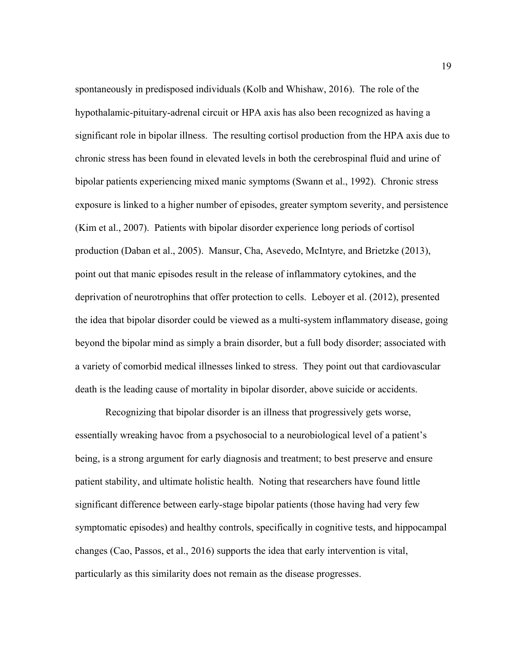spontaneously in predisposed individuals (Kolb and Whishaw, 2016). The role of the hypothalamic-pituitary-adrenal circuit or HPA axis has also been recognized as having a significant role in bipolar illness. The resulting cortisol production from the HPA axis due to chronic stress has been found in elevated levels in both the cerebrospinal fluid and urine of bipolar patients experiencing mixed manic symptoms (Swann et al., 1992). Chronic stress exposure is linked to a higher number of episodes, greater symptom severity, and persistence (Kim et al., 2007). Patients with bipolar disorder experience long periods of cortisol production (Daban et al., 2005). Mansur, Cha, Asevedo, McIntyre, and Brietzke (2013), point out that manic episodes result in the release of inflammatory cytokines, and the deprivation of neurotrophins that offer protection to cells. Leboyer et al. (2012), presented the idea that bipolar disorder could be viewed as a multi-system inflammatory disease, going beyond the bipolar mind as simply a brain disorder, but a full body disorder; associated with a variety of comorbid medical illnesses linked to stress. They point out that cardiovascular death is the leading cause of mortality in bipolar disorder, above suicide or accidents.

Recognizing that bipolar disorder is an illness that progressively gets worse, essentially wreaking havoc from a psychosocial to a neurobiological level of a patient's being, is a strong argument for early diagnosis and treatment; to best preserve and ensure patient stability, and ultimate holistic health. Noting that researchers have found little significant difference between early-stage bipolar patients (those having had very few symptomatic episodes) and healthy controls, specifically in cognitive tests, and hippocampal changes (Cao, Passos, et al., 2016) supports the idea that early intervention is vital, particularly as this similarity does not remain as the disease progresses.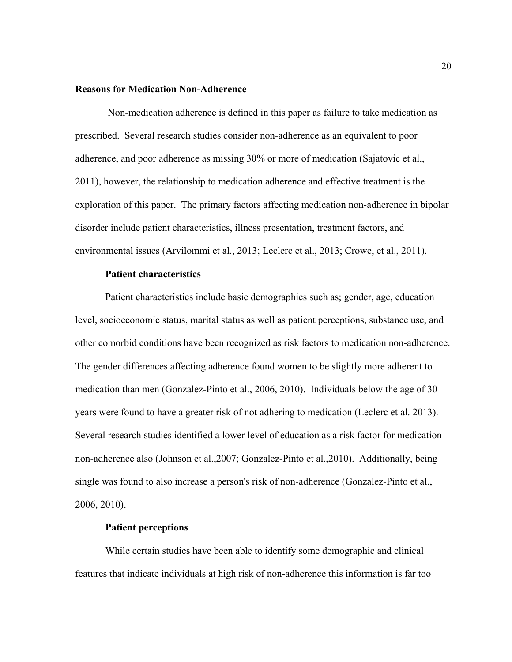## **Reasons for Medication Non-Adherence**

Non-medication adherence is defined in this paper as failure to take medication as prescribed. Several research studies consider non-adherence as an equivalent to poor adherence, and poor adherence as missing 30% or more of medication (Sajatovic et al., 2011), however, the relationship to medication adherence and effective treatment is the exploration of this paper. The primary factors affecting medication non-adherence in bipolar disorder include patient characteristics, illness presentation, treatment factors, and environmental issues (Arvilommi et al., 2013; Leclerc et al., 2013; Crowe, et al., 2011).

#### **Patient characteristics**

Patient characteristics include basic demographics such as; gender, age, education level, socioeconomic status, marital status as well as patient perceptions, substance use, and other comorbid conditions have been recognized as risk factors to medication non-adherence. The gender differences affecting adherence found women to be slightly more adherent to medication than men (Gonzalez-Pinto et al., 2006, 2010). Individuals below the age of 30 years were found to have a greater risk of not adhering to medication (Leclerc et al. 2013). Several research studies identified a lower level of education as a risk factor for medication non-adherence also (Johnson et al.,2007; Gonzalez-Pinto et al.,2010). Additionally, being single was found to also increase a person's risk of non-adherence (Gonzalez-Pinto et al., 2006, 2010).

#### **Patient perceptions**

While certain studies have been able to identify some demographic and clinical features that indicate individuals at high risk of non-adherence this information is far too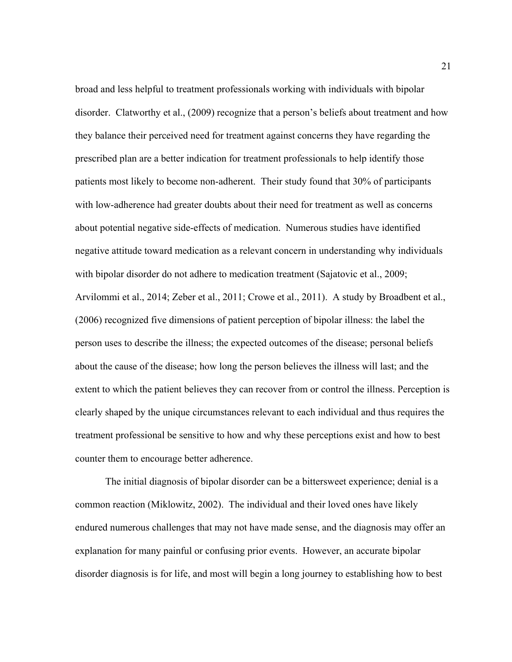broad and less helpful to treatment professionals working with individuals with bipolar disorder. Clatworthy et al., (2009) recognize that a person's beliefs about treatment and how they balance their perceived need for treatment against concerns they have regarding the prescribed plan are a better indication for treatment professionals to help identify those patients most likely to become non-adherent. Their study found that 30% of participants with low-adherence had greater doubts about their need for treatment as well as concerns about potential negative side-effects of medication. Numerous studies have identified negative attitude toward medication as a relevant concern in understanding why individuals with bipolar disorder do not adhere to medication treatment (Sajatovic et al., 2009; Arvilommi et al., 2014; Zeber et al., 2011; Crowe et al., 2011). A study by Broadbent et al., (2006) recognized five dimensions of patient perception of bipolar illness: the label the person uses to describe the illness; the expected outcomes of the disease; personal beliefs about the cause of the disease; how long the person believes the illness will last; and the extent to which the patient believes they can recover from or control the illness. Perception is clearly shaped by the unique circumstances relevant to each individual and thus requires the treatment professional be sensitive to how and why these perceptions exist and how to best counter them to encourage better adherence.

The initial diagnosis of bipolar disorder can be a bittersweet experience; denial is a common reaction (Miklowitz, 2002). The individual and their loved ones have likely endured numerous challenges that may not have made sense, and the diagnosis may offer an explanation for many painful or confusing prior events. However, an accurate bipolar disorder diagnosis is for life, and most will begin a long journey to establishing how to best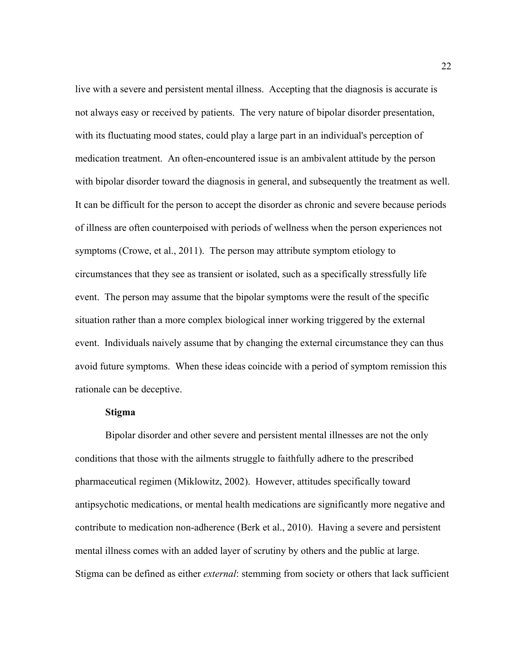live with a severe and persistent mental illness. Accepting that the diagnosis is accurate is not always easy or received by patients. The very nature of bipolar disorder presentation, with its fluctuating mood states, could play a large part in an individual's perception of medication treatment. An often-encountered issue is an ambivalent attitude by the person with bipolar disorder toward the diagnosis in general, and subsequently the treatment as well. It can be difficult for the person to accept the disorder as chronic and severe because periods of illness are often counterpoised with periods of wellness when the person experiences not symptoms (Crowe, et al., 2011). The person may attribute symptom etiology to circumstances that they see as transient or isolated, such as a specifically stressfully life event. The person may assume that the bipolar symptoms were the result of the specific situation rather than a more complex biological inner working triggered by the external event. Individuals naively assume that by changing the external circumstance they can thus avoid future symptoms. When these ideas coincide with a period of symptom remission this rationale can be deceptive.

#### **Stigma**

Bipolar disorder and other severe and persistent mental illnesses are not the only conditions that those with the ailments struggle to faithfully adhere to the prescribed pharmaceutical regimen (Miklowitz, 2002). However, attitudes specifically toward antipsychotic medications, or mental health medications are significantly more negative and contribute to medication non-adherence (Berk et al., 2010). Having a severe and persistent mental illness comes with an added layer of scrutiny by others and the public at large. Stigma can be defined as either *external*: stemming from society or others that lack sufficient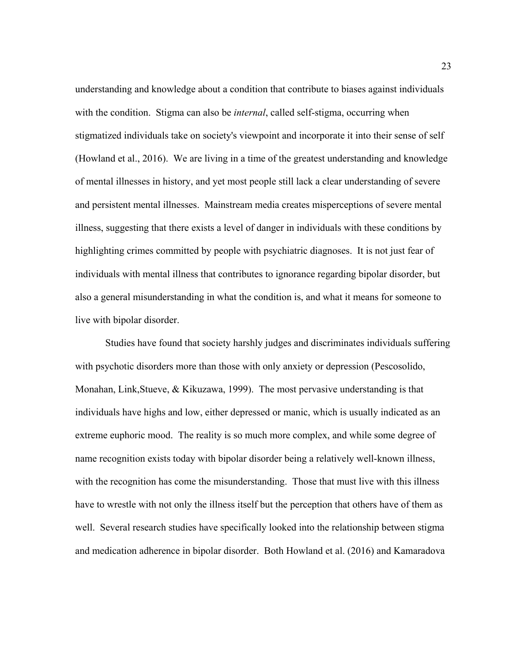understanding and knowledge about a condition that contribute to biases against individuals with the condition. Stigma can also be *internal*, called self-stigma, occurring when stigmatized individuals take on society's viewpoint and incorporate it into their sense of self (Howland et al., 2016). We are living in a time of the greatest understanding and knowledge of mental illnesses in history, and yet most people still lack a clear understanding of severe and persistent mental illnesses. Mainstream media creates misperceptions of severe mental illness, suggesting that there exists a level of danger in individuals with these conditions by highlighting crimes committed by people with psychiatric diagnoses. It is not just fear of individuals with mental illness that contributes to ignorance regarding bipolar disorder, but also a general misunderstanding in what the condition is, and what it means for someone to live with bipolar disorder.

Studies have found that society harshly judges and discriminates individuals suffering with psychotic disorders more than those with only anxiety or depression (Pescosolido, Monahan, Link, Stueve,  $\&$  Kikuzawa, 1999). The most pervasive understanding is that individuals have highs and low, either depressed or manic, which is usually indicated as an extreme euphoric mood. The reality is so much more complex, and while some degree of name recognition exists today with bipolar disorder being a relatively well-known illness, with the recognition has come the misunderstanding. Those that must live with this illness have to wrestle with not only the illness itself but the perception that others have of them as well. Several research studies have specifically looked into the relationship between stigma and medication adherence in bipolar disorder. Both Howland et al. (2016) and Kamaradova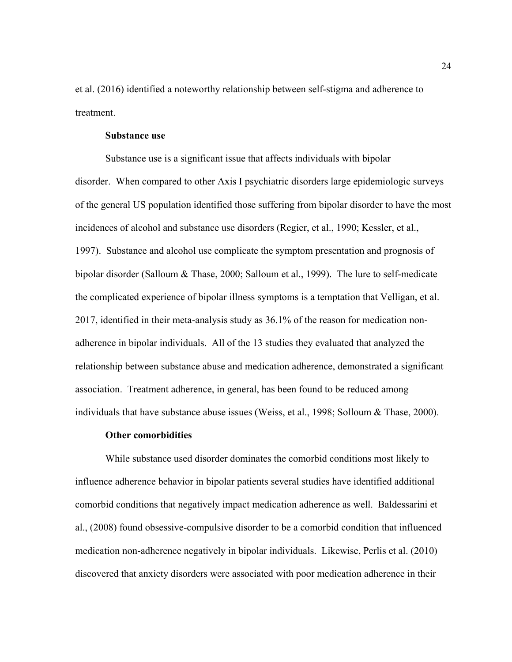et al. (2016) identified a noteworthy relationship between self-stigma and adherence to treatment.

## **Substance use**

Substance use is a significant issue that affects individuals with bipolar disorder. When compared to other Axis I psychiatric disorders large epidemiologic surveys of the general US population identified those suffering from bipolar disorder to have the most incidences of alcohol and substance use disorders (Regier, et al., 1990; Kessler, et al., 1997). Substance and alcohol use complicate the symptom presentation and prognosis of bipolar disorder (Salloum & Thase, 2000; Salloum et al., 1999). The lure to self-medicate the complicated experience of bipolar illness symptoms is a temptation that Velligan, et al. 2017, identified in their meta-analysis study as 36.1% of the reason for medication nonadherence in bipolar individuals. All of the 13 studies they evaluated that analyzed the relationship between substance abuse and medication adherence, demonstrated a significant association. Treatment adherence, in general, has been found to be reduced among individuals that have substance abuse issues (Weiss, et al., 1998; Solloum & Thase, 2000).

#### **Other comorbidities**

While substance used disorder dominates the comorbid conditions most likely to influence adherence behavior in bipolar patients several studies have identified additional comorbid conditions that negatively impact medication adherence as well. Baldessarini et al., (2008) found obsessive-compulsive disorder to be a comorbid condition that influenced medication non-adherence negatively in bipolar individuals. Likewise, Perlis et al. (2010) discovered that anxiety disorders were associated with poor medication adherence in their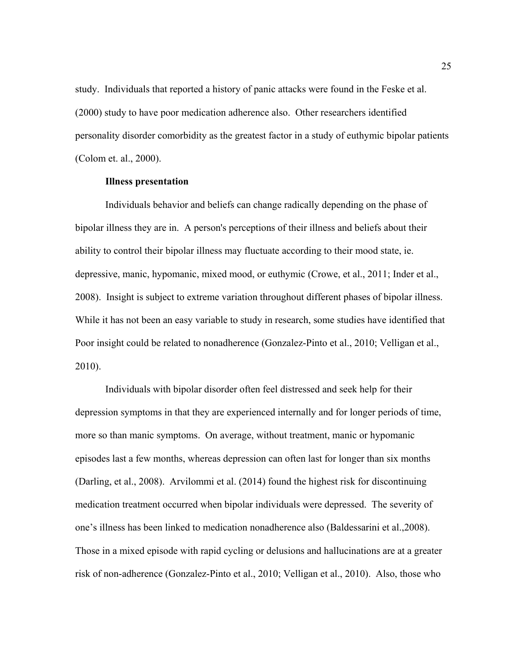study. Individuals that reported a history of panic attacks were found in the Feske et al. (2000) study to have poor medication adherence also. Other researchers identified personality disorder comorbidity as the greatest factor in a study of euthymic bipolar patients (Colom et. al., 2000).

## **Illness presentation**

Individuals behavior and beliefs can change radically depending on the phase of bipolar illness they are in. A person's perceptions of their illness and beliefs about their ability to control their bipolar illness may fluctuate according to their mood state, ie. depressive, manic, hypomanic, mixed mood, or euthymic (Crowe, et al., 2011; Inder et al., 2008). Insight is subject to extreme variation throughout different phases of bipolar illness. While it has not been an easy variable to study in research, some studies have identified that Poor insight could be related to nonadherence (Gonzalez-Pinto et al., 2010; Velligan et al., 2010).

Individuals with bipolar disorder often feel distressed and seek help for their depression symptoms in that they are experienced internally and for longer periods of time, more so than manic symptoms. On average, without treatment, manic or hypomanic episodes last a few months, whereas depression can often last for longer than six months (Darling, et al., 2008). Arvilommi et al. (2014) found the highest risk for discontinuing medication treatment occurred when bipolar individuals were depressed. The severity of one's illness has been linked to medication nonadherence also (Baldessarini et al.,2008). Those in a mixed episode with rapid cycling or delusions and hallucinations are at a greater risk of non-adherence (Gonzalez-Pinto et al., 2010; Velligan et al., 2010). Also, those who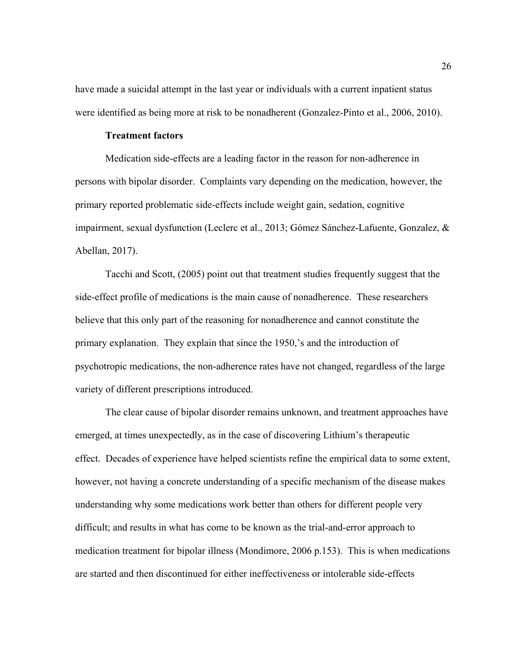have made a suicidal attempt in the last year or individuals with a current inpatient status were identified as being more at risk to be nonadherent (Gonzalez-Pinto et al., 2006, 2010).

## **Treatment factors**

Medication side-effects are a leading factor in the reason for non-adherence in persons with bipolar disorder. Complaints vary depending on the medication, however, the primary reported problematic side-effects include weight gain, sedation, cognitive impairment, sexual dysfunction (Leclerc et al., 2013; Gómez Sánchez-Lafuente, Gonzalez, & Abellan, 2017).

Tacchi and Scott, (2005) point out that treatment studies frequently suggest that the side-effect profile of medications is the main cause of nonadherence. These researchers believe that this only part of the reasoning for nonadherence and cannot constitute the primary explanation. They explain that since the 1950,'s and the introduction of psychotropic medications, the non-adherence rates have not changed, regardless of the large variety of different prescriptions introduced.

The clear cause of bipolar disorder remains unknown, and treatment approaches have emerged, at times unexpectedly, as in the case of discovering Lithium's therapeutic effect. Decades of experience have helped scientists refine the empirical data to some extent, however, not having a concrete understanding of a specific mechanism of the disease makes understanding why some medications work better than others for different people very difficult; and results in what has come to be known as the trial-and-error approach to medication treatment for bipolar illness (Mondimore, 2006 p.153). This is when medications are started and then discontinued for either ineffectiveness or intolerable side-effects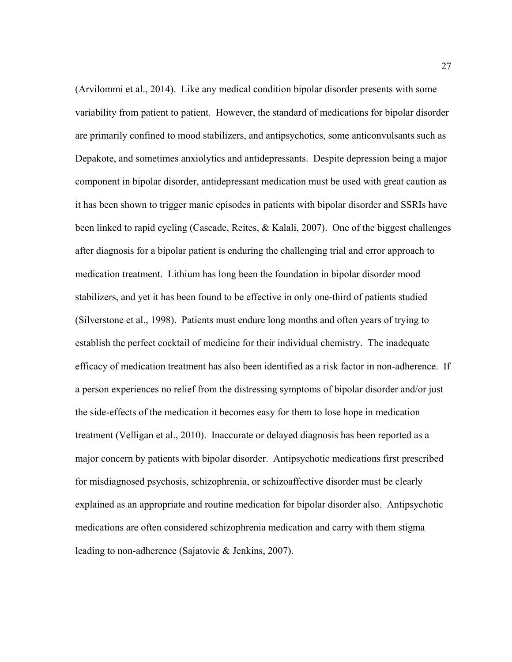(Arvilommi et al., 2014). Like any medical condition bipolar disorder presents with some variability from patient to patient. However, the standard of medications for bipolar disorder are primarily confined to mood stabilizers, and antipsychotics, some anticonvulsants such as Depakote, and sometimes anxiolytics and antidepressants. Despite depression being a major component in bipolar disorder, antidepressant medication must be used with great caution as it has been shown to trigger manic episodes in patients with bipolar disorder and SSRIs have been linked to rapid cycling (Cascade, Reites, & Kalali, 2007). One of the biggest challenges after diagnosis for a bipolar patient is enduring the challenging trial and error approach to medication treatment. Lithium has long been the foundation in bipolar disorder mood stabilizers, and yet it has been found to be effective in only one-third of patients studied (Silverstone et al., 1998). Patients must endure long months and often years of trying to establish the perfect cocktail of medicine for their individual chemistry. The inadequate efficacy of medication treatment has also been identified as a risk factor in non-adherence. If a person experiences no relief from the distressing symptoms of bipolar disorder and/or just the side-effects of the medication it becomes easy for them to lose hope in medication treatment (Velligan et al., 2010). Inaccurate or delayed diagnosis has been reported as a major concern by patients with bipolar disorder. Antipsychotic medications first prescribed for misdiagnosed psychosis, schizophrenia, or schizoaffective disorder must be clearly explained as an appropriate and routine medication for bipolar disorder also. Antipsychotic medications are often considered schizophrenia medication and carry with them stigma leading to non-adherence (Sajatovic & Jenkins, 2007).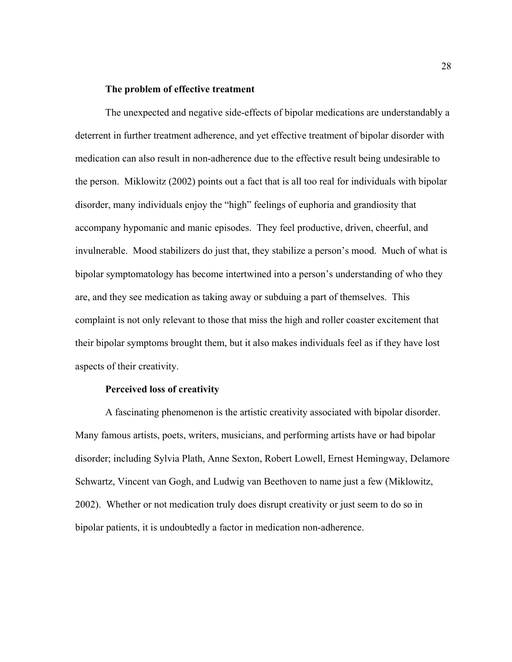# **The problem of effective treatment**

The unexpected and negative side-effects of bipolar medications are understandably a deterrent in further treatment adherence, and yet effective treatment of bipolar disorder with medication can also result in non-adherence due to the effective result being undesirable to the person. Miklowitz (2002) points out a fact that is all too real for individuals with bipolar disorder, many individuals enjoy the "high" feelings of euphoria and grandiosity that accompany hypomanic and manic episodes. They feel productive, driven, cheerful, and invulnerable. Mood stabilizers do just that, they stabilize a person's mood. Much of what is bipolar symptomatology has become intertwined into a person's understanding of who they are, and they see medication as taking away or subduing a part of themselves. This complaint is not only relevant to those that miss the high and roller coaster excitement that their bipolar symptoms brought them, but it also makes individuals feel as if they have lost aspects of their creativity.

# **Perceived loss of creativity**

A fascinating phenomenon is the artistic creativity associated with bipolar disorder. Many famous artists, poets, writers, musicians, and performing artists have or had bipolar disorder; including Sylvia Plath, Anne Sexton, Robert Lowell, Ernest Hemingway, Delamore Schwartz, Vincent van Gogh, and Ludwig van Beethoven to name just a few (Miklowitz, 2002). Whether or not medication truly does disrupt creativity or just seem to do so in bipolar patients, it is undoubtedly a factor in medication non-adherence.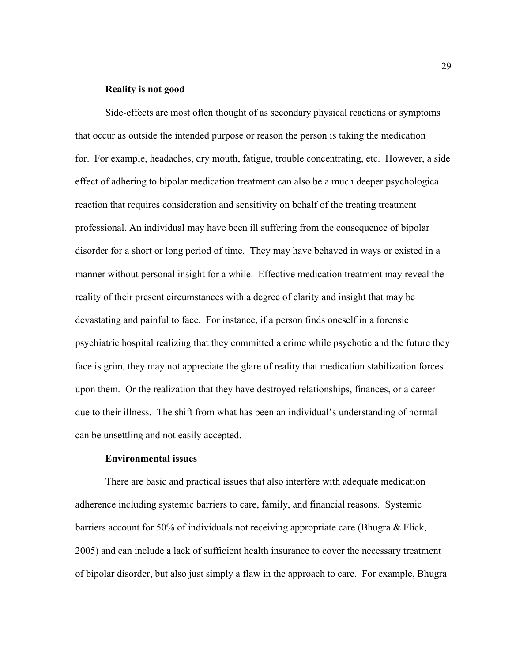### **Reality is not good**

Side-effects are most often thought of as secondary physical reactions or symptoms that occur as outside the intended purpose or reason the person is taking the medication for. For example, headaches, dry mouth, fatigue, trouble concentrating, etc. However, a side effect of adhering to bipolar medication treatment can also be a much deeper psychological reaction that requires consideration and sensitivity on behalf of the treating treatment professional. An individual may have been ill suffering from the consequence of bipolar disorder for a short or long period of time. They may have behaved in ways or existed in a manner without personal insight for a while. Effective medication treatment may reveal the reality of their present circumstances with a degree of clarity and insight that may be devastating and painful to face. For instance, if a person finds oneself in a forensic psychiatric hospital realizing that they committed a crime while psychotic and the future they face is grim, they may not appreciate the glare of reality that medication stabilization forces upon them. Or the realization that they have destroyed relationships, finances, or a career due to their illness. The shift from what has been an individual's understanding of normal can be unsettling and not easily accepted.

#### **Environmental issues**

There are basic and practical issues that also interfere with adequate medication adherence including systemic barriers to care, family, and financial reasons. Systemic barriers account for 50% of individuals not receiving appropriate care (Bhugra & Flick, 2005) and can include a lack of sufficient health insurance to cover the necessary treatment of bipolar disorder, but also just simply a flaw in the approach to care. For example, Bhugra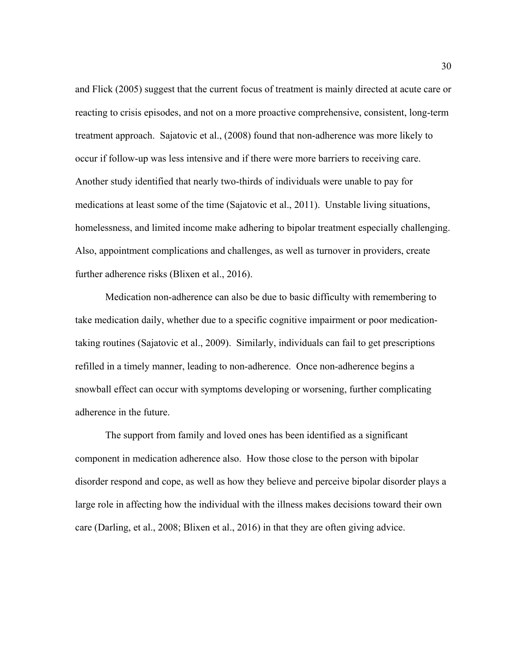and Flick (2005) suggest that the current focus of treatment is mainly directed at acute care or reacting to crisis episodes, and not on a more proactive comprehensive, consistent, long-term treatment approach. Sajatovic et al., (2008) found that non-adherence was more likely to occur if follow-up was less intensive and if there were more barriers to receiving care. Another study identified that nearly two-thirds of individuals were unable to pay for medications at least some of the time (Sajatovic et al., 2011). Unstable living situations, homelessness, and limited income make adhering to bipolar treatment especially challenging. Also, appointment complications and challenges, as well as turnover in providers, create further adherence risks (Blixen et al., 2016).

Medication non-adherence can also be due to basic difficulty with remembering to take medication daily, whether due to a specific cognitive impairment or poor medicationtaking routines (Sajatovic et al., 2009). Similarly, individuals can fail to get prescriptions refilled in a timely manner, leading to non-adherence. Once non-adherence begins a snowball effect can occur with symptoms developing or worsening, further complicating adherence in the future.

The support from family and loved ones has been identified as a significant component in medication adherence also. How those close to the person with bipolar disorder respond and cope, as well as how they believe and perceive bipolar disorder plays a large role in affecting how the individual with the illness makes decisions toward their own care (Darling, et al., 2008; Blixen et al., 2016) in that they are often giving advice.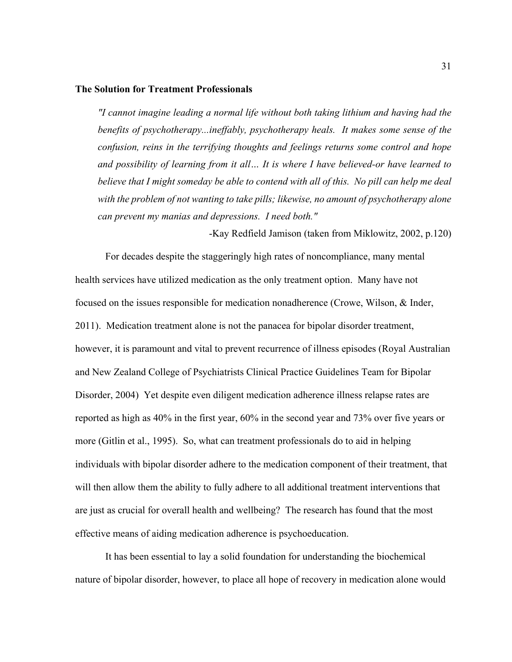### **The Solution for Treatment Professionals**

*"I cannot imagine leading a normal life without both taking lithium and having had the benefits of psychotherapy...ineffably, psychotherapy heals. It makes some sense of the confusion, reins in the terrifying thoughts and feelings returns some control and hope and possibility of learning from it all… It is where I have believed-or have learned to believe that I might someday be able to contend with all of this. No pill can help me deal with the problem of not wanting to take pills; likewise, no amount of psychotherapy alone can prevent my manias and depressions. I need both."*

-Kay Redfield Jamison (taken from Miklowitz, 2002, p.120)

For decades despite the staggeringly high rates of noncompliance, many mental health services have utilized medication as the only treatment option. Many have not focused on the issues responsible for medication nonadherence (Crowe, Wilson, & Inder, 2011). Medication treatment alone is not the panacea for bipolar disorder treatment, however, it is paramount and vital to prevent recurrence of illness episodes (Royal Australian and New Zealand College of Psychiatrists Clinical Practice Guidelines Team for Bipolar Disorder, 2004) Yet despite even diligent medication adherence illness relapse rates are reported as high as 40% in the first year, 60% in the second year and 73% over five years or more (Gitlin et al., 1995). So, what can treatment professionals do to aid in helping individuals with bipolar disorder adhere to the medication component of their treatment, that will then allow them the ability to fully adhere to all additional treatment interventions that are just as crucial for overall health and wellbeing? The research has found that the most effective means of aiding medication adherence is psychoeducation.

It has been essential to lay a solid foundation for understanding the biochemical nature of bipolar disorder, however, to place all hope of recovery in medication alone would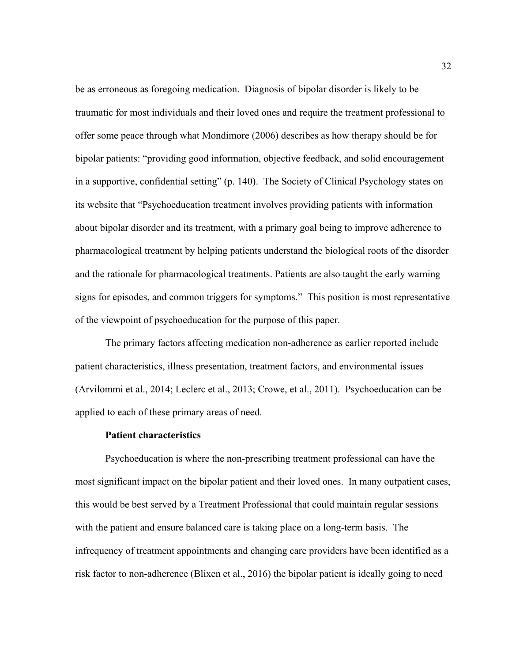be as erroneous as foregoing medication. Diagnosis of bipolar disorder is likely to be traumatic for most individuals and their loved ones and require the treatment professional to offer some peace through what Mondimore (2006) describes as how therapy should be for bipolar patients: "providing good information, objective feedback, and solid encouragement in a supportive, confidential setting" (p. 140). The Society of Clinical Psychology states on its website that "Psychoeducation treatment involves providing patients with information about bipolar disorder and its treatment, with a primary goal being to improve adherence to pharmacological treatment by helping patients understand the biological roots of the disorder and the rationale for pharmacological treatments. Patients are also taught the early warning signs for episodes, and common triggers for symptoms." This position is most representative of the viewpoint of psychoeducation for the purpose of this paper.

The primary factors affecting medication non-adherence as earlier reported include patient characteristics, illness presentation, treatment factors, and environmental issues (Arvilommi et al., 2014; Leclerc et al., 2013; Crowe, et al., 2011). Psychoeducation can be applied to each of these primary areas of need.

#### **Patient characteristics**

Psychoeducation is where the non-prescribing treatment professional can have the most significant impact on the bipolar patient and their loved ones. In many outpatient cases, this would be best served by a Treatment Professional that could maintain regular sessions with the patient and ensure balanced care is taking place on a long-term basis. The infrequency of treatment appointments and changing care providers have been identified as a risk factor to non-adherence (Blixen et al., 2016) the bipolar patient is ideally going to need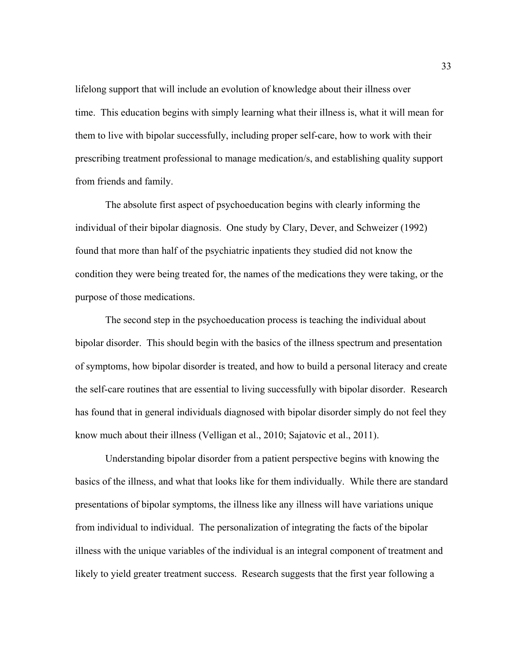lifelong support that will include an evolution of knowledge about their illness over time. This education begins with simply learning what their illness is, what it will mean for them to live with bipolar successfully, including proper self-care, how to work with their prescribing treatment professional to manage medication/s, and establishing quality support from friends and family.

The absolute first aspect of psychoeducation begins with clearly informing the individual of their bipolar diagnosis. One study by Clary, Dever, and Schweizer (1992) found that more than half of the psychiatric inpatients they studied did not know the condition they were being treated for, the names of the medications they were taking, or the purpose of those medications.

The second step in the psychoeducation process is teaching the individual about bipolar disorder. This should begin with the basics of the illness spectrum and presentation of symptoms, how bipolar disorder is treated, and how to build a personal literacy and create the self-care routines that are essential to living successfully with bipolar disorder. Research has found that in general individuals diagnosed with bipolar disorder simply do not feel they know much about their illness (Velligan et al., 2010; Sajatovic et al., 2011).

Understanding bipolar disorder from a patient perspective begins with knowing the basics of the illness, and what that looks like for them individually. While there are standard presentations of bipolar symptoms, the illness like any illness will have variations unique from individual to individual. The personalization of integrating the facts of the bipolar illness with the unique variables of the individual is an integral component of treatment and likely to yield greater treatment success. Research suggests that the first year following a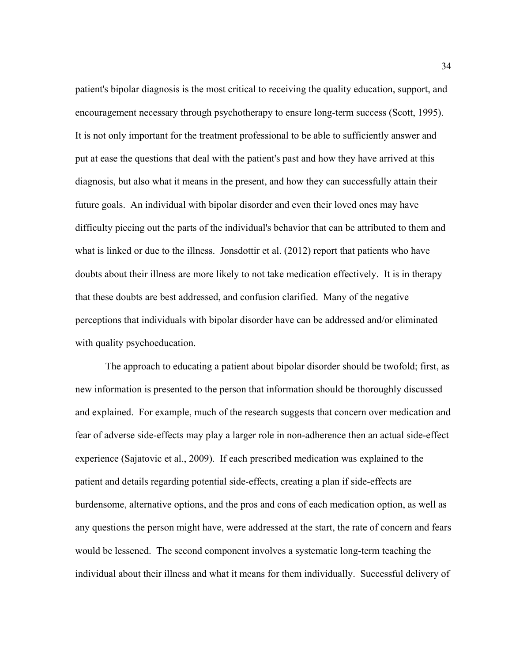patient's bipolar diagnosis is the most critical to receiving the quality education, support, and encouragement necessary through psychotherapy to ensure long-term success (Scott, 1995). It is not only important for the treatment professional to be able to sufficiently answer and put at ease the questions that deal with the patient's past and how they have arrived at this diagnosis, but also what it means in the present, and how they can successfully attain their future goals. An individual with bipolar disorder and even their loved ones may have difficulty piecing out the parts of the individual's behavior that can be attributed to them and what is linked or due to the illness. Jonsdottir et al. (2012) report that patients who have doubts about their illness are more likely to not take medication effectively. It is in therapy that these doubts are best addressed, and confusion clarified. Many of the negative perceptions that individuals with bipolar disorder have can be addressed and/or eliminated with quality psychoeducation.

The approach to educating a patient about bipolar disorder should be twofold; first, as new information is presented to the person that information should be thoroughly discussed and explained. For example, much of the research suggests that concern over medication and fear of adverse side-effects may play a larger role in non-adherence then an actual side-effect experience (Sajatovic et al., 2009). If each prescribed medication was explained to the patient and details regarding potential side-effects, creating a plan if side-effects are burdensome, alternative options, and the pros and cons of each medication option, as well as any questions the person might have, were addressed at the start, the rate of concern and fears would be lessened. The second component involves a systematic long-term teaching the individual about their illness and what it means for them individually. Successful delivery of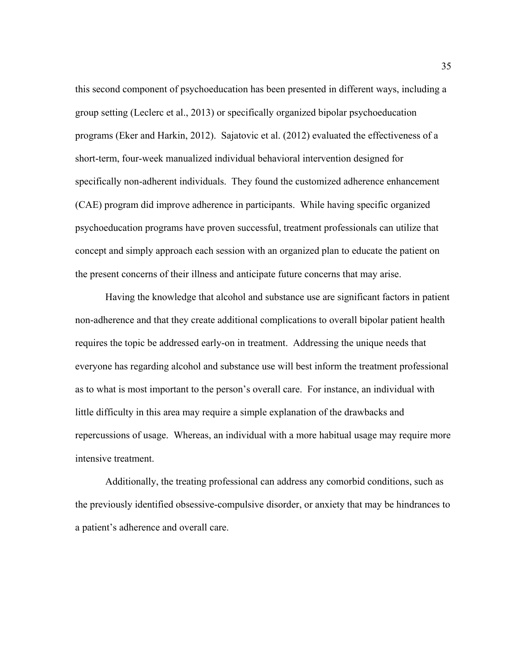this second component of psychoeducation has been presented in different ways, including a group setting (Leclerc et al., 2013) or specifically organized bipolar psychoeducation programs (Eker and Harkin, 2012). Sajatovic et al. (2012) evaluated the effectiveness of a short-term, four-week manualized individual behavioral intervention designed for specifically non-adherent individuals. They found the customized adherence enhancement (CAE) program did improve adherence in participants. While having specific organized psychoeducation programs have proven successful, treatment professionals can utilize that concept and simply approach each session with an organized plan to educate the patient on the present concerns of their illness and anticipate future concerns that may arise.

Having the knowledge that alcohol and substance use are significant factors in patient non-adherence and that they create additional complications to overall bipolar patient health requires the topic be addressed early-on in treatment. Addressing the unique needs that everyone has regarding alcohol and substance use will best inform the treatment professional as to what is most important to the person's overall care. For instance, an individual with little difficulty in this area may require a simple explanation of the drawbacks and repercussions of usage. Whereas, an individual with a more habitual usage may require more intensive treatment.

Additionally, the treating professional can address any comorbid conditions, such as the previously identified obsessive-compulsive disorder, or anxiety that may be hindrances to a patient's adherence and overall care.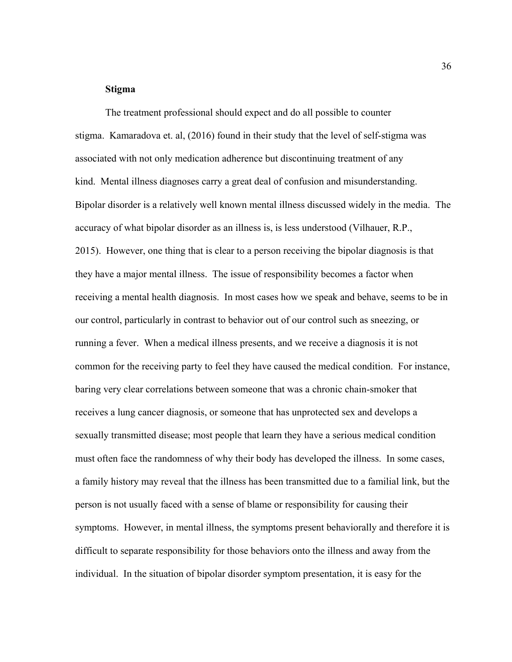#### **Stigma**

The treatment professional should expect and do all possible to counter stigma. Kamaradova et. al, (2016) found in their study that the level of self-stigma was associated with not only medication adherence but discontinuing treatment of any kind. Mental illness diagnoses carry a great deal of confusion and misunderstanding. Bipolar disorder is a relatively well known mental illness discussed widely in the media. The accuracy of what bipolar disorder as an illness is, is less understood (Vilhauer, R.P., 2015). However, one thing that is clear to a person receiving the bipolar diagnosis is that they have a major mental illness. The issue of responsibility becomes a factor when receiving a mental health diagnosis. In most cases how we speak and behave, seems to be in our control, particularly in contrast to behavior out of our control such as sneezing, or running a fever. When a medical illness presents, and we receive a diagnosis it is not common for the receiving party to feel they have caused the medical condition. For instance, baring very clear correlations between someone that was a chronic chain-smoker that receives a lung cancer diagnosis, or someone that has unprotected sex and develops a sexually transmitted disease; most people that learn they have a serious medical condition must often face the randomness of why their body has developed the illness. In some cases, a family history may reveal that the illness has been transmitted due to a familial link, but the person is not usually faced with a sense of blame or responsibility for causing their symptoms. However, in mental illness, the symptoms present behaviorally and therefore it is difficult to separate responsibility for those behaviors onto the illness and away from the individual. In the situation of bipolar disorder symptom presentation, it is easy for the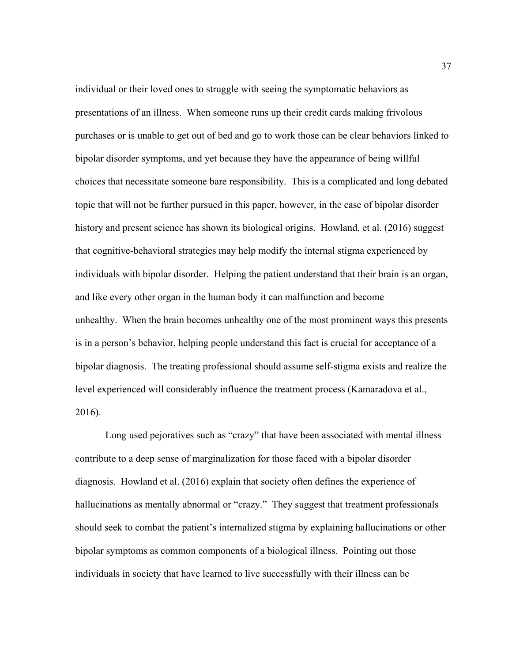individual or their loved ones to struggle with seeing the symptomatic behaviors as presentations of an illness. When someone runs up their credit cards making frivolous purchases or is unable to get out of bed and go to work those can be clear behaviors linked to bipolar disorder symptoms, and yet because they have the appearance of being willful choices that necessitate someone bare responsibility. This is a complicated and long debated topic that will not be further pursued in this paper, however, in the case of bipolar disorder history and present science has shown its biological origins. Howland, et al. (2016) suggest that cognitive-behavioral strategies may help modify the internal stigma experienced by individuals with bipolar disorder. Helping the patient understand that their brain is an organ, and like every other organ in the human body it can malfunction and become unhealthy. When the brain becomes unhealthy one of the most prominent ways this presents is in a person's behavior, helping people understand this fact is crucial for acceptance of a bipolar diagnosis. The treating professional should assume self-stigma exists and realize the level experienced will considerably influence the treatment process (Kamaradova et al., 2016).

Long used pejoratives such as "crazy" that have been associated with mental illness contribute to a deep sense of marginalization for those faced with a bipolar disorder diagnosis. Howland et al. (2016) explain that society often defines the experience of hallucinations as mentally abnormal or "crazy." They suggest that treatment professionals should seek to combat the patient's internalized stigma by explaining hallucinations or other bipolar symptoms as common components of a biological illness. Pointing out those individuals in society that have learned to live successfully with their illness can be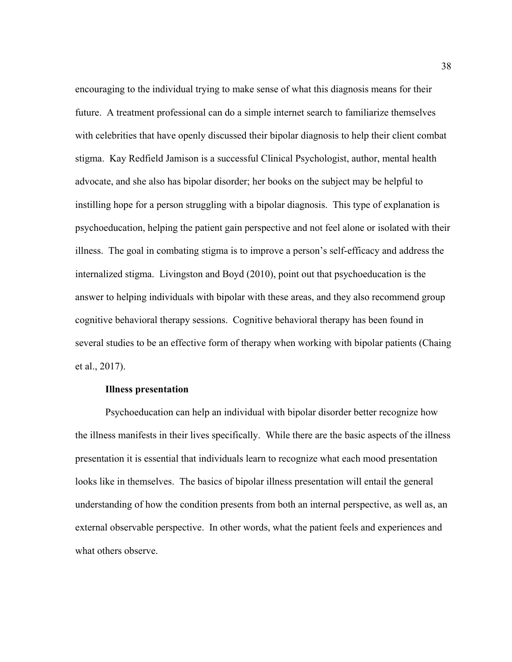encouraging to the individual trying to make sense of what this diagnosis means for their future. A treatment professional can do a simple internet search to familiarize themselves with celebrities that have openly discussed their bipolar diagnosis to help their client combat stigma. Kay Redfield Jamison is a successful Clinical Psychologist, author, mental health advocate, and she also has bipolar disorder; her books on the subject may be helpful to instilling hope for a person struggling with a bipolar diagnosis. This type of explanation is psychoeducation, helping the patient gain perspective and not feel alone or isolated with their illness. The goal in combating stigma is to improve a person's self-efficacy and address the internalized stigma. Livingston and Boyd (2010), point out that psychoeducation is the answer to helping individuals with bipolar with these areas, and they also recommend group cognitive behavioral therapy sessions. Cognitive behavioral therapy has been found in several studies to be an effective form of therapy when working with bipolar patients (Chaing et al., 2017).

# **Illness presentation**

Psychoeducation can help an individual with bipolar disorder better recognize how the illness manifests in their lives specifically. While there are the basic aspects of the illness presentation it is essential that individuals learn to recognize what each mood presentation looks like in themselves. The basics of bipolar illness presentation will entail the general understanding of how the condition presents from both an internal perspective, as well as, an external observable perspective. In other words, what the patient feels and experiences and what others observe.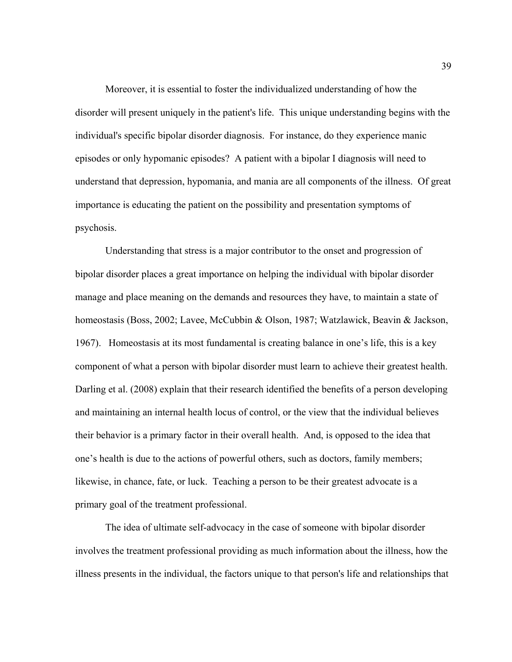Moreover, it is essential to foster the individualized understanding of how the disorder will present uniquely in the patient's life. This unique understanding begins with the individual's specific bipolar disorder diagnosis. For instance, do they experience manic episodes or only hypomanic episodes? A patient with a bipolar I diagnosis will need to understand that depression, hypomania, and mania are all components of the illness. Of great importance is educating the patient on the possibility and presentation symptoms of psychosis.

Understanding that stress is a major contributor to the onset and progression of bipolar disorder places a great importance on helping the individual with bipolar disorder manage and place meaning on the demands and resources they have, to maintain a state of homeostasis (Boss, 2002; Lavee, McCubbin & Olson, 1987; Watzlawick, Beavin & Jackson, 1967). Homeostasis at its most fundamental is creating balance in one's life, this is a key component of what a person with bipolar disorder must learn to achieve their greatest health. Darling et al. (2008) explain that their research identified the benefits of a person developing and maintaining an internal health locus of control, or the view that the individual believes their behavior is a primary factor in their overall health. And, is opposed to the idea that one's health is due to the actions of powerful others, such as doctors, family members; likewise, in chance, fate, or luck. Teaching a person to be their greatest advocate is a primary goal of the treatment professional.

The idea of ultimate self-advocacy in the case of someone with bipolar disorder involves the treatment professional providing as much information about the illness, how the illness presents in the individual, the factors unique to that person's life and relationships that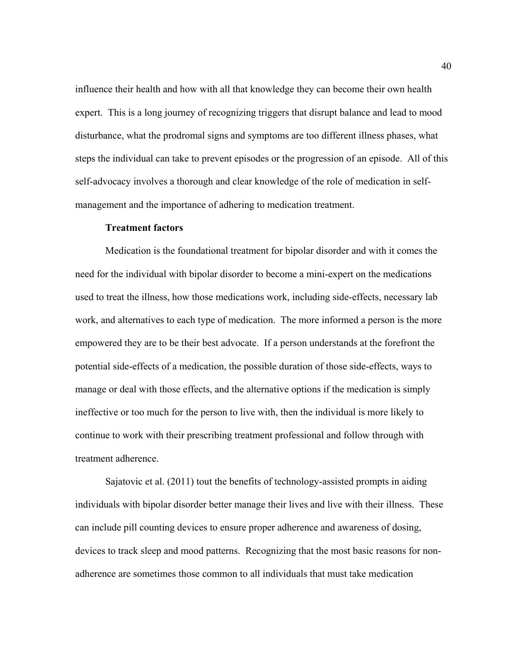influence their health and how with all that knowledge they can become their own health expert. This is a long journey of recognizing triggers that disrupt balance and lead to mood disturbance, what the prodromal signs and symptoms are too different illness phases, what steps the individual can take to prevent episodes or the progression of an episode. All of this self-advocacy involves a thorough and clear knowledge of the role of medication in selfmanagement and the importance of adhering to medication treatment.

#### **Treatment factors**

Medication is the foundational treatment for bipolar disorder and with it comes the need for the individual with bipolar disorder to become a mini-expert on the medications used to treat the illness, how those medications work, including side-effects, necessary lab work, and alternatives to each type of medication. The more informed a person is the more empowered they are to be their best advocate. If a person understands at the forefront the potential side-effects of a medication, the possible duration of those side-effects, ways to manage or deal with those effects, and the alternative options if the medication is simply ineffective or too much for the person to live with, then the individual is more likely to continue to work with their prescribing treatment professional and follow through with treatment adherence.

Sajatovic et al. (2011) tout the benefits of technology-assisted prompts in aiding individuals with bipolar disorder better manage their lives and live with their illness. These can include pill counting devices to ensure proper adherence and awareness of dosing, devices to track sleep and mood patterns. Recognizing that the most basic reasons for nonadherence are sometimes those common to all individuals that must take medication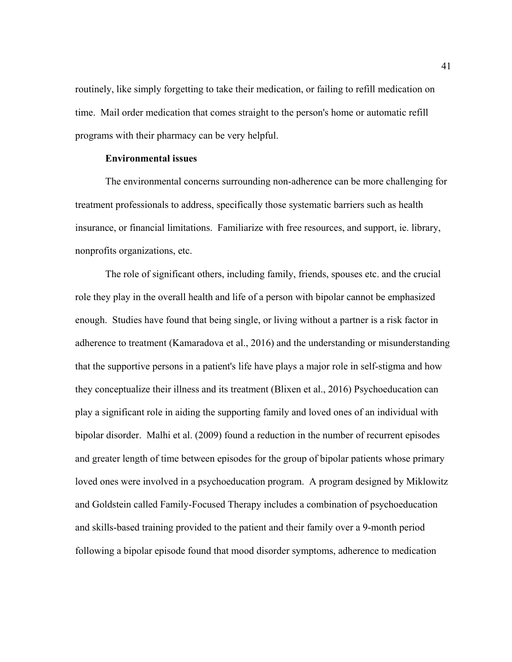routinely, like simply forgetting to take their medication, or failing to refill medication on time. Mail order medication that comes straight to the person's home or automatic refill programs with their pharmacy can be very helpful.

# **Environmental issues**

The environmental concerns surrounding non-adherence can be more challenging for treatment professionals to address, specifically those systematic barriers such as health insurance, or financial limitations. Familiarize with free resources, and support, ie. library, nonprofits organizations, etc.

The role of significant others, including family, friends, spouses etc. and the crucial role they play in the overall health and life of a person with bipolar cannot be emphasized enough. Studies have found that being single, or living without a partner is a risk factor in adherence to treatment (Kamaradova et al., 2016) and the understanding or misunderstanding that the supportive persons in a patient's life have plays a major role in self-stigma and how they conceptualize their illness and its treatment (Blixen et al., 2016) Psychoeducation can play a significant role in aiding the supporting family and loved ones of an individual with bipolar disorder. Malhi et al. (2009) found a reduction in the number of recurrent episodes and greater length of time between episodes for the group of bipolar patients whose primary loved ones were involved in a psychoeducation program. A program designed by Miklowitz and Goldstein called Family-Focused Therapy includes a combination of psychoeducation and skills-based training provided to the patient and their family over a 9-month period following a bipolar episode found that mood disorder symptoms, adherence to medication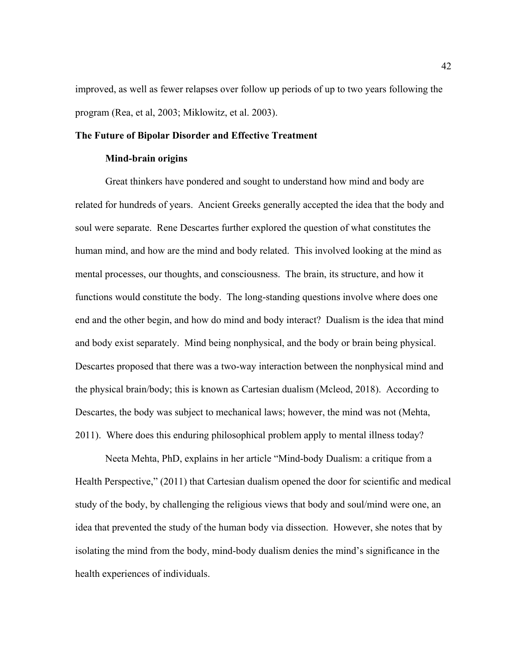improved, as well as fewer relapses over follow up periods of up to two years following the program (Rea, et al, 2003; Miklowitz, et al. 2003).

# **The Future of Bipolar Disorder and Effective Treatment**

#### **Mind-brain origins**

Great thinkers have pondered and sought to understand how mind and body are related for hundreds of years. Ancient Greeks generally accepted the idea that the body and soul were separate. Rene Descartes further explored the question of what constitutes the human mind, and how are the mind and body related. This involved looking at the mind as mental processes, our thoughts, and consciousness. The brain, its structure, and how it functions would constitute the body. The long-standing questions involve where does one end and the other begin, and how do mind and body interact? Dualism is the idea that mind and body exist separately. Mind being nonphysical, and the body or brain being physical. Descartes proposed that there was a two-way interaction between the nonphysical mind and the physical brain/body; this is known as Cartesian dualism (Mcleod, 2018). According to Descartes, the body was subject to mechanical laws; however, the mind was not (Mehta, 2011). Where does this enduring philosophical problem apply to mental illness today?

Neeta Mehta, PhD, explains in her article "Mind-body Dualism: a critique from a Health Perspective," (2011) that Cartesian dualism opened the door for scientific and medical study of the body, by challenging the religious views that body and soul/mind were one, an idea that prevented the study of the human body via dissection. However, she notes that by isolating the mind from the body, mind-body dualism denies the mind's significance in the health experiences of individuals.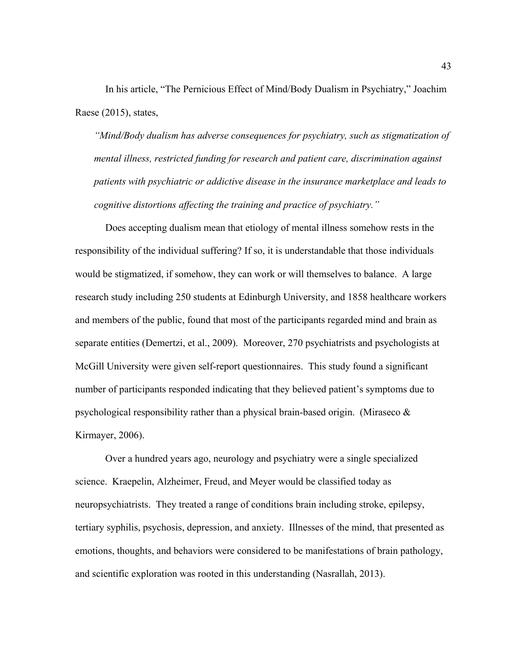In his article, "The Pernicious Effect of Mind/Body Dualism in Psychiatry," Joachim Raese (2015), states,

*"Mind/Body dualism has adverse consequences for psychiatry, such as stigmatization of mental illness, restricted funding for research and patient care, discrimination against patients with psychiatric or addictive disease in the insurance marketplace and leads to cognitive distortions affecting the training and practice of psychiatry."*

Does accepting dualism mean that etiology of mental illness somehow rests in the responsibility of the individual suffering? If so, it is understandable that those individuals would be stigmatized, if somehow, they can work or will themselves to balance. A large research study including 250 students at Edinburgh University, and 1858 healthcare workers and members of the public, found that most of the participants regarded mind and brain as separate entities (Demertzi, et al., 2009). Moreover, 270 psychiatrists and psychologists at McGill University were given self-report questionnaires. This study found a significant number of participants responded indicating that they believed patient's symptoms due to psychological responsibility rather than a physical brain-based origin. (Miraseco  $\&$ Kirmayer, 2006).

Over a hundred years ago, neurology and psychiatry were a single specialized science. Kraepelin, Alzheimer, Freud, and Meyer would be classified today as neuropsychiatrists. They treated a range of conditions brain including stroke, epilepsy, tertiary syphilis, psychosis, depression, and anxiety. Illnesses of the mind, that presented as emotions, thoughts, and behaviors were considered to be manifestations of brain pathology, and scientific exploration was rooted in this understanding (Nasrallah, 2013).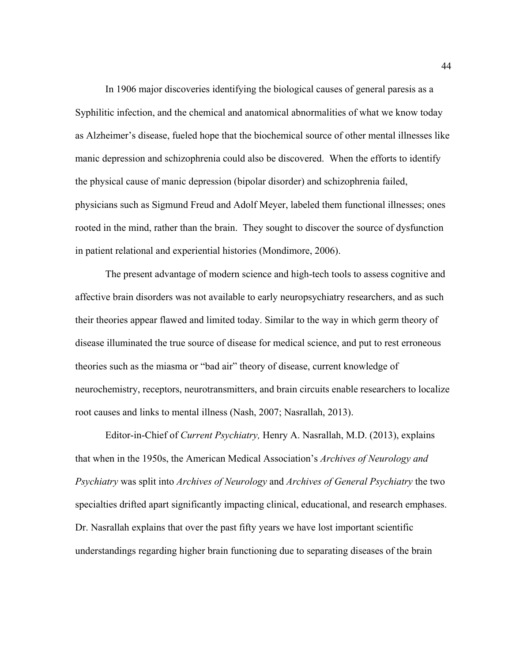In 1906 major discoveries identifying the biological causes of general paresis as a Syphilitic infection, and the chemical and anatomical abnormalities of what we know today as Alzheimer's disease, fueled hope that the biochemical source of other mental illnesses like manic depression and schizophrenia could also be discovered. When the efforts to identify the physical cause of manic depression (bipolar disorder) and schizophrenia failed, physicians such as Sigmund Freud and Adolf Meyer, labeled them functional illnesses; ones rooted in the mind, rather than the brain. They sought to discover the source of dysfunction in patient relational and experiential histories (Mondimore, 2006).

The present advantage of modern science and high-tech tools to assess cognitive and affective brain disorders was not available to early neuropsychiatry researchers, and as such their theories appear flawed and limited today. Similar to the way in which germ theory of disease illuminated the true source of disease for medical science, and put to rest erroneous theories such as the miasma or "bad air" theory of disease, current knowledge of neurochemistry, receptors, neurotransmitters, and brain circuits enable researchers to localize root causes and links to mental illness (Nash, 2007; Nasrallah, 2013).

Editor-in-Chief of *Current Psychiatry,* Henry A. Nasrallah, M.D. (2013), explains that when in the 1950s, the American Medical Association's *Archives of Neurology and Psychiatry* was split into *Archives of Neurology* and *Archives of General Psychiatry* the two specialties drifted apart significantly impacting clinical, educational, and research emphases. Dr. Nasrallah explains that over the past fifty years we have lost important scientific understandings regarding higher brain functioning due to separating diseases of the brain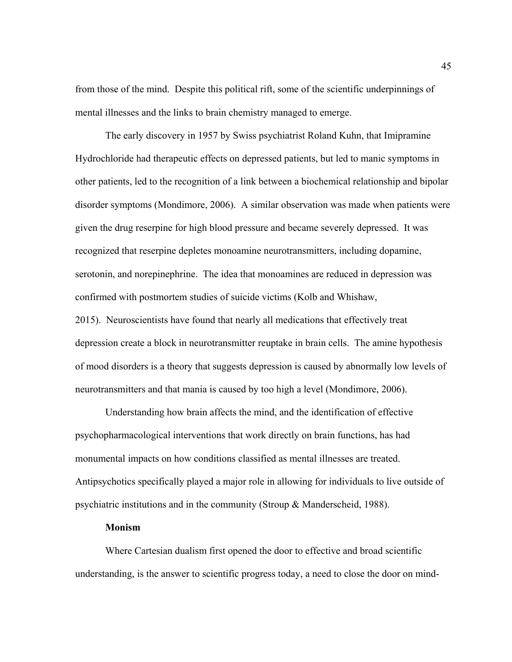from those of the mind. Despite this political rift, some of the scientific underpinnings of mental illnesses and the links to brain chemistry managed to emerge.

The early discovery in 1957 by Swiss psychiatrist Roland Kuhn, that Imipramine Hydrochloride had therapeutic effects on depressed patients, but led to manic symptoms in other patients, led to the recognition of a link between a biochemical relationship and bipolar disorder symptoms (Mondimore, 2006). A similar observation was made when patients were given the drug reserpine for high blood pressure and became severely depressed. It was recognized that reserpine depletes monoamine neurotransmitters, including dopamine, serotonin, and norepinephrine. The idea that monoamines are reduced in depression was confirmed with postmortem studies of suicide victims (Kolb and Whishaw,

2015). Neuroscientists have found that nearly all medications that effectively treat depression create a block in neurotransmitter reuptake in brain cells. The amine hypothesis of mood disorders is a theory that suggests depression is caused by abnormally low levels of neurotransmitters and that mania is caused by too high a level (Mondimore, 2006).

Understanding how brain affects the mind, and the identification of effective psychopharmacological interventions that work directly on brain functions, has had monumental impacts on how conditions classified as mental illnesses are treated. Antipsychotics specifically played a major role in allowing for individuals to live outside of psychiatric institutions and in the community (Stroup & Manderscheid, 1988).

#### **Monism**

Where Cartesian dualism first opened the door to effective and broad scientific understanding, is the answer to scientific progress today, a need to close the door on mind-

45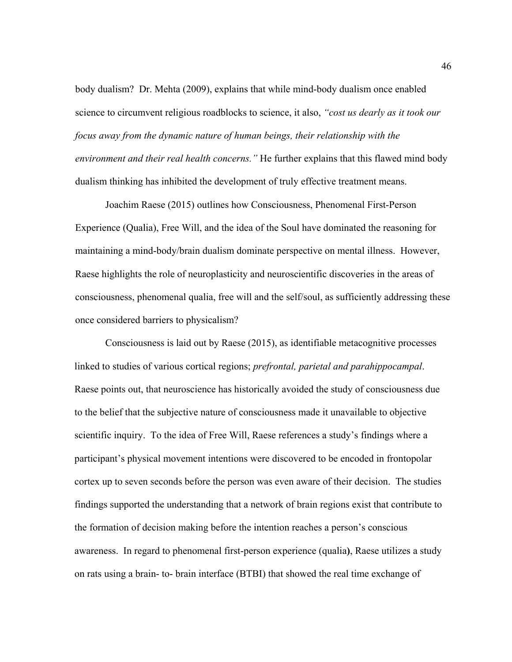body dualism? Dr. Mehta (2009), explains that while mind-body dualism once enabled science to circumvent religious roadblocks to science, it also, *"cost us dearly as it took our focus away from the dynamic nature of human beings, their relationship with the environment and their real health concerns."* He further explains that this flawed mind body dualism thinking has inhibited the development of truly effective treatment means.

Joachim Raese (2015) outlines how Consciousness, Phenomenal First-Person Experience (Qualia), Free Will, and the idea of the Soul have dominated the reasoning for maintaining a mind-body/brain dualism dominate perspective on mental illness. However, Raese highlights the role of neuroplasticity and neuroscientific discoveries in the areas of consciousness, phenomenal qualia, free will and the self/soul, as sufficiently addressing these once considered barriers to physicalism?

Consciousness is laid out by Raese (2015), as identifiable metacognitive processes linked to studies of various cortical regions; *prefrontal, parietal and parahippocampal*. Raese points out, that neuroscience has historically avoided the study of consciousness due to the belief that the subjective nature of consciousness made it unavailable to objective scientific inquiry. To the idea of Free Will, Raese references a study's findings where a participant's physical movement intentions were discovered to be encoded in frontopolar cortex up to seven seconds before the person was even aware of their decision. The studies findings supported the understanding that a network of brain regions exist that contribute to the formation of decision making before the intention reaches a person's conscious awareness. In regard to phenomenal first-person experience (qualia**)**, Raese utilizes a study on rats using a brain- to- brain interface (BTBI) that showed the real time exchange of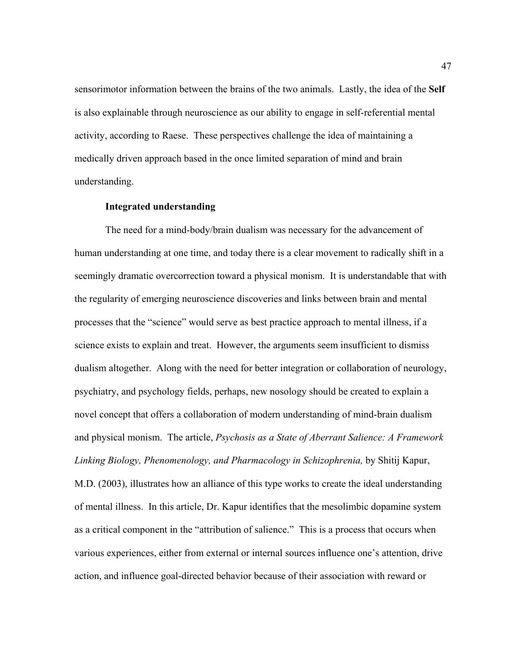sensorimotor information between the brains of the two animals. Lastly, the idea of the **Self** is also explainable through neuroscience as our ability to engage in self-referential mental activity, according to Raese. These perspectives challenge the idea of maintaining a medically driven approach based in the once limited separation of mind and brain understanding.

# **Integrated understanding**

The need for a mind-body/brain dualism was necessary for the advancement of human understanding at one time, and today there is a clear movement to radically shift in a seemingly dramatic overcorrection toward a physical monism. It is understandable that with the regularity of emerging neuroscience discoveries and links between brain and mental processes that the "science" would serve as best practice approach to mental illness, if a science exists to explain and treat. However, the arguments seem insufficient to dismiss dualism altogether. Along with the need for better integration or collaboration of neurology, psychiatry, and psychology fields, perhaps, new nosology should be created to explain a novel concept that offers a collaboration of modern understanding of mind-brain dualism and physical monism. The article, *Psychosis as a State of Aberrant Salience: A Framework Linking Biology, Phenomenology, and Pharmacology in Schizophrenia,* by Shitij Kapur, M.D. (2003), illustrates how an alliance of this type works to create the ideal understanding of mental illness. In this article, Dr. Kapur identifies that the mesolimbic dopamine system as a critical component in the "attribution of salience." This is a process that occurs when various experiences, either from external or internal sources influence one's attention, drive action, and influence goal-directed behavior because of their association with reward or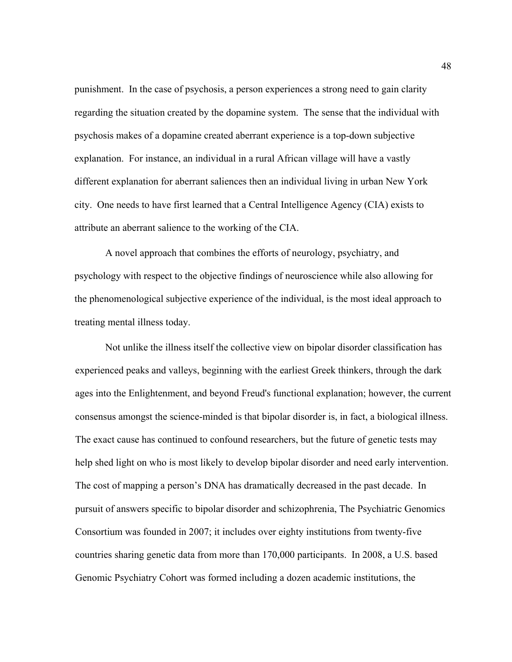punishment. In the case of psychosis, a person experiences a strong need to gain clarity regarding the situation created by the dopamine system. The sense that the individual with psychosis makes of a dopamine created aberrant experience is a top-down subjective explanation. For instance, an individual in a rural African village will have a vastly different explanation for aberrant saliences then an individual living in urban New York city. One needs to have first learned that a Central Intelligence Agency (CIA) exists to attribute an aberrant salience to the working of the CIA.

A novel approach that combines the efforts of neurology, psychiatry, and psychology with respect to the objective findings of neuroscience while also allowing for the phenomenological subjective experience of the individual, is the most ideal approach to treating mental illness today.

Not unlike the illness itself the collective view on bipolar disorder classification has experienced peaks and valleys, beginning with the earliest Greek thinkers, through the dark ages into the Enlightenment, and beyond Freud's functional explanation; however, the current consensus amongst the science-minded is that bipolar disorder is, in fact, a biological illness. The exact cause has continued to confound researchers, but the future of genetic tests may help shed light on who is most likely to develop bipolar disorder and need early intervention. The cost of mapping a person's DNA has dramatically decreased in the past decade. In pursuit of answers specific to bipolar disorder and schizophrenia, The Psychiatric Genomics Consortium was founded in 2007; it includes over eighty institutions from twenty-five countries sharing genetic data from more than 170,000 participants. In 2008, a U.S. based Genomic Psychiatry Cohort was formed including a dozen academic institutions, the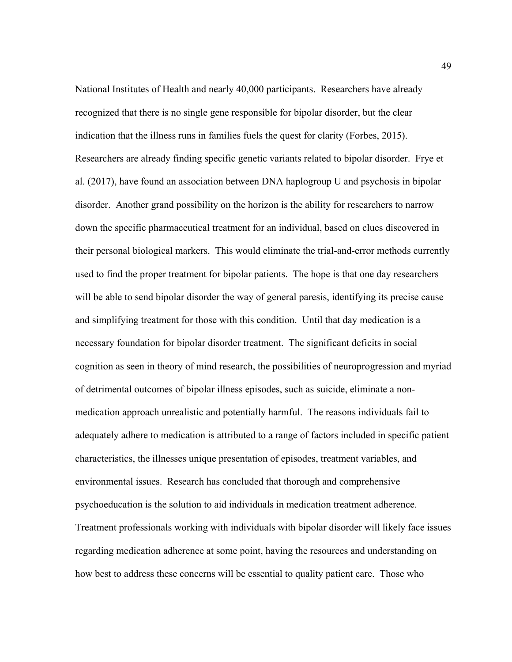National Institutes of Health and nearly 40,000 participants. Researchers have already recognized that there is no single gene responsible for bipolar disorder, but the clear indication that the illness runs in families fuels the quest for clarity (Forbes, 2015). Researchers are already finding specific genetic variants related to bipolar disorder. Frye et al. (2017), have found an association between DNA haplogroup U and psychosis in bipolar disorder. Another grand possibility on the horizon is the ability for researchers to narrow down the specific pharmaceutical treatment for an individual, based on clues discovered in their personal biological markers. This would eliminate the trial-and-error methods currently used to find the proper treatment for bipolar patients. The hope is that one day researchers will be able to send bipolar disorder the way of general paresis, identifying its precise cause and simplifying treatment for those with this condition. Until that day medication is a necessary foundation for bipolar disorder treatment. The significant deficits in social cognition as seen in theory of mind research, the possibilities of neuroprogression and myriad of detrimental outcomes of bipolar illness episodes, such as suicide, eliminate a nonmedication approach unrealistic and potentially harmful. The reasons individuals fail to adequately adhere to medication is attributed to a range of factors included in specific patient characteristics, the illnesses unique presentation of episodes, treatment variables, and environmental issues. Research has concluded that thorough and comprehensive psychoeducation is the solution to aid individuals in medication treatment adherence. Treatment professionals working with individuals with bipolar disorder will likely face issues regarding medication adherence at some point, having the resources and understanding on how best to address these concerns will be essential to quality patient care. Those who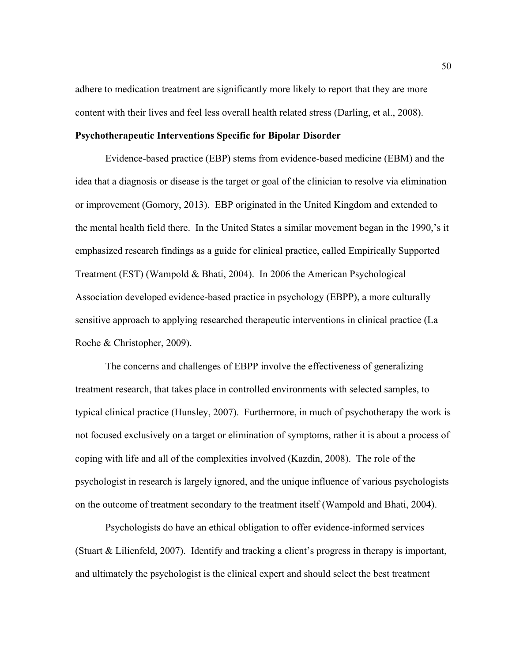adhere to medication treatment are significantly more likely to report that they are more content with their lives and feel less overall health related stress (Darling, et al., 2008).

# **Psychotherapeutic Interventions Specific for Bipolar Disorder**

Evidence-based practice (EBP) stems from evidence-based medicine (EBM) and the idea that a diagnosis or disease is the target or goal of the clinician to resolve via elimination or improvement (Gomory, 2013). EBP originated in the United Kingdom and extended to the mental health field there. In the United States a similar movement began in the 1990,'s it emphasized research findings as a guide for clinical practice, called Empirically Supported Treatment (EST) (Wampold & Bhati, 2004). In 2006 the American Psychological Association developed evidence-based practice in psychology (EBPP), a more culturally sensitive approach to applying researched therapeutic interventions in clinical practice (La Roche & Christopher, 2009).

The concerns and challenges of EBPP involve the effectiveness of generalizing treatment research, that takes place in controlled environments with selected samples, to typical clinical practice (Hunsley, 2007). Furthermore, in much of psychotherapy the work is not focused exclusively on a target or elimination of symptoms, rather it is about a process of coping with life and all of the complexities involved (Kazdin, 2008). The role of the psychologist in research is largely ignored, and the unique influence of various psychologists on the outcome of treatment secondary to the treatment itself (Wampold and Bhati, 2004).

Psychologists do have an ethical obligation to offer evidence-informed services (Stuart & Lilienfeld, 2007). Identify and tracking a client's progress in therapy is important, and ultimately the psychologist is the clinical expert and should select the best treatment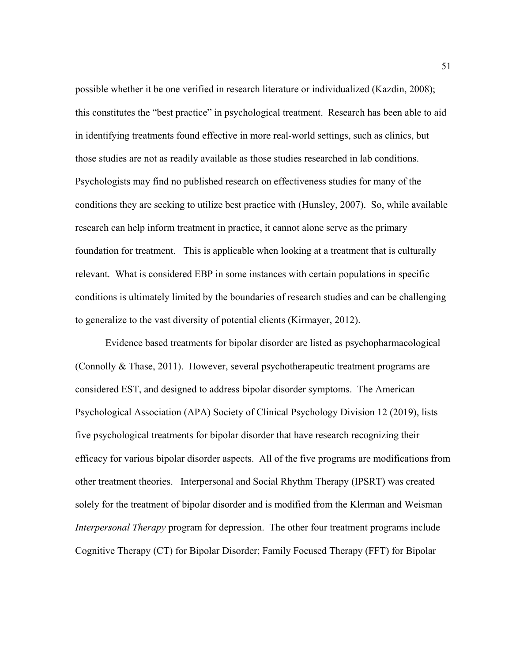possible whether it be one verified in research literature or individualized (Kazdin, 2008); this constitutes the "best practice" in psychological treatment. Research has been able to aid in identifying treatments found effective in more real-world settings, such as clinics, but those studies are not as readily available as those studies researched in lab conditions. Psychologists may find no published research on effectiveness studies for many of the conditions they are seeking to utilize best practice with (Hunsley, 2007). So, while available research can help inform treatment in practice, it cannot alone serve as the primary foundation for treatment. This is applicable when looking at a treatment that is culturally relevant. What is considered EBP in some instances with certain populations in specific conditions is ultimately limited by the boundaries of research studies and can be challenging to generalize to the vast diversity of potential clients (Kirmayer, 2012).

Evidence based treatments for bipolar disorder are listed as psychopharmacological (Connolly & Thase, 2011). However, several psychotherapeutic treatment programs are considered EST, and designed to address bipolar disorder symptoms. The American Psychological Association (APA) Society of Clinical Psychology Division 12 (2019), lists five psychological treatments for bipolar disorder that have research recognizing their efficacy for various bipolar disorder aspects. All of the five programs are modifications from other treatment theories. Interpersonal and Social Rhythm Therapy (IPSRT) was created solely for the treatment of bipolar disorder and is modified from the Klerman and Weisman *Interpersonal Therapy* program for depression. The other four treatment programs include Cognitive Therapy (CT) for Bipolar Disorder; Family Focused Therapy (FFT) for Bipolar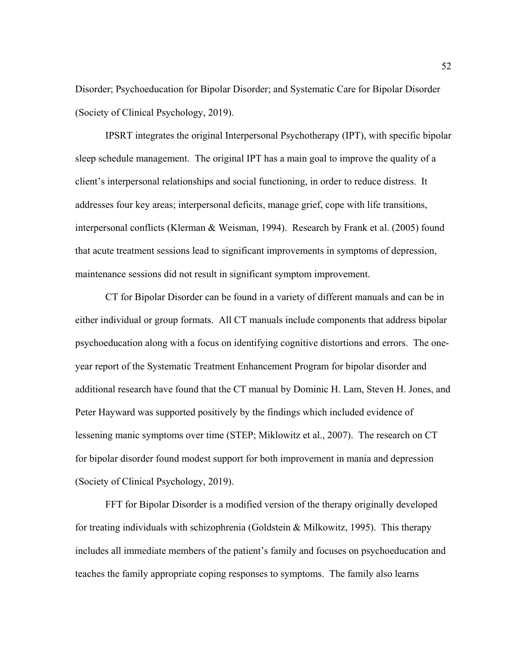Disorder; Psychoeducation for Bipolar Disorder; and Systematic Care for Bipolar Disorder (Society of Clinical Psychology, 2019).

IPSRT integrates the original Interpersonal Psychotherapy (IPT), with specific bipolar sleep schedule management. The original IPT has a main goal to improve the quality of a client's interpersonal relationships and social functioning, in order to reduce distress. It addresses four key areas; interpersonal deficits, manage grief, cope with life transitions, interpersonal conflicts (Klerman & Weisman, 1994). Research by Frank et al. (2005) found that acute treatment sessions lead to significant improvements in symptoms of depression, maintenance sessions did not result in significant symptom improvement.

CT for Bipolar Disorder can be found in a variety of different manuals and can be in either individual or group formats. All CT manuals include components that address bipolar psychoeducation along with a focus on identifying cognitive distortions and errors. The oneyear report of the Systematic Treatment Enhancement Program for bipolar disorder and additional research have found that the CT manual by Dominic H. Lam, Steven H. Jones, and Peter Hayward was supported positively by the findings which included evidence of lessening manic symptoms over time (STEP; Miklowitz et al., 2007). The research on CT for bipolar disorder found modest support for both improvement in mania and depression (Society of Clinical Psychology, 2019).

FFT for Bipolar Disorder is a modified version of the therapy originally developed for treating individuals with schizophrenia (Goldstein & Milkowitz, 1995). This therapy includes all immediate members of the patient's family and focuses on psychoeducation and teaches the family appropriate coping responses to symptoms. The family also learns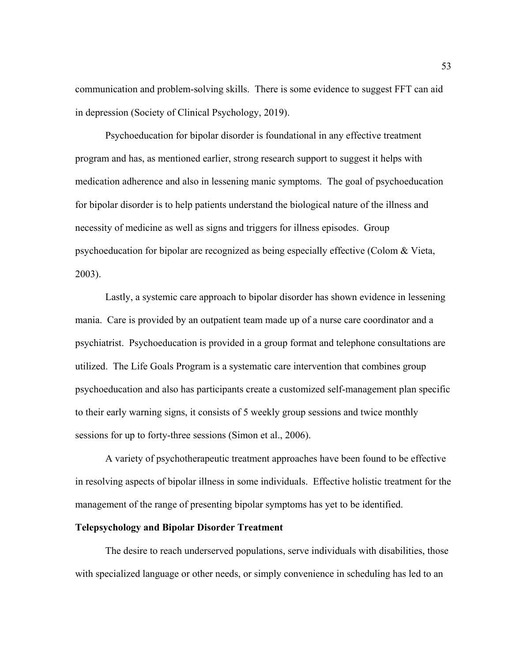communication and problem-solving skills. There is some evidence to suggest FFT can aid in depression (Society of Clinical Psychology, 2019).

Psychoeducation for bipolar disorder is foundational in any effective treatment program and has, as mentioned earlier, strong research support to suggest it helps with medication adherence and also in lessening manic symptoms. The goal of psychoeducation for bipolar disorder is to help patients understand the biological nature of the illness and necessity of medicine as well as signs and triggers for illness episodes. Group psychoeducation for bipolar are recognized as being especially effective (Colom & Vieta, 2003).

Lastly, a systemic care approach to bipolar disorder has shown evidence in lessening mania. Care is provided by an outpatient team made up of a nurse care coordinator and a psychiatrist. Psychoeducation is provided in a group format and telephone consultations are utilized. The Life Goals Program is a systematic care intervention that combines group psychoeducation and also has participants create a customized self-management plan specific to their early warning signs, it consists of 5 weekly group sessions and twice monthly sessions for up to forty-three sessions (Simon et al., 2006).

A variety of psychotherapeutic treatment approaches have been found to be effective in resolving aspects of bipolar illness in some individuals. Effective holistic treatment for the management of the range of presenting bipolar symptoms has yet to be identified.

# **Telepsychology and Bipolar Disorder Treatment**

The desire to reach underserved populations, serve individuals with disabilities, those with specialized language or other needs, or simply convenience in scheduling has led to an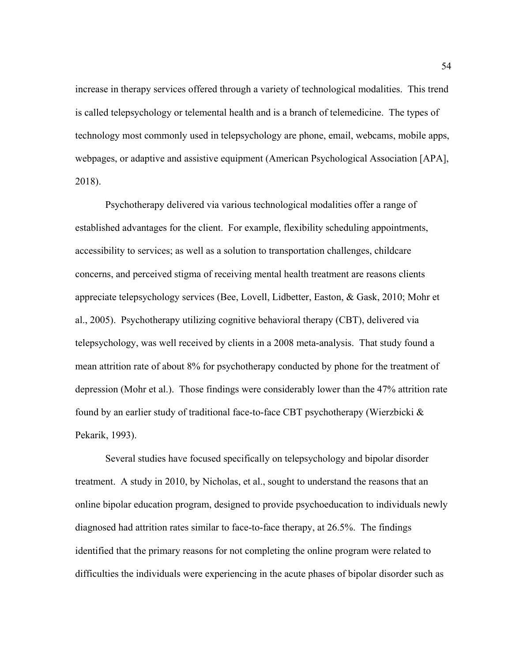increase in therapy services offered through a variety of technological modalities. This trend is called telepsychology or telemental health and is a branch of telemedicine. The types of technology most commonly used in telepsychology are phone, email, webcams, mobile apps, webpages, or adaptive and assistive equipment (American Psychological Association [APA], 2018).

Psychotherapy delivered via various technological modalities offer a range of established advantages for the client. For example, flexibility scheduling appointments, accessibility to services; as well as a solution to transportation challenges, childcare concerns, and perceived stigma of receiving mental health treatment are reasons clients appreciate telepsychology services (Bee, Lovell, Lidbetter, Easton, & Gask, 2010; Mohr et al., 2005). Psychotherapy utilizing cognitive behavioral therapy (CBT), delivered via telepsychology, was well received by clients in a 2008 meta-analysis. That study found a mean attrition rate of about 8% for psychotherapy conducted by phone for the treatment of depression (Mohr et al.). Those findings were considerably lower than the 47% attrition rate found by an earlier study of traditional face-to-face CBT psychotherapy (Wierzbicki & Pekarik, 1993).

Several studies have focused specifically on telepsychology and bipolar disorder treatment. A study in 2010, by Nicholas, et al., sought to understand the reasons that an online bipolar education program, designed to provide psychoeducation to individuals newly diagnosed had attrition rates similar to face-to-face therapy, at 26.5%. The findings identified that the primary reasons for not completing the online program were related to difficulties the individuals were experiencing in the acute phases of bipolar disorder such as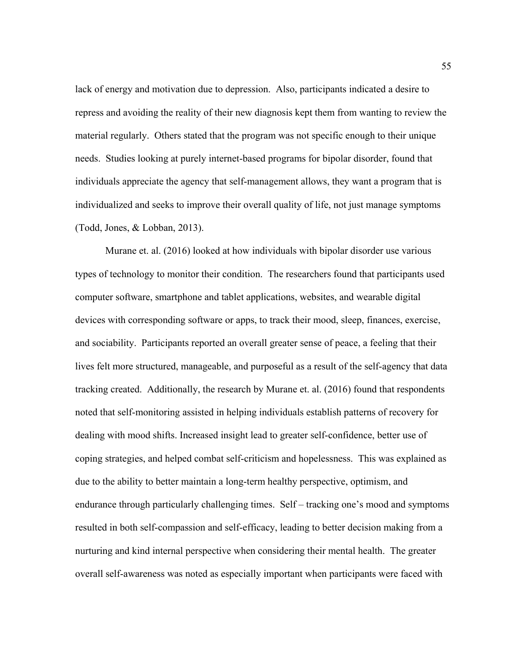lack of energy and motivation due to depression. Also, participants indicated a desire to repress and avoiding the reality of their new diagnosis kept them from wanting to review the material regularly. Others stated that the program was not specific enough to their unique needs. Studies looking at purely internet-based programs for bipolar disorder, found that individuals appreciate the agency that self-management allows, they want a program that is individualized and seeks to improve their overall quality of life, not just manage symptoms (Todd, Jones, & Lobban, 2013).

Murane et. al. (2016) looked at how individuals with bipolar disorder use various types of technology to monitor their condition. The researchers found that participants used computer software, smartphone and tablet applications, websites, and wearable digital devices with corresponding software or apps, to track their mood, sleep, finances, exercise, and sociability. Participants reported an overall greater sense of peace, a feeling that their lives felt more structured, manageable, and purposeful as a result of the self-agency that data tracking created. Additionally, the research by Murane et. al. (2016) found that respondents noted that self-monitoring assisted in helping individuals establish patterns of recovery for dealing with mood shifts. Increased insight lead to greater self-confidence, better use of coping strategies, and helped combat self-criticism and hopelessness. This was explained as due to the ability to better maintain a long-term healthy perspective, optimism, and endurance through particularly challenging times. Self – tracking one's mood and symptoms resulted in both self-compassion and self-efficacy, leading to better decision making from a nurturing and kind internal perspective when considering their mental health. The greater overall self-awareness was noted as especially important when participants were faced with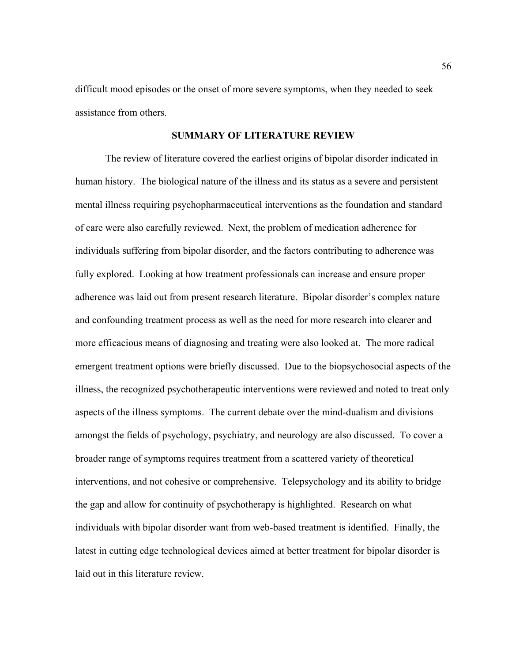difficult mood episodes or the onset of more severe symptoms, when they needed to seek assistance from others.

# **SUMMARY OF LITERATURE REVIEW**

The review of literature covered the earliest origins of bipolar disorder indicated in human history. The biological nature of the illness and its status as a severe and persistent mental illness requiring psychopharmaceutical interventions as the foundation and standard of care were also carefully reviewed. Next, the problem of medication adherence for individuals suffering from bipolar disorder, and the factors contributing to adherence was fully explored. Looking at how treatment professionals can increase and ensure proper adherence was laid out from present research literature. Bipolar disorder's complex nature and confounding treatment process as well as the need for more research into clearer and more efficacious means of diagnosing and treating were also looked at. The more radical emergent treatment options were briefly discussed. Due to the biopsychosocial aspects of the illness, the recognized psychotherapeutic interventions were reviewed and noted to treat only aspects of the illness symptoms. The current debate over the mind-dualism and divisions amongst the fields of psychology, psychiatry, and neurology are also discussed. To cover a broader range of symptoms requires treatment from a scattered variety of theoretical interventions, and not cohesive or comprehensive. Telepsychology and its ability to bridge the gap and allow for continuity of psychotherapy is highlighted. Research on what individuals with bipolar disorder want from web-based treatment is identified. Finally, the latest in cutting edge technological devices aimed at better treatment for bipolar disorder is laid out in this literature review.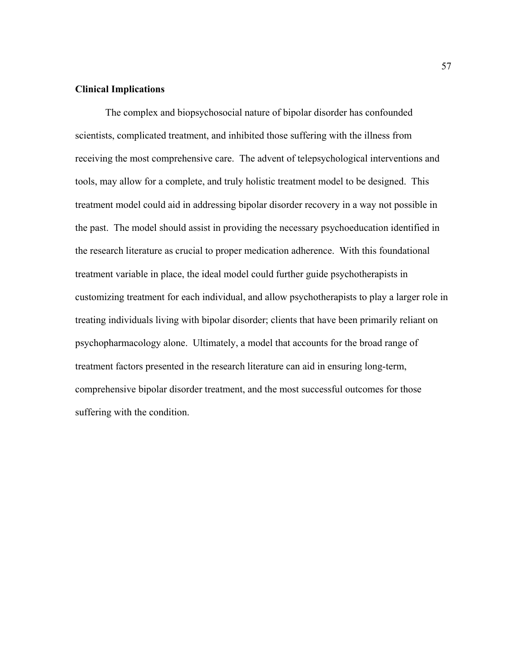# **Clinical Implications**

The complex and biopsychosocial nature of bipolar disorder has confounded scientists, complicated treatment, and inhibited those suffering with the illness from receiving the most comprehensive care. The advent of telepsychological interventions and tools, may allow for a complete, and truly holistic treatment model to be designed. This treatment model could aid in addressing bipolar disorder recovery in a way not possible in the past. The model should assist in providing the necessary psychoeducation identified in the research literature as crucial to proper medication adherence. With this foundational treatment variable in place, the ideal model could further guide psychotherapists in customizing treatment for each individual, and allow psychotherapists to play a larger role in treating individuals living with bipolar disorder; clients that have been primarily reliant on psychopharmacology alone. Ultimately, a model that accounts for the broad range of treatment factors presented in the research literature can aid in ensuring long-term, comprehensive bipolar disorder treatment, and the most successful outcomes for those suffering with the condition.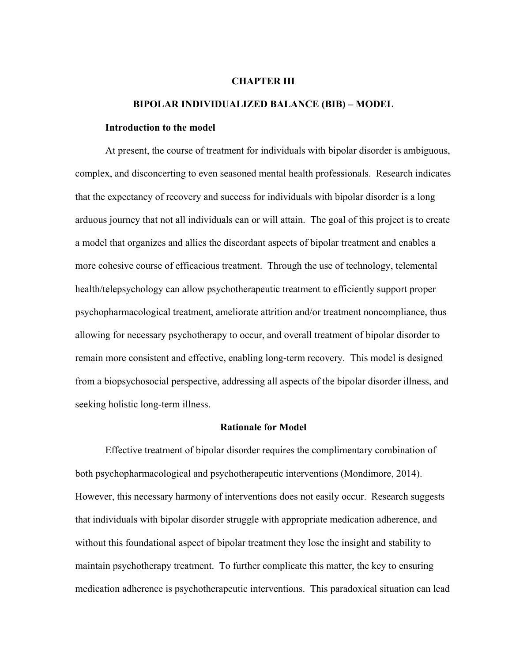#### **CHAPTER III**

#### **BIPOLAR INDIVIDUALIZED BALANCE (BIB) – MODEL**

#### **Introduction to the model**

At present, the course of treatment for individuals with bipolar disorder is ambiguous, complex, and disconcerting to even seasoned mental health professionals. Research indicates that the expectancy of recovery and success for individuals with bipolar disorder is a long arduous journey that not all individuals can or will attain. The goal of this project is to create a model that organizes and allies the discordant aspects of bipolar treatment and enables a more cohesive course of efficacious treatment. Through the use of technology, telemental health/telepsychology can allow psychotherapeutic treatment to efficiently support proper psychopharmacological treatment, ameliorate attrition and/or treatment noncompliance, thus allowing for necessary psychotherapy to occur, and overall treatment of bipolar disorder to remain more consistent and effective, enabling long-term recovery. This model is designed from a biopsychosocial perspective, addressing all aspects of the bipolar disorder illness, and seeking holistic long-term illness.

# **Rationale for Model**

Effective treatment of bipolar disorder requires the complimentary combination of both psychopharmacological and psychotherapeutic interventions (Mondimore, 2014). However, this necessary harmony of interventions does not easily occur. Research suggests that individuals with bipolar disorder struggle with appropriate medication adherence, and without this foundational aspect of bipolar treatment they lose the insight and stability to maintain psychotherapy treatment. To further complicate this matter, the key to ensuring medication adherence is psychotherapeutic interventions. This paradoxical situation can lead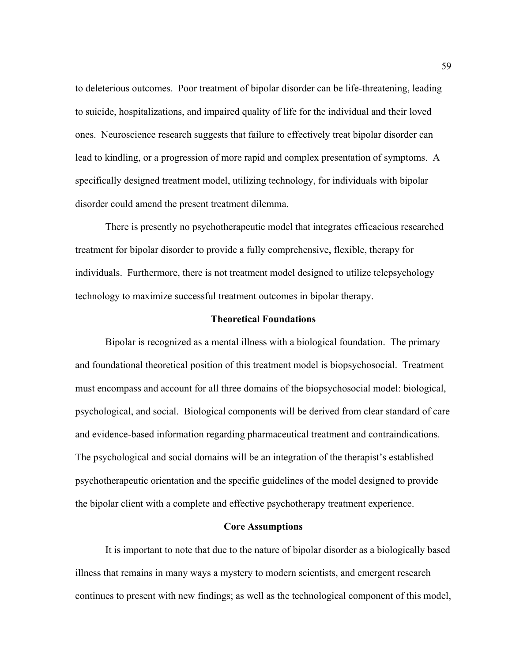to deleterious outcomes. Poor treatment of bipolar disorder can be life-threatening, leading to suicide, hospitalizations, and impaired quality of life for the individual and their loved ones. Neuroscience research suggests that failure to effectively treat bipolar disorder can lead to kindling, or a progression of more rapid and complex presentation of symptoms. A specifically designed treatment model, utilizing technology, for individuals with bipolar disorder could amend the present treatment dilemma.

There is presently no psychotherapeutic model that integrates efficacious researched treatment for bipolar disorder to provide a fully comprehensive, flexible, therapy for individuals. Furthermore, there is not treatment model designed to utilize telepsychology technology to maximize successful treatment outcomes in bipolar therapy.

# **Theoretical Foundations**

Bipolar is recognized as a mental illness with a biological foundation. The primary and foundational theoretical position of this treatment model is biopsychosocial. Treatment must encompass and account for all three domains of the biopsychosocial model: biological, psychological, and social. Biological components will be derived from clear standard of care and evidence-based information regarding pharmaceutical treatment and contraindications. The psychological and social domains will be an integration of the therapist's established psychotherapeutic orientation and the specific guidelines of the model designed to provide the bipolar client with a complete and effective psychotherapy treatment experience.

#### **Core Assumptions**

It is important to note that due to the nature of bipolar disorder as a biologically based illness that remains in many ways a mystery to modern scientists, and emergent research continues to present with new findings; as well as the technological component of this model,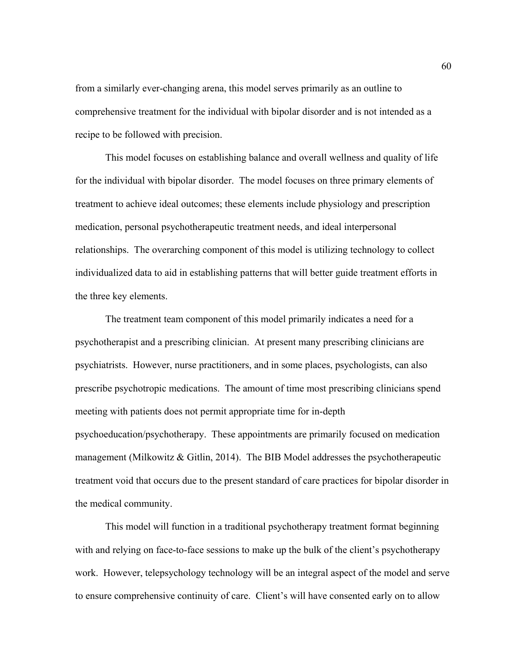from a similarly ever-changing arena, this model serves primarily as an outline to comprehensive treatment for the individual with bipolar disorder and is not intended as a recipe to be followed with precision.

This model focuses on establishing balance and overall wellness and quality of life for the individual with bipolar disorder. The model focuses on three primary elements of treatment to achieve ideal outcomes; these elements include physiology and prescription medication, personal psychotherapeutic treatment needs, and ideal interpersonal relationships. The overarching component of this model is utilizing technology to collect individualized data to aid in establishing patterns that will better guide treatment efforts in the three key elements.

The treatment team component of this model primarily indicates a need for a psychotherapist and a prescribing clinician. At present many prescribing clinicians are psychiatrists. However, nurse practitioners, and in some places, psychologists, can also prescribe psychotropic medications. The amount of time most prescribing clinicians spend meeting with patients does not permit appropriate time for in-depth psychoeducation/psychotherapy. These appointments are primarily focused on medication management (Milkowitz & Gitlin, 2014). The BIB Model addresses the psychotherapeutic treatment void that occurs due to the present standard of care practices for bipolar disorder in the medical community.

This model will function in a traditional psychotherapy treatment format beginning with and relying on face-to-face sessions to make up the bulk of the client's psychotherapy work. However, telepsychology technology will be an integral aspect of the model and serve to ensure comprehensive continuity of care. Client's will have consented early on to allow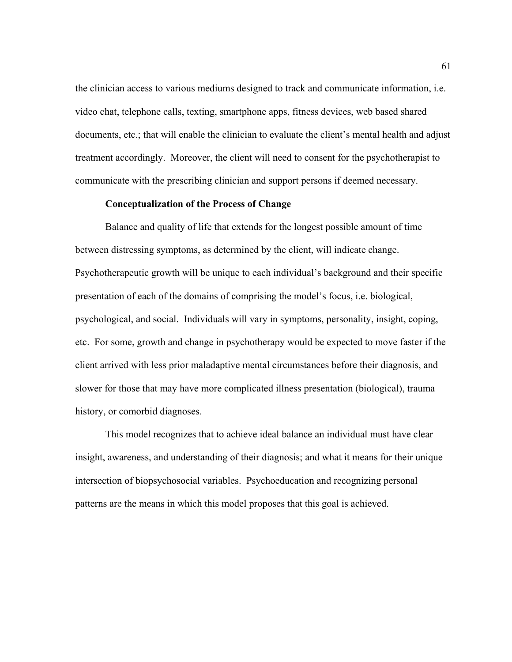the clinician access to various mediums designed to track and communicate information, i.e. video chat, telephone calls, texting, smartphone apps, fitness devices, web based shared documents, etc.; that will enable the clinician to evaluate the client's mental health and adjust treatment accordingly. Moreover, the client will need to consent for the psychotherapist to communicate with the prescribing clinician and support persons if deemed necessary.

# **Conceptualization of the Process of Change**

Balance and quality of life that extends for the longest possible amount of time between distressing symptoms, as determined by the client, will indicate change. Psychotherapeutic growth will be unique to each individual's background and their specific presentation of each of the domains of comprising the model's focus, i.e. biological, psychological, and social. Individuals will vary in symptoms, personality, insight, coping, etc. For some, growth and change in psychotherapy would be expected to move faster if the client arrived with less prior maladaptive mental circumstances before their diagnosis, and slower for those that may have more complicated illness presentation (biological), trauma history, or comorbid diagnoses.

This model recognizes that to achieve ideal balance an individual must have clear insight, awareness, and understanding of their diagnosis; and what it means for their unique intersection of biopsychosocial variables. Psychoeducation and recognizing personal patterns are the means in which this model proposes that this goal is achieved.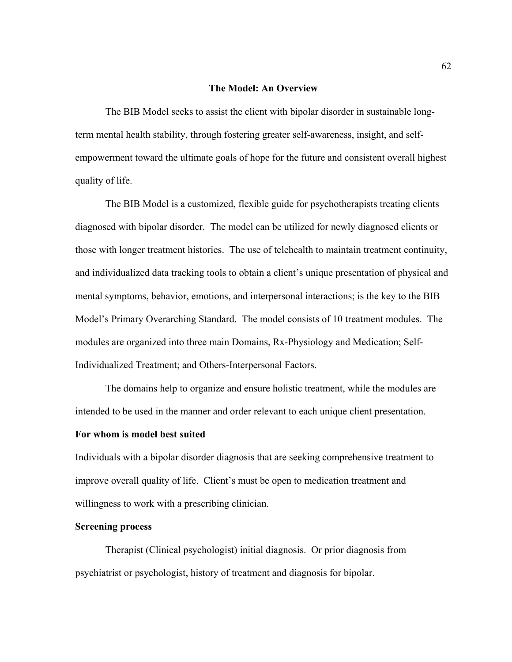#### **The Model: An Overview**

The BIB Model seeks to assist the client with bipolar disorder in sustainable longterm mental health stability, through fostering greater self-awareness, insight, and selfempowerment toward the ultimate goals of hope for the future and consistent overall highest quality of life.

The BIB Model is a customized, flexible guide for psychotherapists treating clients diagnosed with bipolar disorder. The model can be utilized for newly diagnosed clients or those with longer treatment histories. The use of telehealth to maintain treatment continuity, and individualized data tracking tools to obtain a client's unique presentation of physical and mental symptoms, behavior, emotions, and interpersonal interactions; is the key to the BIB Model's Primary Overarching Standard. The model consists of 10 treatment modules. The modules are organized into three main Domains, Rx-Physiology and Medication; Self-Individualized Treatment; and Others-Interpersonal Factors.

The domains help to organize and ensure holistic treatment, while the modules are intended to be used in the manner and order relevant to each unique client presentation.

# **For whom is model best suited**

Individuals with a bipolar disorder diagnosis that are seeking comprehensive treatment to improve overall quality of life. Client's must be open to medication treatment and willingness to work with a prescribing clinician.

# **Screening process**

Therapist (Clinical psychologist) initial diagnosis. Or prior diagnosis from psychiatrist or psychologist, history of treatment and diagnosis for bipolar.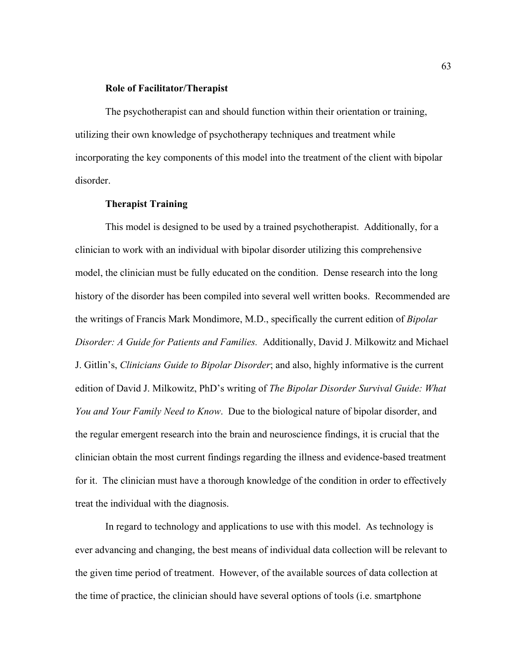#### **Role of Facilitator/Therapist**

The psychotherapist can and should function within their orientation or training, utilizing their own knowledge of psychotherapy techniques and treatment while incorporating the key components of this model into the treatment of the client with bipolar disorder.

# **Therapist Training**

This model is designed to be used by a trained psychotherapist. Additionally, for a clinician to work with an individual with bipolar disorder utilizing this comprehensive model, the clinician must be fully educated on the condition. Dense research into the long history of the disorder has been compiled into several well written books. Recommended are the writings of Francis Mark Mondimore, M.D., specifically the current edition of *Bipolar Disorder: A Guide for Patients and Families.* Additionally, David J. Milkowitz and Michael J. Gitlin's, *Clinicians Guide to Bipolar Disorder*; and also, highly informative is the current edition of David J. Milkowitz, PhD's writing of *The Bipolar Disorder Survival Guide: What You and Your Family Need to Know*. Due to the biological nature of bipolar disorder, and the regular emergent research into the brain and neuroscience findings, it is crucial that the clinician obtain the most current findings regarding the illness and evidence-based treatment for it. The clinician must have a thorough knowledge of the condition in order to effectively treat the individual with the diagnosis.

In regard to technology and applications to use with this model. As technology is ever advancing and changing, the best means of individual data collection will be relevant to the given time period of treatment. However, of the available sources of data collection at the time of practice, the clinician should have several options of tools (i.e. smartphone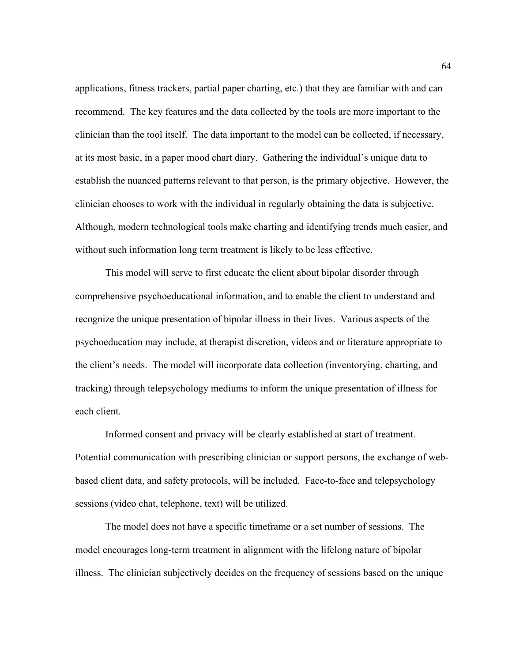applications, fitness trackers, partial paper charting, etc.) that they are familiar with and can recommend. The key features and the data collected by the tools are more important to the clinician than the tool itself. The data important to the model can be collected, if necessary, at its most basic, in a paper mood chart diary. Gathering the individual's unique data to establish the nuanced patterns relevant to that person, is the primary objective. However, the clinician chooses to work with the individual in regularly obtaining the data is subjective. Although, modern technological tools make charting and identifying trends much easier, and without such information long term treatment is likely to be less effective.

This model will serve to first educate the client about bipolar disorder through comprehensive psychoeducational information, and to enable the client to understand and recognize the unique presentation of bipolar illness in their lives. Various aspects of the psychoeducation may include, at therapist discretion, videos and or literature appropriate to the client's needs. The model will incorporate data collection (inventorying, charting, and tracking) through telepsychology mediums to inform the unique presentation of illness for each client.

Informed consent and privacy will be clearly established at start of treatment. Potential communication with prescribing clinician or support persons, the exchange of webbased client data, and safety protocols, will be included. Face-to-face and telepsychology sessions (video chat, telephone, text) will be utilized.

The model does not have a specific timeframe or a set number of sessions. The model encourages long-term treatment in alignment with the lifelong nature of bipolar illness. The clinician subjectively decides on the frequency of sessions based on the unique

64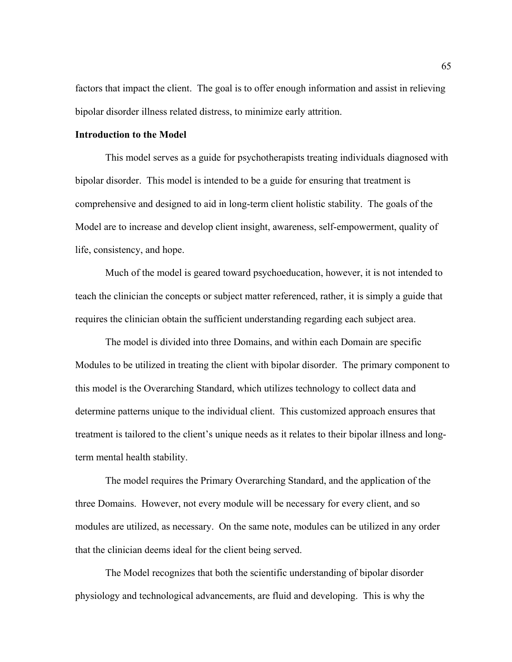factors that impact the client. The goal is to offer enough information and assist in relieving bipolar disorder illness related distress, to minimize early attrition.

# **Introduction to the Model**

This model serves as a guide for psychotherapists treating individuals diagnosed with bipolar disorder. This model is intended to be a guide for ensuring that treatment is comprehensive and designed to aid in long-term client holistic stability. The goals of the Model are to increase and develop client insight, awareness, self-empowerment, quality of life, consistency, and hope.

Much of the model is geared toward psychoeducation, however, it is not intended to teach the clinician the concepts or subject matter referenced, rather, it is simply a guide that requires the clinician obtain the sufficient understanding regarding each subject area.

The model is divided into three Domains, and within each Domain are specific Modules to be utilized in treating the client with bipolar disorder. The primary component to this model is the Overarching Standard, which utilizes technology to collect data and determine patterns unique to the individual client. This customized approach ensures that treatment is tailored to the client's unique needs as it relates to their bipolar illness and longterm mental health stability.

The model requires the Primary Overarching Standard, and the application of the three Domains. However, not every module will be necessary for every client, and so modules are utilized, as necessary. On the same note, modules can be utilized in any order that the clinician deems ideal for the client being served.

The Model recognizes that both the scientific understanding of bipolar disorder physiology and technological advancements, are fluid and developing. This is why the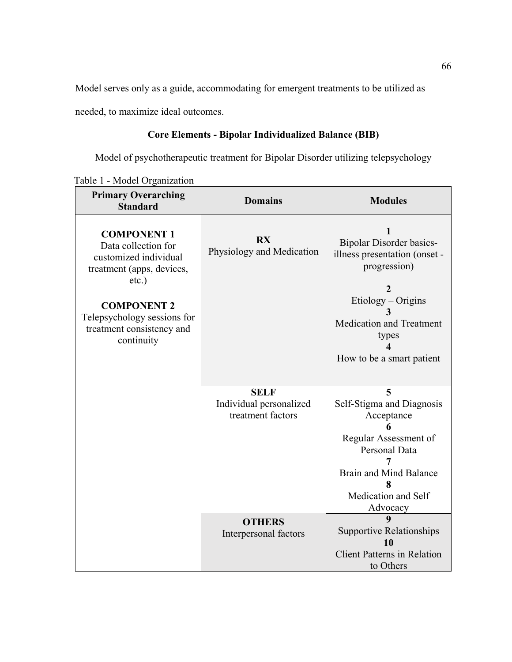Model serves only as a guide, accommodating for emergent treatments to be utilized as

needed, to maximize ideal outcomes.

# **Core Elements - Bipolar Individualized Balance (BIB)**

Model of psychotherapeutic treatment for Bipolar Disorder utilizing telepsychology

Table 1 - Model Organization

| <b>Primary Overarching</b><br><b>Standard</b>                                                               | <b>Domains</b>                                              | <b>Modules</b>                                                                                                                                                  |
|-------------------------------------------------------------------------------------------------------------|-------------------------------------------------------------|-----------------------------------------------------------------------------------------------------------------------------------------------------------------|
| <b>COMPONENT 1</b><br>Data collection for<br>customized individual<br>treatment (apps, devices,<br>$etc.$ ) | <b>RX</b><br>Physiology and Medication                      | <b>Bipolar Disorder basics-</b><br>illness presentation (onset -<br>progression)                                                                                |
| <b>COMPONENT 2</b><br>Telepsychology sessions for<br>treatment consistency and<br>continuity                |                                                             | $Etiology - Origins$<br><b>Medication and Treatment</b><br>types<br>How to be a smart patient                                                                   |
|                                                                                                             | <b>SELF</b><br>Individual personalized<br>treatment factors | 5<br>Self-Stigma and Diagnosis<br>Acceptance<br>Regular Assessment of<br>Personal Data<br><b>Brain and Mind Balance</b><br>8<br>Medication and Self<br>Advocacy |
|                                                                                                             | <b>OTHERS</b><br>Interpersonal factors                      | 9<br><b>Supportive Relationships</b><br>10<br><b>Client Patterns in Relation</b><br>to Others                                                                   |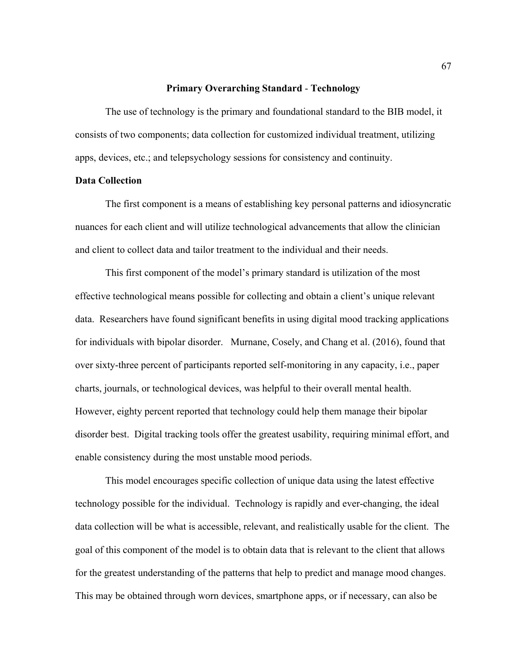#### **Primary Overarching Standard** - **Technology**

The use of technology is the primary and foundational standard to the BIB model, it consists of two components; data collection for customized individual treatment, utilizing apps, devices, etc.; and telepsychology sessions for consistency and continuity.

# **Data Collection**

The first component is a means of establishing key personal patterns and idiosyncratic nuances for each client and will utilize technological advancements that allow the clinician and client to collect data and tailor treatment to the individual and their needs.

This first component of the model's primary standard is utilization of the most effective technological means possible for collecting and obtain a client's unique relevant data. Researchers have found significant benefits in using digital mood tracking applications for individuals with bipolar disorder. Murnane, Cosely, and Chang et al. (2016), found that over sixty-three percent of participants reported self-monitoring in any capacity, i.e., paper charts, journals, or technological devices, was helpful to their overall mental health. However, eighty percent reported that technology could help them manage their bipolar disorder best. Digital tracking tools offer the greatest usability, requiring minimal effort, and enable consistency during the most unstable mood periods.

This model encourages specific collection of unique data using the latest effective technology possible for the individual. Technology is rapidly and ever-changing, the ideal data collection will be what is accessible, relevant, and realistically usable for the client. The goal of this component of the model is to obtain data that is relevant to the client that allows for the greatest understanding of the patterns that help to predict and manage mood changes. This may be obtained through worn devices, smartphone apps, or if necessary, can also be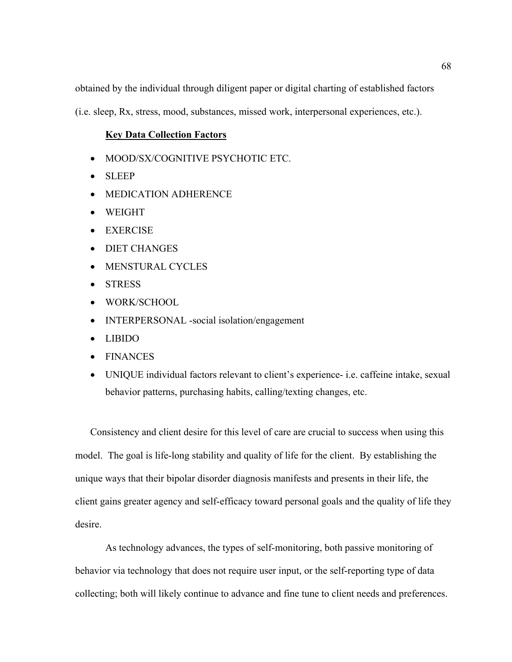obtained by the individual through diligent paper or digital charting of established factors

(i.e. sleep, Rx, stress, mood, substances, missed work, interpersonal experiences, etc.).

# **Key Data Collection Factors**

- MOOD/SX/COGNITIVE PSYCHOTIC ETC.
- SLEEP
- MEDICATION ADHERENCE
- WEIGHT
- EXERCISE
- DIET CHANGES
- MENSTURAL CYCLES
- STRESS
- WORK/SCHOOL
- INTERPERSONAL -social isolation/engagement
- LIBIDO
- FINANCES
- UNIQUE individual factors relevant to client's experience- i.e. caffeine intake, sexual behavior patterns, purchasing habits, calling/texting changes, etc.

Consistency and client desire for this level of care are crucial to success when using this model. The goal is life-long stability and quality of life for the client. By establishing the unique ways that their bipolar disorder diagnosis manifests and presents in their life, the client gains greater agency and self-efficacy toward personal goals and the quality of life they desire.

As technology advances, the types of self-monitoring, both passive monitoring of behavior via technology that does not require user input, or the self-reporting type of data collecting; both will likely continue to advance and fine tune to client needs and preferences.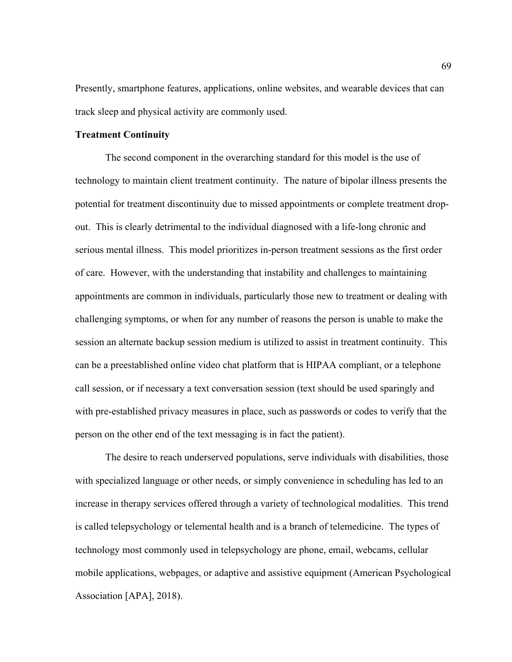Presently, smartphone features, applications, online websites, and wearable devices that can track sleep and physical activity are commonly used.

## **Treatment Continuity**

The second component in the overarching standard for this model is the use of technology to maintain client treatment continuity. The nature of bipolar illness presents the potential for treatment discontinuity due to missed appointments or complete treatment dropout. This is clearly detrimental to the individual diagnosed with a life-long chronic and serious mental illness. This model prioritizes in-person treatment sessions as the first order of care. However, with the understanding that instability and challenges to maintaining appointments are common in individuals, particularly those new to treatment or dealing with challenging symptoms, or when for any number of reasons the person is unable to make the session an alternate backup session medium is utilized to assist in treatment continuity. This can be a preestablished online video chat platform that is HIPAA compliant, or a telephone call session, or if necessary a text conversation session (text should be used sparingly and with pre-established privacy measures in place, such as passwords or codes to verify that the person on the other end of the text messaging is in fact the patient).

The desire to reach underserved populations, serve individuals with disabilities, those with specialized language or other needs, or simply convenience in scheduling has led to an increase in therapy services offered through a variety of technological modalities. This trend is called telepsychology or telemental health and is a branch of telemedicine. The types of technology most commonly used in telepsychology are phone, email, webcams, cellular mobile applications, webpages, or adaptive and assistive equipment (American Psychological Association [APA], 2018).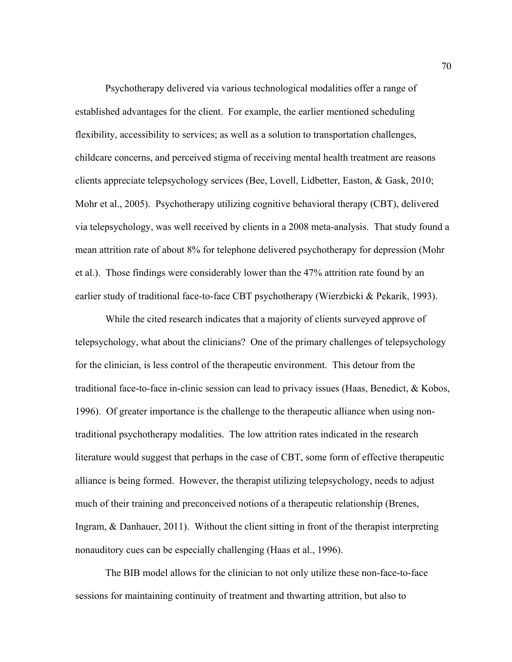Psychotherapy delivered via various technological modalities offer a range of established advantages for the client. For example, the earlier mentioned scheduling flexibility, accessibility to services; as well as a solution to transportation challenges, childcare concerns, and perceived stigma of receiving mental health treatment are reasons clients appreciate telepsychology services (Bee, Lovell, Lidbetter, Easton, & Gask, 2010; Mohr et al., 2005). Psychotherapy utilizing cognitive behavioral therapy (CBT), delivered via telepsychology, was well received by clients in a 2008 meta-analysis. That study found a mean attrition rate of about 8% for telephone delivered psychotherapy for depression (Mohr et al.). Those findings were considerably lower than the 47% attrition rate found by an earlier study of traditional face-to-face CBT psychotherapy (Wierzbicki & Pekarik, 1993).

While the cited research indicates that a majority of clients surveyed approve of telepsychology, what about the clinicians? One of the primary challenges of telepsychology for the clinician, is less control of the therapeutic environment. This detour from the traditional face-to-face in-clinic session can lead to privacy issues (Haas, Benedict, & Kobos, 1996). Of greater importance is the challenge to the therapeutic alliance when using nontraditional psychotherapy modalities. The low attrition rates indicated in the research literature would suggest that perhaps in the case of CBT, some form of effective therapeutic alliance is being formed. However, the therapist utilizing telepsychology, needs to adjust much of their training and preconceived notions of a therapeutic relationship (Brenes, Ingram, & Danhauer, 2011). Without the client sitting in front of the therapist interpreting nonauditory cues can be especially challenging (Haas et al., 1996).

The BIB model allows for the clinician to not only utilize these non-face-to-face sessions for maintaining continuity of treatment and thwarting attrition, but also to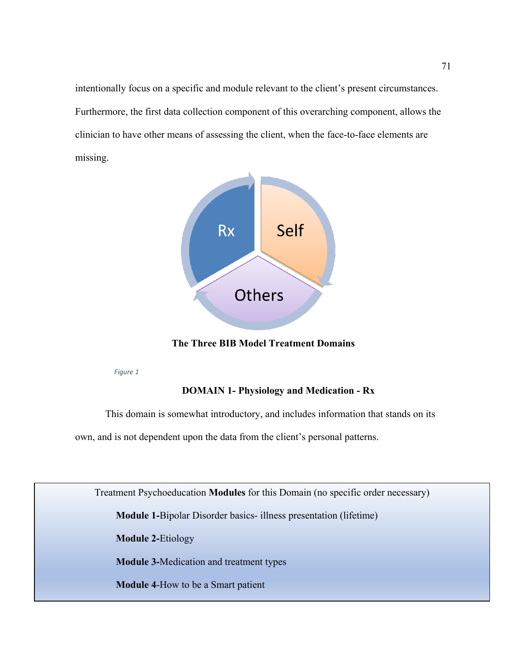intentionally focus on a specific and module relevant to the client's present circumstances. Furthermore, the first data collection component of this overarching component, allows the clinician to have other means of assessing the client, when the face-to-face elements are missing.



**The Three BIB Model Treatment Domains**

*Figure 1*

# **DOMAIN 1- Physiology and Medication - Rx**

This domain is somewhat introductory, and includes information that stands on its

own, and is not dependent upon the data from the client's personal patterns.

Treatment Psychoeducation **Modules** for this Domain (no specific order necessary)

**Module 1-**Bipolar Disorder basics- illness presentation (lifetime)

**Module 2-**Etiology

**Module 3-**Medication and treatment types

**Module 4**-How to be a Smart patient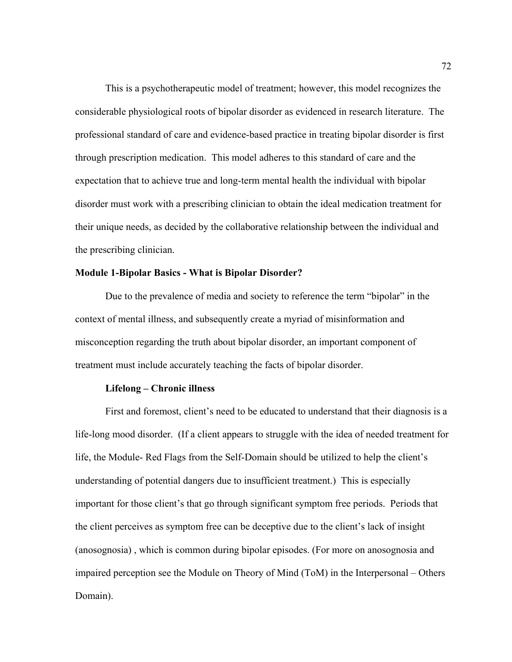This is a psychotherapeutic model of treatment; however, this model recognizes the considerable physiological roots of bipolar disorder as evidenced in research literature. The professional standard of care and evidence-based practice in treating bipolar disorder is first through prescription medication. This model adheres to this standard of care and the expectation that to achieve true and long-term mental health the individual with bipolar disorder must work with a prescribing clinician to obtain the ideal medication treatment for their unique needs, as decided by the collaborative relationship between the individual and the prescribing clinician.

# **Module 1-Bipolar Basics - What is Bipolar Disorder?**

Due to the prevalence of media and society to reference the term "bipolar" in the context of mental illness, and subsequently create a myriad of misinformation and misconception regarding the truth about bipolar disorder, an important component of treatment must include accurately teaching the facts of bipolar disorder.

# **Lifelong – Chronic illness**

First and foremost, client's need to be educated to understand that their diagnosis is a life-long mood disorder. (If a client appears to struggle with the idea of needed treatment for life, the Module- Red Flags from the Self-Domain should be utilized to help the client's understanding of potential dangers due to insufficient treatment.) This is especially important for those client's that go through significant symptom free periods. Periods that the client perceives as symptom free can be deceptive due to the client's lack of insight (anosognosia) , which is common during bipolar episodes. (For more on anosognosia and impaired perception see the Module on Theory of Mind (ToM) in the Interpersonal – Others Domain).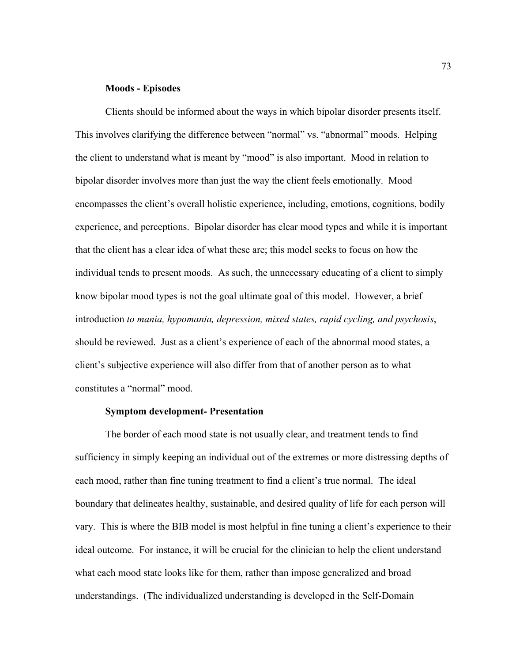#### **Moods - Episodes**

Clients should be informed about the ways in which bipolar disorder presents itself. This involves clarifying the difference between "normal" vs. "abnormal" moods. Helping the client to understand what is meant by "mood" is also important. Mood in relation to bipolar disorder involves more than just the way the client feels emotionally. Mood encompasses the client's overall holistic experience, including, emotions, cognitions, bodily experience, and perceptions. Bipolar disorder has clear mood types and while it is important that the client has a clear idea of what these are; this model seeks to focus on how the individual tends to present moods. As such, the unnecessary educating of a client to simply know bipolar mood types is not the goal ultimate goal of this model. However, a brief introduction *to mania, hypomania, depression, mixed states, rapid cycling, and psychosis*, should be reviewed. Just as a client's experience of each of the abnormal mood states, a client's subjective experience will also differ from that of another person as to what constitutes a "normal" mood.

#### **Symptom development- Presentation**

The border of each mood state is not usually clear, and treatment tends to find sufficiency in simply keeping an individual out of the extremes or more distressing depths of each mood, rather than fine tuning treatment to find a client's true normal. The ideal boundary that delineates healthy, sustainable, and desired quality of life for each person will vary. This is where the BIB model is most helpful in fine tuning a client's experience to their ideal outcome. For instance, it will be crucial for the clinician to help the client understand what each mood state looks like for them, rather than impose generalized and broad understandings. (The individualized understanding is developed in the Self-Domain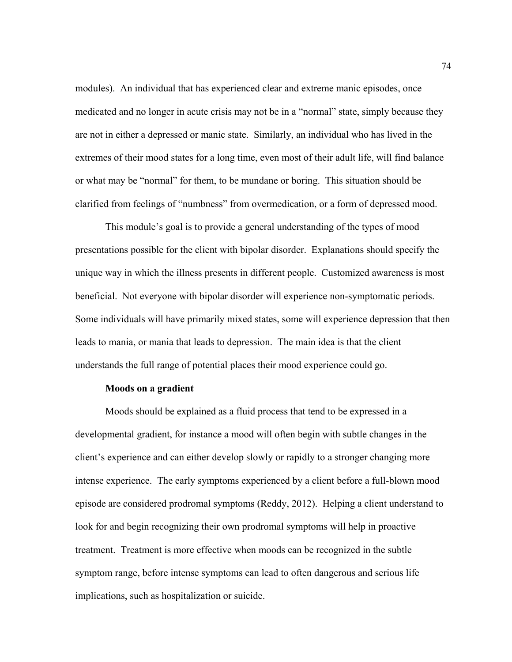modules). An individual that has experienced clear and extreme manic episodes, once medicated and no longer in acute crisis may not be in a "normal" state, simply because they are not in either a depressed or manic state. Similarly, an individual who has lived in the extremes of their mood states for a long time, even most of their adult life, will find balance or what may be "normal" for them, to be mundane or boring. This situation should be clarified from feelings of "numbness" from overmedication, or a form of depressed mood.

This module's goal is to provide a general understanding of the types of mood presentations possible for the client with bipolar disorder. Explanations should specify the unique way in which the illness presents in different people. Customized awareness is most beneficial. Not everyone with bipolar disorder will experience non-symptomatic periods. Some individuals will have primarily mixed states, some will experience depression that then leads to mania, or mania that leads to depression. The main idea is that the client understands the full range of potential places their mood experience could go.

#### **Moods on a gradient**

Moods should be explained as a fluid process that tend to be expressed in a developmental gradient, for instance a mood will often begin with subtle changes in the client's experience and can either develop slowly or rapidly to a stronger changing more intense experience. The early symptoms experienced by a client before a full-blown mood episode are considered prodromal symptoms (Reddy, 2012). Helping a client understand to look for and begin recognizing their own prodromal symptoms will help in proactive treatment. Treatment is more effective when moods can be recognized in the subtle symptom range, before intense symptoms can lead to often dangerous and serious life implications, such as hospitalization or suicide.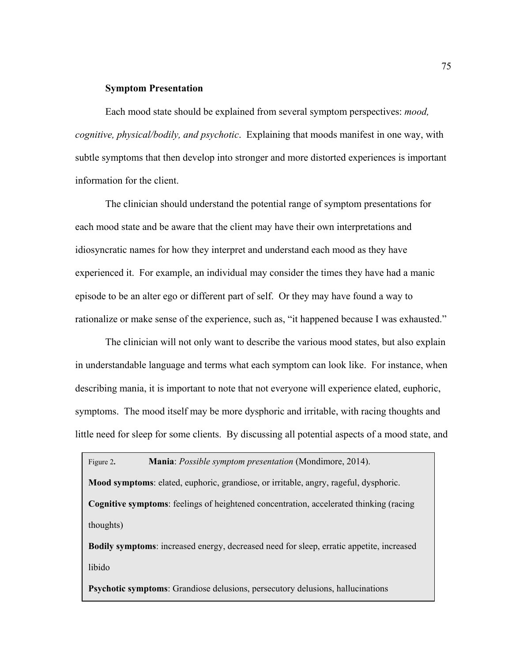#### **Symptom Presentation**

Each mood state should be explained from several symptom perspectives: *mood, cognitive, physical/bodily, and psychotic*. Explaining that moods manifest in one way, with subtle symptoms that then develop into stronger and more distorted experiences is important information for the client.

The clinician should understand the potential range of symptom presentations for each mood state and be aware that the client may have their own interpretations and idiosyncratic names for how they interpret and understand each mood as they have experienced it. For example, an individual may consider the times they have had a manic episode to be an alter ego or different part of self. Or they may have found a way to rationalize or make sense of the experience, such as, "it happened because I was exhausted."

The clinician will not only want to describe the various mood states, but also explain in understandable language and terms what each symptom can look like. For instance, when describing mania, it is important to note that not everyone will experience elated, euphoric, symptoms. The mood itself may be more dysphoric and irritable, with racing thoughts and little need for sleep for some clients. By discussing all potential aspects of a mood state, and

Figure 2**. Mania**: *Possible symptom presentation* (Mondimore, 2014). **Mood symptoms**: elated, euphoric, grandiose, or irritable, angry, rageful, dysphoric. **Cognitive symptoms**: feelings of heightened concentration, accelerated thinking (racing thoughts)

**Bodily symptoms**: increased energy, decreased need for sleep, erratic appetite, increased libido

**Psychotic symptoms**: Grandiose delusions, persecutory delusions, hallucinations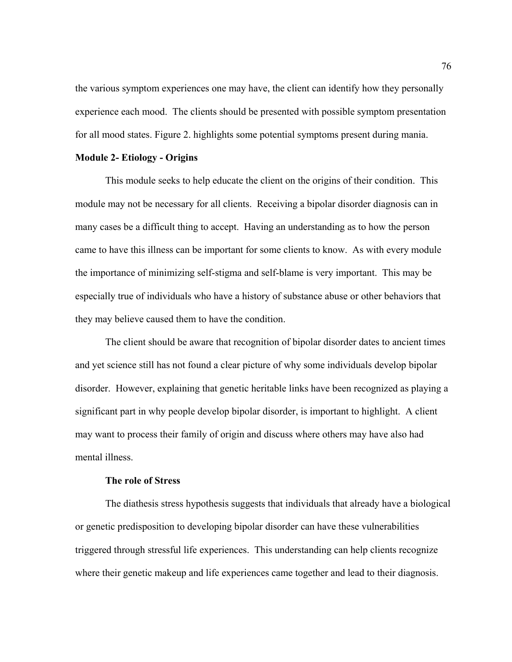the various symptom experiences one may have, the client can identify how they personally experience each mood. The clients should be presented with possible symptom presentation for all mood states. Figure 2. highlights some potential symptoms present during mania.

## **Module 2- Etiology - Origins**

This module seeks to help educate the client on the origins of their condition. This module may not be necessary for all clients. Receiving a bipolar disorder diagnosis can in many cases be a difficult thing to accept. Having an understanding as to how the person came to have this illness can be important for some clients to know. As with every module the importance of minimizing self-stigma and self-blame is very important. This may be especially true of individuals who have a history of substance abuse or other behaviors that they may believe caused them to have the condition.

The client should be aware that recognition of bipolar disorder dates to ancient times and yet science still has not found a clear picture of why some individuals develop bipolar disorder. However, explaining that genetic heritable links have been recognized as playing a significant part in why people develop bipolar disorder, is important to highlight. A client may want to process their family of origin and discuss where others may have also had mental illness.

# **The role of Stress**

The diathesis stress hypothesis suggests that individuals that already have a biological or genetic predisposition to developing bipolar disorder can have these vulnerabilities triggered through stressful life experiences. This understanding can help clients recognize where their genetic makeup and life experiences came together and lead to their diagnosis.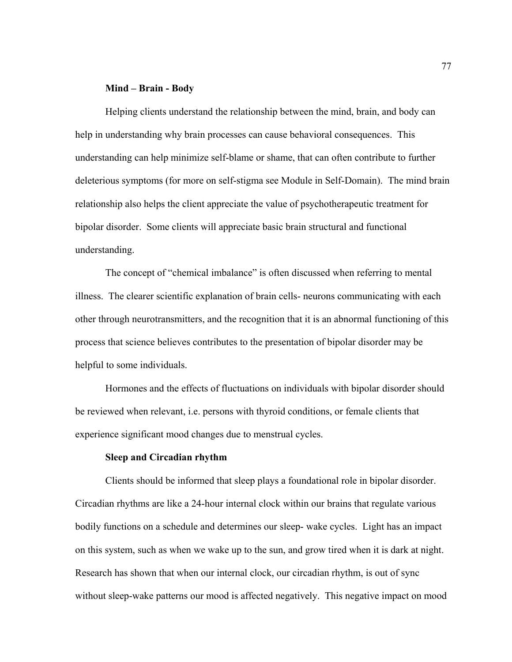#### **Mind – Brain - Body**

Helping clients understand the relationship between the mind, brain, and body can help in understanding why brain processes can cause behavioral consequences. This understanding can help minimize self-blame or shame, that can often contribute to further deleterious symptoms (for more on self-stigma see Module in Self-Domain). The mind brain relationship also helps the client appreciate the value of psychotherapeutic treatment for bipolar disorder. Some clients will appreciate basic brain structural and functional understanding.

The concept of "chemical imbalance" is often discussed when referring to mental illness. The clearer scientific explanation of brain cells- neurons communicating with each other through neurotransmitters, and the recognition that it is an abnormal functioning of this process that science believes contributes to the presentation of bipolar disorder may be helpful to some individuals.

Hormones and the effects of fluctuations on individuals with bipolar disorder should be reviewed when relevant, i.e. persons with thyroid conditions, or female clients that experience significant mood changes due to menstrual cycles.

# **Sleep and Circadian rhythm**

Clients should be informed that sleep plays a foundational role in bipolar disorder. Circadian rhythms are like a 24-hour internal clock within our brains that regulate various bodily functions on a schedule and determines our sleep- wake cycles. Light has an impact on this system, such as when we wake up to the sun, and grow tired when it is dark at night. Research has shown that when our internal clock, our circadian rhythm, is out of sync without sleep-wake patterns our mood is affected negatively. This negative impact on mood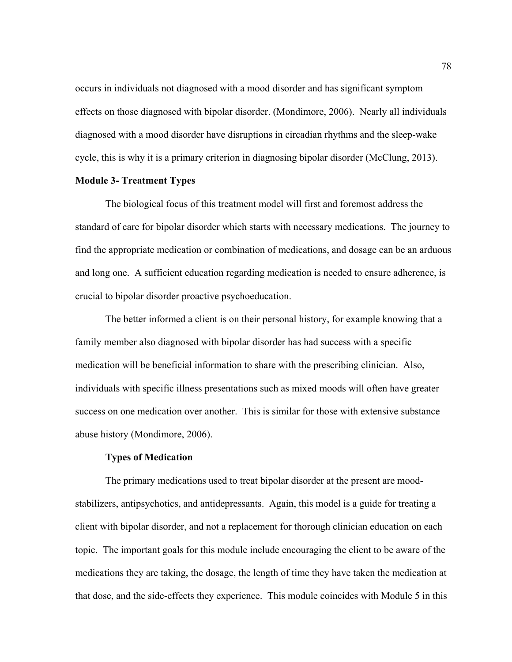occurs in individuals not diagnosed with a mood disorder and has significant symptom effects on those diagnosed with bipolar disorder. (Mondimore, 2006). Nearly all individuals diagnosed with a mood disorder have disruptions in circadian rhythms and the sleep-wake cycle, this is why it is a primary criterion in diagnosing bipolar disorder (McClung, 2013).

#### **Module 3- Treatment Types**

The biological focus of this treatment model will first and foremost address the standard of care for bipolar disorder which starts with necessary medications. The journey to find the appropriate medication or combination of medications, and dosage can be an arduous and long one. A sufficient education regarding medication is needed to ensure adherence, is crucial to bipolar disorder proactive psychoeducation.

The better informed a client is on their personal history, for example knowing that a family member also diagnosed with bipolar disorder has had success with a specific medication will be beneficial information to share with the prescribing clinician. Also, individuals with specific illness presentations such as mixed moods will often have greater success on one medication over another. This is similar for those with extensive substance abuse history (Mondimore, 2006).

### **Types of Medication**

The primary medications used to treat bipolar disorder at the present are moodstabilizers, antipsychotics, and antidepressants. Again, this model is a guide for treating a client with bipolar disorder, and not a replacement for thorough clinician education on each topic. The important goals for this module include encouraging the client to be aware of the medications they are taking, the dosage, the length of time they have taken the medication at that dose, and the side-effects they experience. This module coincides with Module 5 in this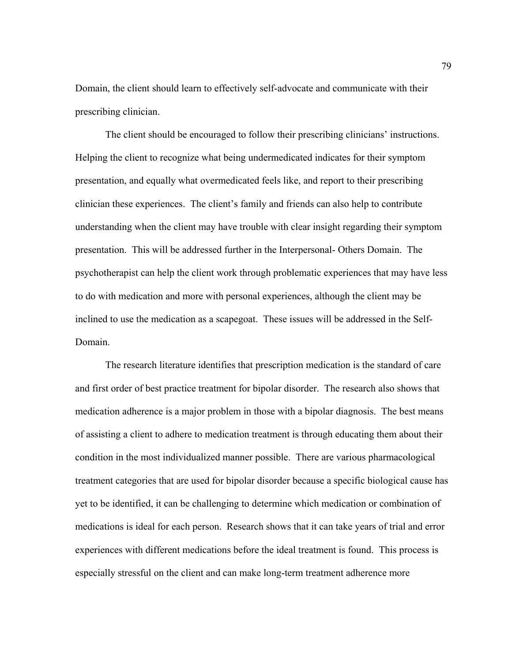Domain, the client should learn to effectively self-advocate and communicate with their prescribing clinician.

The client should be encouraged to follow their prescribing clinicians' instructions. Helping the client to recognize what being undermedicated indicates for their symptom presentation, and equally what overmedicated feels like, and report to their prescribing clinician these experiences. The client's family and friends can also help to contribute understanding when the client may have trouble with clear insight regarding their symptom presentation. This will be addressed further in the Interpersonal- Others Domain. The psychotherapist can help the client work through problematic experiences that may have less to do with medication and more with personal experiences, although the client may be inclined to use the medication as a scapegoat. These issues will be addressed in the Self-Domain.

The research literature identifies that prescription medication is the standard of care and first order of best practice treatment for bipolar disorder. The research also shows that medication adherence is a major problem in those with a bipolar diagnosis. The best means of assisting a client to adhere to medication treatment is through educating them about their condition in the most individualized manner possible. There are various pharmacological treatment categories that are used for bipolar disorder because a specific biological cause has yet to be identified, it can be challenging to determine which medication or combination of medications is ideal for each person. Research shows that it can take years of trial and error experiences with different medications before the ideal treatment is found. This process is especially stressful on the client and can make long-term treatment adherence more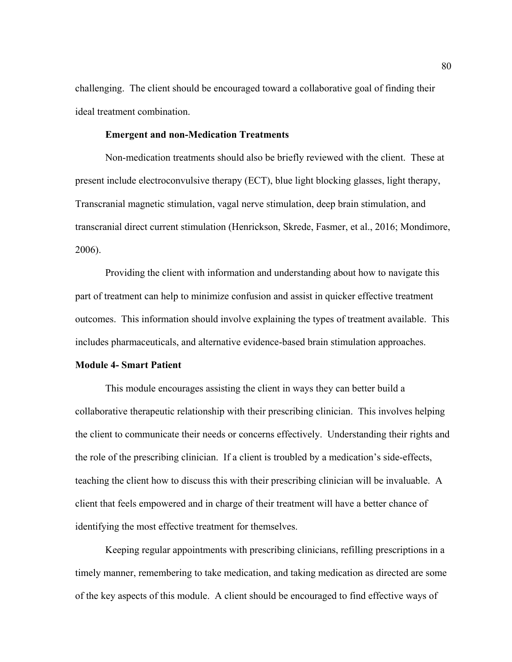challenging. The client should be encouraged toward a collaborative goal of finding their ideal treatment combination.

## **Emergent and non-Medication Treatments**

Non-medication treatments should also be briefly reviewed with the client. These at present include electroconvulsive therapy (ECT), blue light blocking glasses, light therapy, Transcranial magnetic stimulation, vagal nerve stimulation, deep brain stimulation, and transcranial direct current stimulation (Henrickson, Skrede, Fasmer, et al., 2016; Mondimore, 2006).

Providing the client with information and understanding about how to navigate this part of treatment can help to minimize confusion and assist in quicker effective treatment outcomes. This information should involve explaining the types of treatment available. This includes pharmaceuticals, and alternative evidence-based brain stimulation approaches.

## **Module 4- Smart Patient**

This module encourages assisting the client in ways they can better build a collaborative therapeutic relationship with their prescribing clinician. This involves helping the client to communicate their needs or concerns effectively. Understanding their rights and the role of the prescribing clinician. If a client is troubled by a medication's side-effects, teaching the client how to discuss this with their prescribing clinician will be invaluable. A client that feels empowered and in charge of their treatment will have a better chance of identifying the most effective treatment for themselves.

Keeping regular appointments with prescribing clinicians, refilling prescriptions in a timely manner, remembering to take medication, and taking medication as directed are some of the key aspects of this module. A client should be encouraged to find effective ways of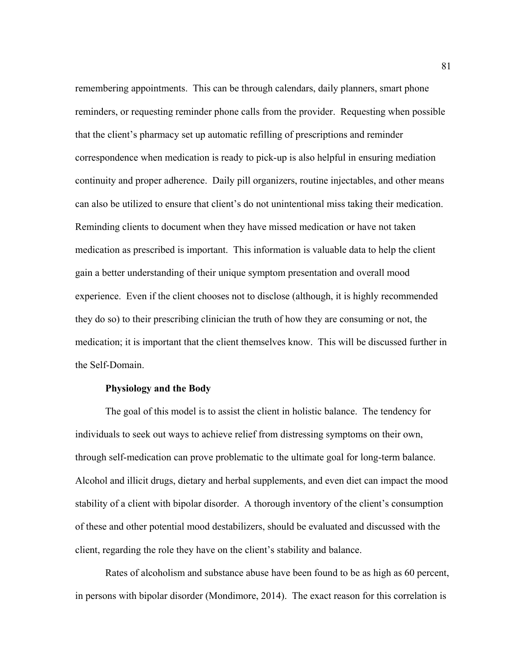remembering appointments. This can be through calendars, daily planners, smart phone reminders, or requesting reminder phone calls from the provider. Requesting when possible that the client's pharmacy set up automatic refilling of prescriptions and reminder correspondence when medication is ready to pick-up is also helpful in ensuring mediation continuity and proper adherence. Daily pill organizers, routine injectables, and other means can also be utilized to ensure that client's do not unintentional miss taking their medication. Reminding clients to document when they have missed medication or have not taken medication as prescribed is important. This information is valuable data to help the client gain a better understanding of their unique symptom presentation and overall mood experience. Even if the client chooses not to disclose (although, it is highly recommended they do so) to their prescribing clinician the truth of how they are consuming or not, the medication; it is important that the client themselves know. This will be discussed further in the Self-Domain.

## **Physiology and the Body**

The goal of this model is to assist the client in holistic balance. The tendency for individuals to seek out ways to achieve relief from distressing symptoms on their own, through self-medication can prove problematic to the ultimate goal for long-term balance. Alcohol and illicit drugs, dietary and herbal supplements, and even diet can impact the mood stability of a client with bipolar disorder. A thorough inventory of the client's consumption of these and other potential mood destabilizers, should be evaluated and discussed with the client, regarding the role they have on the client's stability and balance.

Rates of alcoholism and substance abuse have been found to be as high as 60 percent, in persons with bipolar disorder (Mondimore, 2014). The exact reason for this correlation is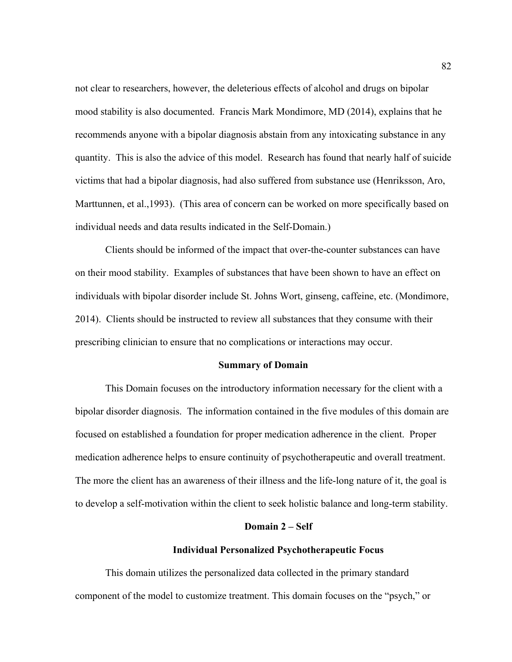not clear to researchers, however, the deleterious effects of alcohol and drugs on bipolar mood stability is also documented. Francis Mark Mondimore, MD (2014), explains that he recommends anyone with a bipolar diagnosis abstain from any intoxicating substance in any quantity. This is also the advice of this model. Research has found that nearly half of suicide victims that had a bipolar diagnosis, had also suffered from substance use (Henriksson, Aro, Marttunnen, et al.,1993). (This area of concern can be worked on more specifically based on individual needs and data results indicated in the Self-Domain.)

Clients should be informed of the impact that over-the-counter substances can have on their mood stability. Examples of substances that have been shown to have an effect on individuals with bipolar disorder include St. Johns Wort, ginseng, caffeine, etc. (Mondimore, 2014). Clients should be instructed to review all substances that they consume with their prescribing clinician to ensure that no complications or interactions may occur.

#### **Summary of Domain**

This Domain focuses on the introductory information necessary for the client with a bipolar disorder diagnosis. The information contained in the five modules of this domain are focused on established a foundation for proper medication adherence in the client. Proper medication adherence helps to ensure continuity of psychotherapeutic and overall treatment. The more the client has an awareness of their illness and the life-long nature of it, the goal is to develop a self-motivation within the client to seek holistic balance and long-term stability.

### **Domain 2 – Self**

#### **Individual Personalized Psychotherapeutic Focus**

This domain utilizes the personalized data collected in the primary standard component of the model to customize treatment. This domain focuses on the "psych," or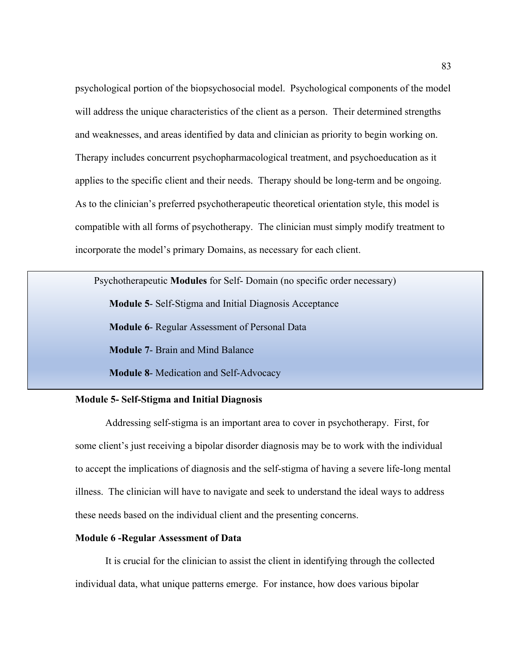psychological portion of the biopsychosocial model. Psychological components of the model will address the unique characteristics of the client as a person. Their determined strengths and weaknesses, and areas identified by data and clinician as priority to begin working on. Therapy includes concurrent psychopharmacological treatment, and psychoeducation as it applies to the specific client and their needs. Therapy should be long-term and be ongoing. As to the clinician's preferred psychotherapeutic theoretical orientation style, this model is compatible with all forms of psychotherapy. The clinician must simply modify treatment to incorporate the model's primary Domains, as necessary for each client.

Psychotherapeutic **Modules** for Self- Domain (no specific order necessary) **Module 5**- Self-Stigma and Initial Diagnosis Acceptance **Module 6**- Regular Assessment of Personal Data **Module 7**- Brain and Mind Balance **Module 8**- Medication and Self-Advocacy

# **Module 5- Self-Stigma and Initial Diagnosis**

Addressing self-stigma is an important area to cover in psychotherapy. First, for some client's just receiving a bipolar disorder diagnosis may be to work with the individual to accept the implications of diagnosis and the self-stigma of having a severe life-long mental illness. The clinician will have to navigate and seek to understand the ideal ways to address these needs based on the individual client and the presenting concerns.

## **Module 6 -Regular Assessment of Data**

It is crucial for the clinician to assist the client in identifying through the collected individual data, what unique patterns emerge. For instance, how does various bipolar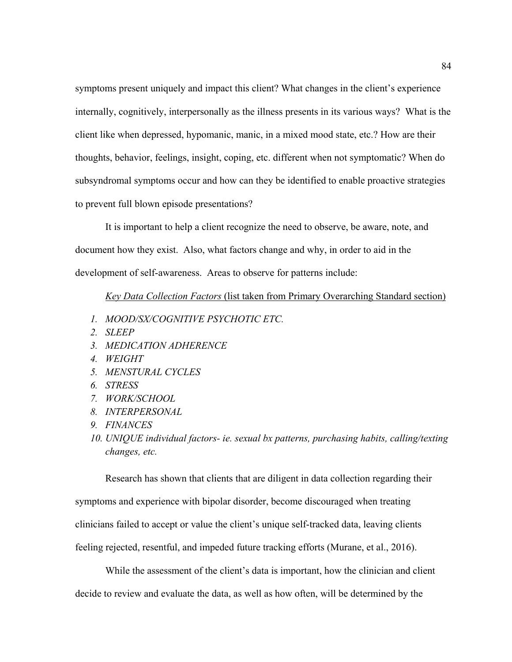symptoms present uniquely and impact this client? What changes in the client's experience internally, cognitively, interpersonally as the illness presents in its various ways? What is the client like when depressed, hypomanic, manic, in a mixed mood state, etc.? How are their thoughts, behavior, feelings, insight, coping, etc. different when not symptomatic? When do subsyndromal symptoms occur and how can they be identified to enable proactive strategies to prevent full blown episode presentations?

It is important to help a client recognize the need to observe, be aware, note, and document how they exist. Also, what factors change and why, in order to aid in the development of self-awareness. Areas to observe for patterns include:

## *Key Data Collection Factors* (list taken from Primary Overarching Standard section)

- *1. MOOD/SX/COGNITIVE PSYCHOTIC ETC.*
- *2. SLEEP*
- *3. MEDICATION ADHERENCE*
- *4. WEIGHT*
- *5. MENSTURAL CYCLES*
- *6. STRESS*
- *7. WORK/SCHOOL*
- *8. INTERPERSONAL*
- *9. FINANCES*
- *10. UNIQUE individual factors- ie. sexual bx patterns, purchasing habits, calling/texting changes, etc.*

Research has shown that clients that are diligent in data collection regarding their symptoms and experience with bipolar disorder, become discouraged when treating clinicians failed to accept or value the client's unique self-tracked data, leaving clients feeling rejected, resentful, and impeded future tracking efforts (Murane, et al., 2016).

While the assessment of the client's data is important, how the clinician and client decide to review and evaluate the data, as well as how often, will be determined by the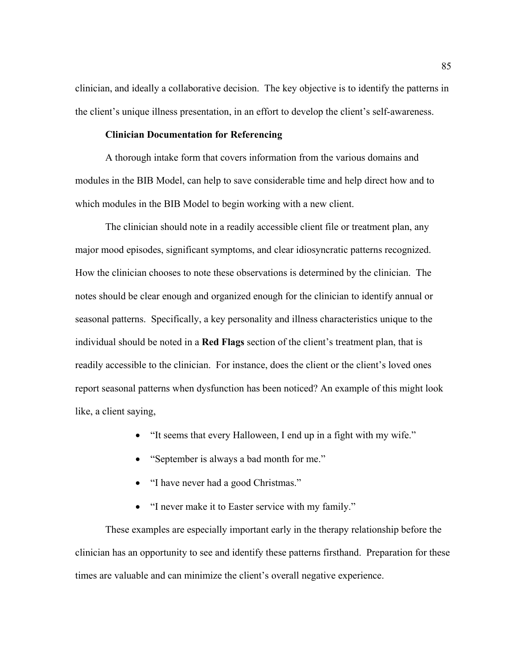clinician, and ideally a collaborative decision. The key objective is to identify the patterns in the client's unique illness presentation, in an effort to develop the client's self-awareness.

## **Clinician Documentation for Referencing**

A thorough intake form that covers information from the various domains and modules in the BIB Model, can help to save considerable time and help direct how and to which modules in the BIB Model to begin working with a new client.

The clinician should note in a readily accessible client file or treatment plan, any major mood episodes, significant symptoms, and clear idiosyncratic patterns recognized. How the clinician chooses to note these observations is determined by the clinician. The notes should be clear enough and organized enough for the clinician to identify annual or seasonal patterns. Specifically, a key personality and illness characteristics unique to the individual should be noted in a **Red Flags** section of the client's treatment plan, that is readily accessible to the clinician. For instance, does the client or the client's loved ones report seasonal patterns when dysfunction has been noticed? An example of this might look like, a client saying,

- "It seems that every Halloween, I end up in a fight with my wife."
- "September is always a bad month for me."
- "I have never had a good Christmas."
- "I never make it to Easter service with my family."

These examples are especially important early in the therapy relationship before the clinician has an opportunity to see and identify these patterns firsthand. Preparation for these times are valuable and can minimize the client's overall negative experience.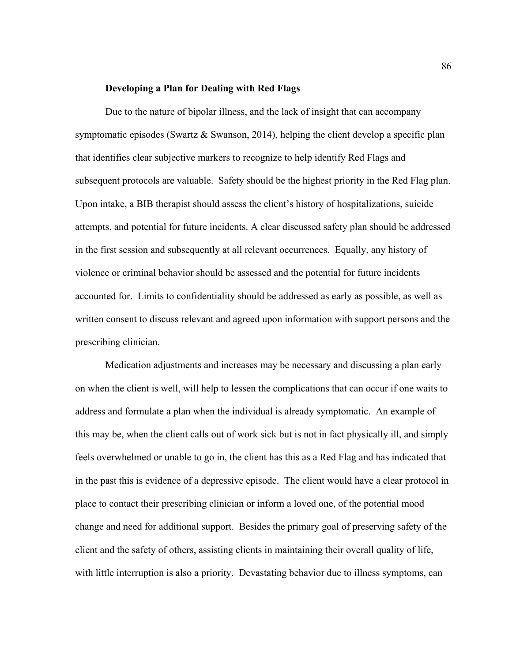#### **Developing a Plan for Dealing with Red Flags**

Due to the nature of bipolar illness, and the lack of insight that can accompany symptomatic episodes (Swartz & Swanson, 2014), helping the client develop a specific plan that identifies clear subjective markers to recognize to help identify Red Flags and subsequent protocols are valuable. Safety should be the highest priority in the Red Flag plan. Upon intake, a BIB therapist should assess the client's history of hospitalizations, suicide attempts, and potential for future incidents. A clear discussed safety plan should be addressed in the first session and subsequently at all relevant occurrences. Equally, any history of violence or criminal behavior should be assessed and the potential for future incidents accounted for. Limits to confidentiality should be addressed as early as possible, as well as written consent to discuss relevant and agreed upon information with support persons and the prescribing clinician.

Medication adjustments and increases may be necessary and discussing a plan early on when the client is well, will help to lessen the complications that can occur if one waits to address and formulate a plan when the individual is already symptomatic. An example of this may be, when the client calls out of work sick but is not in fact physically ill, and simply feels overwhelmed or unable to go in, the client has this as a Red Flag and has indicated that in the past this is evidence of a depressive episode. The client would have a clear protocol in place to contact their prescribing clinician or inform a loved one, of the potential mood change and need for additional support. Besides the primary goal of preserving safety of the client and the safety of others, assisting clients in maintaining their overall quality of life, with little interruption is also a priority. Devastating behavior due to illness symptoms, can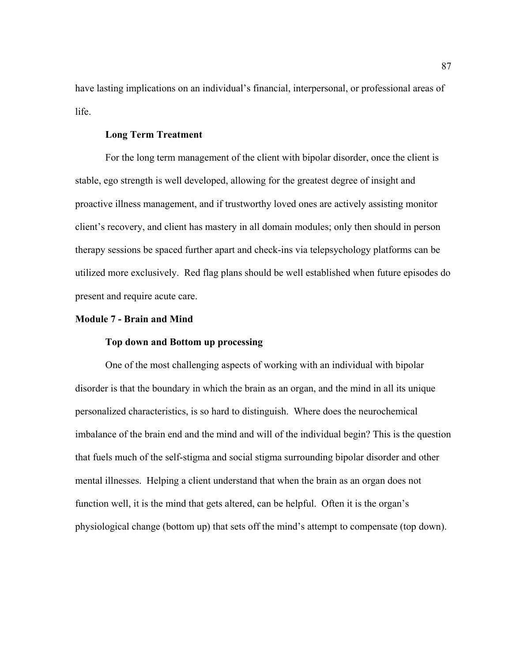have lasting implications on an individual's financial, interpersonal, or professional areas of life.

## **Long Term Treatment**

For the long term management of the client with bipolar disorder, once the client is stable, ego strength is well developed, allowing for the greatest degree of insight and proactive illness management, and if trustworthy loved ones are actively assisting monitor client's recovery, and client has mastery in all domain modules; only then should in person therapy sessions be spaced further apart and check-ins via telepsychology platforms can be utilized more exclusively. Red flag plans should be well established when future episodes do present and require acute care.

### **Module 7 - Brain and Mind**

# **Top down and Bottom up processing**

One of the most challenging aspects of working with an individual with bipolar disorder is that the boundary in which the brain as an organ, and the mind in all its unique personalized characteristics, is so hard to distinguish. Where does the neurochemical imbalance of the brain end and the mind and will of the individual begin? This is the question that fuels much of the self-stigma and social stigma surrounding bipolar disorder and other mental illnesses. Helping a client understand that when the brain as an organ does not function well, it is the mind that gets altered, can be helpful. Often it is the organ's physiological change (bottom up) that sets off the mind's attempt to compensate (top down).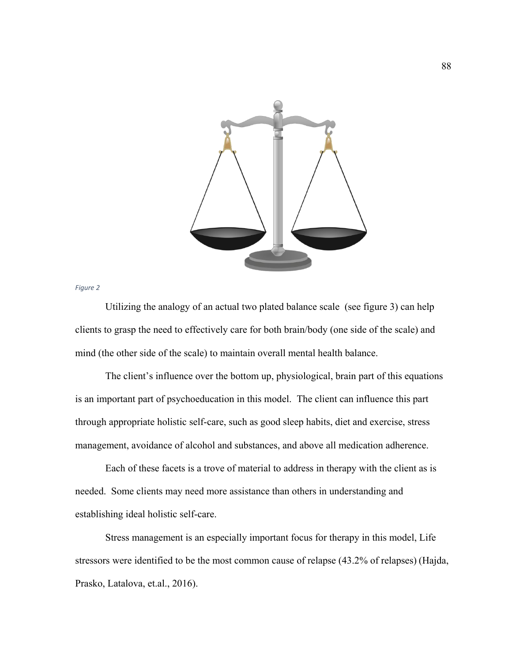

*Figure 2*

Utilizing the analogy of an actual two plated balance scale (see figure 3) can help clients to grasp the need to effectively care for both brain/body (one side of the scale) and mind (the other side of the scale) to maintain overall mental health balance.

The client's influence over the bottom up, physiological, brain part of this equations is an important part of psychoeducation in this model. The client can influence this part through appropriate holistic self-care, such as good sleep habits, diet and exercise, stress management, avoidance of alcohol and substances, and above all medication adherence.

Each of these facets is a trove of material to address in therapy with the client as is needed. Some clients may need more assistance than others in understanding and establishing ideal holistic self-care.

Stress management is an especially important focus for therapy in this model, Life stressors were identified to be the most common cause of relapse (43.2% of relapses) (Hajda, Prasko, Latalova, et.al., 2016).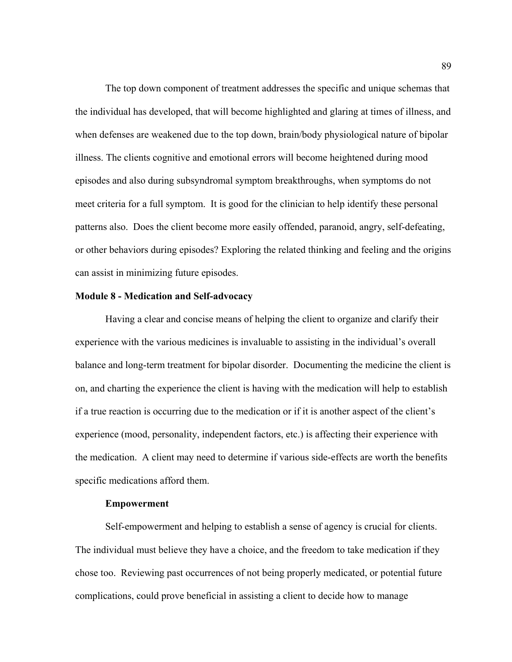The top down component of treatment addresses the specific and unique schemas that the individual has developed, that will become highlighted and glaring at times of illness, and when defenses are weakened due to the top down, brain/body physiological nature of bipolar illness. The clients cognitive and emotional errors will become heightened during mood episodes and also during subsyndromal symptom breakthroughs, when symptoms do not meet criteria for a full symptom. It is good for the clinician to help identify these personal patterns also. Does the client become more easily offended, paranoid, angry, self-defeating, or other behaviors during episodes? Exploring the related thinking and feeling and the origins can assist in minimizing future episodes.

### **Module 8 - Medication and Self-advocacy**

Having a clear and concise means of helping the client to organize and clarify their experience with the various medicines is invaluable to assisting in the individual's overall balance and long-term treatment for bipolar disorder. Documenting the medicine the client is on, and charting the experience the client is having with the medication will help to establish if a true reaction is occurring due to the medication or if it is another aspect of the client's experience (mood, personality, independent factors, etc.) is affecting their experience with the medication. A client may need to determine if various side-effects are worth the benefits specific medications afford them.

#### **Empowerment**

Self-empowerment and helping to establish a sense of agency is crucial for clients. The individual must believe they have a choice, and the freedom to take medication if they chose too. Reviewing past occurrences of not being properly medicated, or potential future complications, could prove beneficial in assisting a client to decide how to manage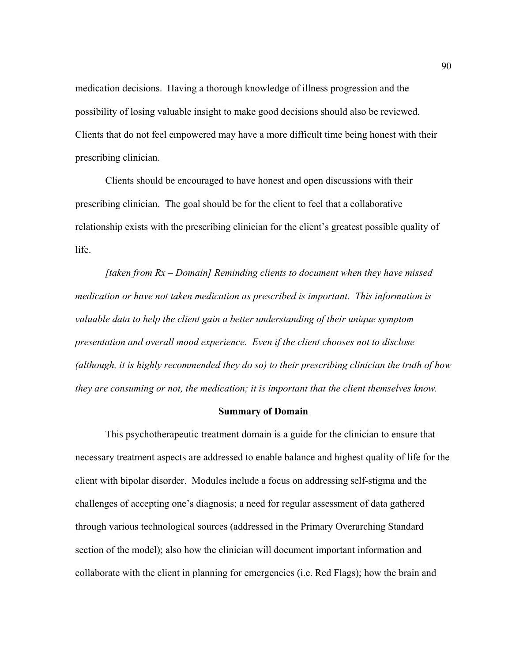medication decisions. Having a thorough knowledge of illness progression and the possibility of losing valuable insight to make good decisions should also be reviewed. Clients that do not feel empowered may have a more difficult time being honest with their prescribing clinician.

Clients should be encouraged to have honest and open discussions with their prescribing clinician. The goal should be for the client to feel that a collaborative relationship exists with the prescribing clinician for the client's greatest possible quality of life.

*[taken from Rx – Domain] Reminding clients to document when they have missed medication or have not taken medication as prescribed is important. This information is valuable data to help the client gain a better understanding of their unique symptom presentation and overall mood experience. Even if the client chooses not to disclose (although, it is highly recommended they do so) to their prescribing clinician the truth of how they are consuming or not, the medication; it is important that the client themselves know.* 

### **Summary of Domain**

This psychotherapeutic treatment domain is a guide for the clinician to ensure that necessary treatment aspects are addressed to enable balance and highest quality of life for the client with bipolar disorder. Modules include a focus on addressing self-stigma and the challenges of accepting one's diagnosis; a need for regular assessment of data gathered through various technological sources (addressed in the Primary Overarching Standard section of the model); also how the clinician will document important information and collaborate with the client in planning for emergencies (i.e. Red Flags); how the brain and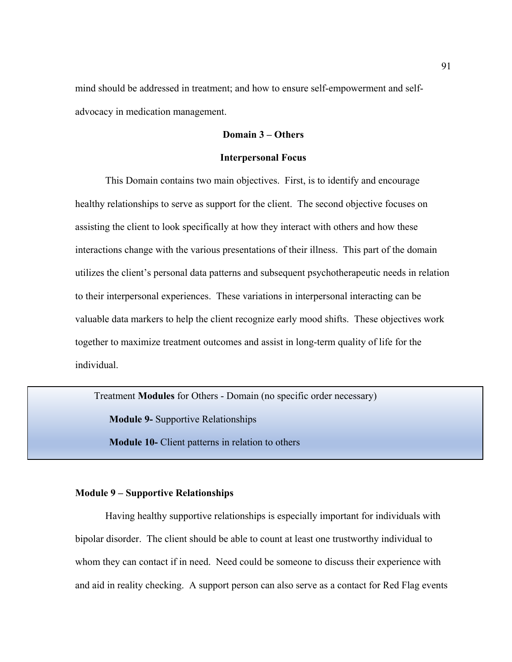mind should be addressed in treatment; and how to ensure self-empowerment and selfadvocacy in medication management.

# **Domain 3 – Others**

#### **Interpersonal Focus**

This Domain contains two main objectives. First, is to identify and encourage healthy relationships to serve as support for the client. The second objective focuses on assisting the client to look specifically at how they interact with others and how these interactions change with the various presentations of their illness. This part of the domain utilizes the client's personal data patterns and subsequent psychotherapeutic needs in relation to their interpersonal experiences. These variations in interpersonal interacting can be valuable data markers to help the client recognize early mood shifts. These objectives work together to maximize treatment outcomes and assist in long-term quality of life for the individual.

Treatment **Modules** for Others - Domain (no specific order necessary)

**Module 9-** Supportive Relationships

**Module 10-** Client patterns in relation to others

## **Module 9 – Supportive Relationships**

Having healthy supportive relationships is especially important for individuals with bipolar disorder. The client should be able to count at least one trustworthy individual to whom they can contact if in need. Need could be someone to discuss their experience with and aid in reality checking. A support person can also serve as a contact for Red Flag events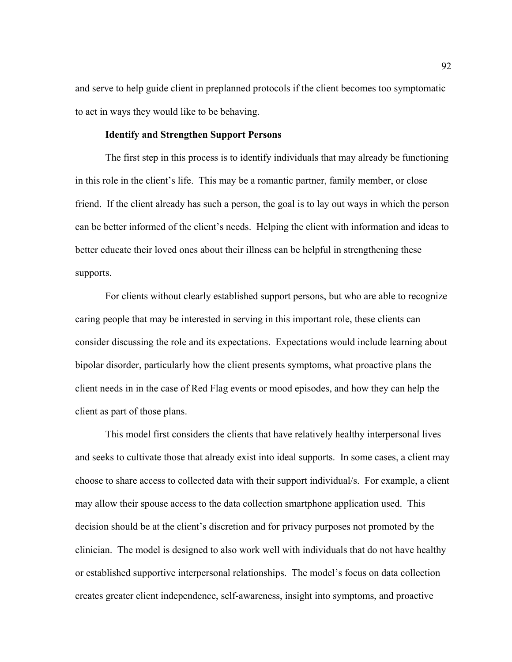and serve to help guide client in preplanned protocols if the client becomes too symptomatic to act in ways they would like to be behaving.

## **Identify and Strengthen Support Persons**

The first step in this process is to identify individuals that may already be functioning in this role in the client's life. This may be a romantic partner, family member, or close friend. If the client already has such a person, the goal is to lay out ways in which the person can be better informed of the client's needs. Helping the client with information and ideas to better educate their loved ones about their illness can be helpful in strengthening these supports.

For clients without clearly established support persons, but who are able to recognize caring people that may be interested in serving in this important role, these clients can consider discussing the role and its expectations. Expectations would include learning about bipolar disorder, particularly how the client presents symptoms, what proactive plans the client needs in in the case of Red Flag events or mood episodes, and how they can help the client as part of those plans.

This model first considers the clients that have relatively healthy interpersonal lives and seeks to cultivate those that already exist into ideal supports. In some cases, a client may choose to share access to collected data with their support individual/s. For example, a client may allow their spouse access to the data collection smartphone application used. This decision should be at the client's discretion and for privacy purposes not promoted by the clinician. The model is designed to also work well with individuals that do not have healthy or established supportive interpersonal relationships. The model's focus on data collection creates greater client independence, self-awareness, insight into symptoms, and proactive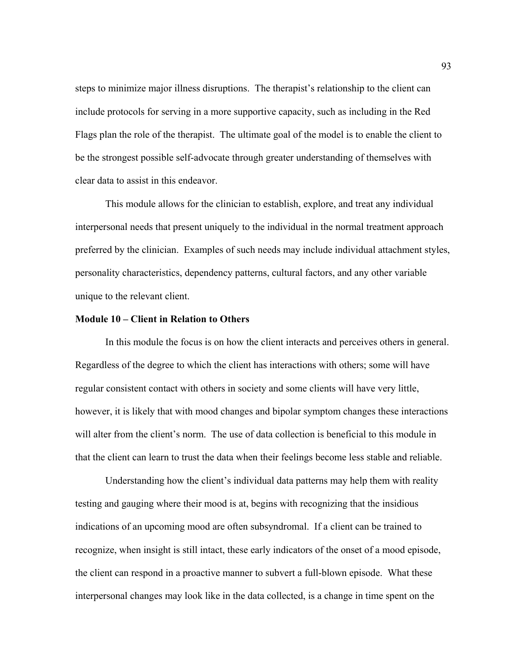steps to minimize major illness disruptions. The therapist's relationship to the client can include protocols for serving in a more supportive capacity, such as including in the Red Flags plan the role of the therapist. The ultimate goal of the model is to enable the client to be the strongest possible self-advocate through greater understanding of themselves with clear data to assist in this endeavor.

This module allows for the clinician to establish, explore, and treat any individual interpersonal needs that present uniquely to the individual in the normal treatment approach preferred by the clinician. Examples of such needs may include individual attachment styles, personality characteristics, dependency patterns, cultural factors, and any other variable unique to the relevant client.

## **Module 10 – Client in Relation to Others**

In this module the focus is on how the client interacts and perceives others in general. Regardless of the degree to which the client has interactions with others; some will have regular consistent contact with others in society and some clients will have very little, however, it is likely that with mood changes and bipolar symptom changes these interactions will alter from the client's norm. The use of data collection is beneficial to this module in that the client can learn to trust the data when their feelings become less stable and reliable.

Understanding how the client's individual data patterns may help them with reality testing and gauging where their mood is at, begins with recognizing that the insidious indications of an upcoming mood are often subsyndromal. If a client can be trained to recognize, when insight is still intact, these early indicators of the onset of a mood episode, the client can respond in a proactive manner to subvert a full-blown episode. What these interpersonal changes may look like in the data collected, is a change in time spent on the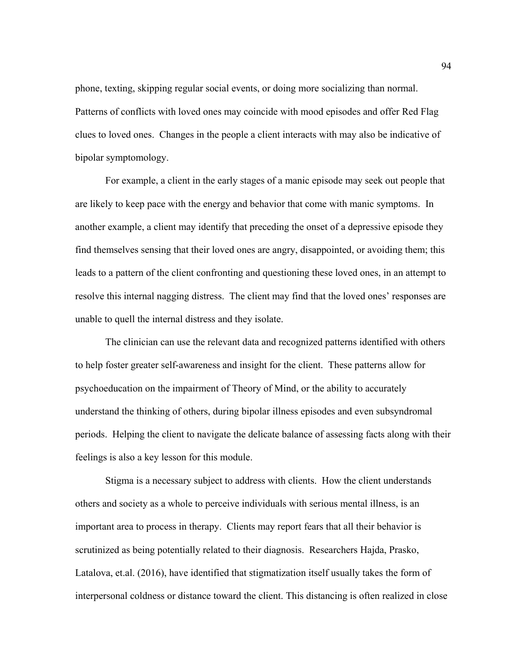phone, texting, skipping regular social events, or doing more socializing than normal. Patterns of conflicts with loved ones may coincide with mood episodes and offer Red Flag clues to loved ones. Changes in the people a client interacts with may also be indicative of bipolar symptomology.

For example, a client in the early stages of a manic episode may seek out people that are likely to keep pace with the energy and behavior that come with manic symptoms. In another example, a client may identify that preceding the onset of a depressive episode they find themselves sensing that their loved ones are angry, disappointed, or avoiding them; this leads to a pattern of the client confronting and questioning these loved ones, in an attempt to resolve this internal nagging distress. The client may find that the loved ones' responses are unable to quell the internal distress and they isolate.

The clinician can use the relevant data and recognized patterns identified with others to help foster greater self-awareness and insight for the client. These patterns allow for psychoeducation on the impairment of Theory of Mind, or the ability to accurately understand the thinking of others, during bipolar illness episodes and even subsyndromal periods. Helping the client to navigate the delicate balance of assessing facts along with their feelings is also a key lesson for this module.

Stigma is a necessary subject to address with clients. How the client understands others and society as a whole to perceive individuals with serious mental illness, is an important area to process in therapy. Clients may report fears that all their behavior is scrutinized as being potentially related to their diagnosis. Researchers Hajda, Prasko, Latalova, et.al. (2016), have identified that stigmatization itself usually takes the form of interpersonal coldness or distance toward the client. This distancing is often realized in close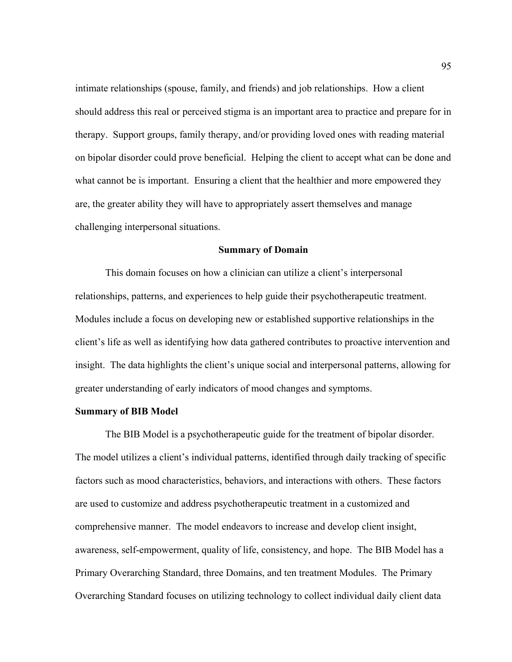intimate relationships (spouse, family, and friends) and job relationships. How a client should address this real or perceived stigma is an important area to practice and prepare for in therapy. Support groups, family therapy, and/or providing loved ones with reading material on bipolar disorder could prove beneficial. Helping the client to accept what can be done and what cannot be is important. Ensuring a client that the healthier and more empowered they are, the greater ability they will have to appropriately assert themselves and manage challenging interpersonal situations.

#### **Summary of Domain**

This domain focuses on how a clinician can utilize a client's interpersonal relationships, patterns, and experiences to help guide their psychotherapeutic treatment. Modules include a focus on developing new or established supportive relationships in the client's life as well as identifying how data gathered contributes to proactive intervention and insight. The data highlights the client's unique social and interpersonal patterns, allowing for greater understanding of early indicators of mood changes and symptoms.

### **Summary of BIB Model**

The BIB Model is a psychotherapeutic guide for the treatment of bipolar disorder. The model utilizes a client's individual patterns, identified through daily tracking of specific factors such as mood characteristics, behaviors, and interactions with others. These factors are used to customize and address psychotherapeutic treatment in a customized and comprehensive manner. The model endeavors to increase and develop client insight, awareness, self-empowerment, quality of life, consistency, and hope. The BIB Model has a Primary Overarching Standard, three Domains, and ten treatment Modules. The Primary Overarching Standard focuses on utilizing technology to collect individual daily client data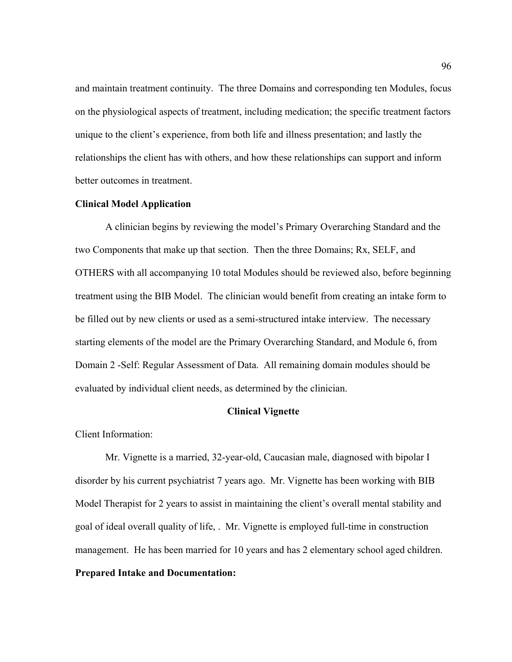and maintain treatment continuity. The three Domains and corresponding ten Modules, focus on the physiological aspects of treatment, including medication; the specific treatment factors unique to the client's experience, from both life and illness presentation; and lastly the relationships the client has with others, and how these relationships can support and inform better outcomes in treatment.

### **Clinical Model Application**

A clinician begins by reviewing the model's Primary Overarching Standard and the two Components that make up that section. Then the three Domains; Rx, SELF, and OTHERS with all accompanying 10 total Modules should be reviewed also, before beginning treatment using the BIB Model. The clinician would benefit from creating an intake form to be filled out by new clients or used as a semi-structured intake interview. The necessary starting elements of the model are the Primary Overarching Standard, and Module 6, from Domain 2 -Self: Regular Assessment of Data. All remaining domain modules should be evaluated by individual client needs, as determined by the clinician.

## **Clinical Vignette**

Client Information:

Mr. Vignette is a married, 32-year-old, Caucasian male, diagnosed with bipolar I disorder by his current psychiatrist 7 years ago. Mr. Vignette has been working with BIB Model Therapist for 2 years to assist in maintaining the client's overall mental stability and goal of ideal overall quality of life, . Mr. Vignette is employed full-time in construction management. He has been married for 10 years and has 2 elementary school aged children. **Prepared Intake and Documentation:**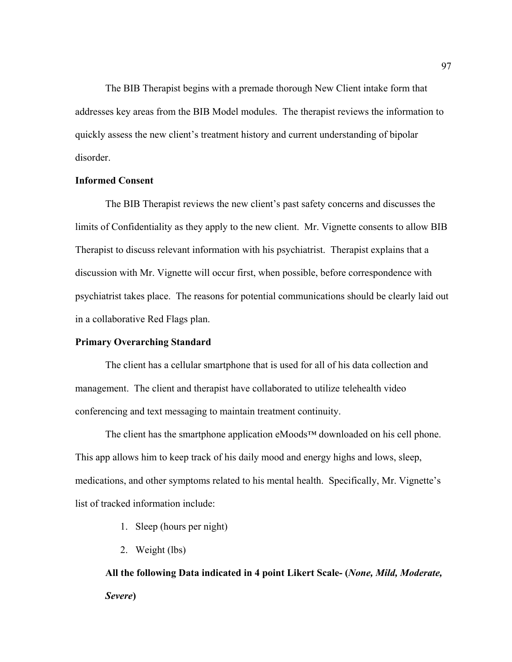The BIB Therapist begins with a premade thorough New Client intake form that addresses key areas from the BIB Model modules. The therapist reviews the information to quickly assess the new client's treatment history and current understanding of bipolar disorder.

# **Informed Consent**

The BIB Therapist reviews the new client's past safety concerns and discusses the limits of Confidentiality as they apply to the new client. Mr. Vignette consents to allow BIB Therapist to discuss relevant information with his psychiatrist. Therapist explains that a discussion with Mr. Vignette will occur first, when possible, before correspondence with psychiatrist takes place. The reasons for potential communications should be clearly laid out in a collaborative Red Flags plan.

## **Primary Overarching Standard**

The client has a cellular smartphone that is used for all of his data collection and management. The client and therapist have collaborated to utilize telehealth video conferencing and text messaging to maintain treatment continuity.

The client has the smartphone application eMoods™ downloaded on his cell phone. This app allows him to keep track of his daily mood and energy highs and lows, sleep, medications, and other symptoms related to his mental health. Specifically, Mr. Vignette's list of tracked information include:

- 1. Sleep (hours per night)
- 2. Weight (lbs)

**All the following Data indicated in 4 point Likert Scale- (***None, Mild, Moderate, Severe***)**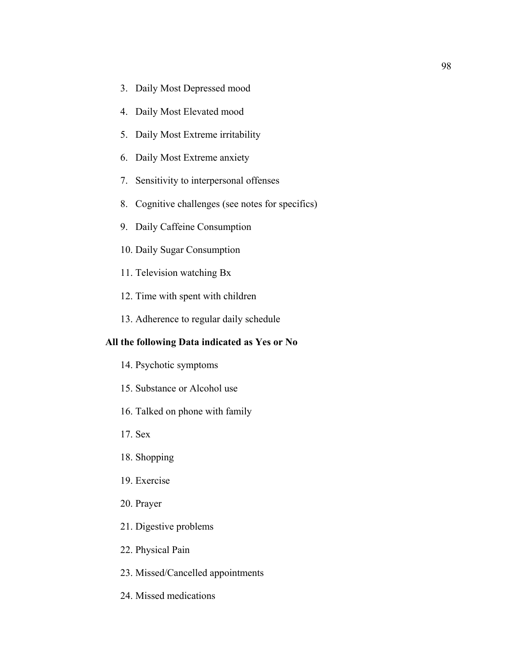- 3. Daily Most Depressed mood
- 4. Daily Most Elevated mood
- 5. Daily Most Extreme irritability
- 6. Daily Most Extreme anxiety
- 7. Sensitivity to interpersonal offenses
- 8. Cognitive challenges (see notes for specifics)
- 9. Daily Caffeine Consumption
- 10. Daily Sugar Consumption
- 11. Television watching Bx
- 12. Time with spent with children
- 13. Adherence to regular daily schedule

# **All the following Data indicated as Yes or No**

- 14. Psychotic symptoms
- 15. Substance or Alcohol use
- 16. Talked on phone with family
- 17. Sex
- 18. Shopping
- 19. Exercise
- 20. Prayer
- 21. Digestive problems
- 22. Physical Pain
- 23. Missed/Cancelled appointments
- 24. Missed medications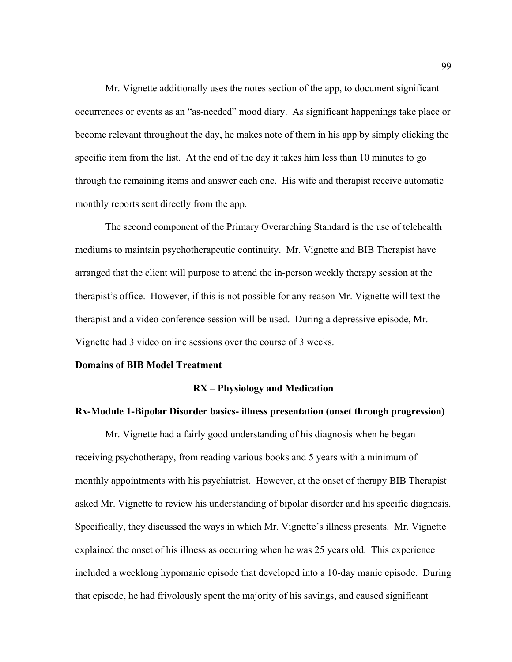Mr. Vignette additionally uses the notes section of the app, to document significant occurrences or events as an "as-needed" mood diary. As significant happenings take place or become relevant throughout the day, he makes note of them in his app by simply clicking the specific item from the list. At the end of the day it takes him less than 10 minutes to go through the remaining items and answer each one. His wife and therapist receive automatic monthly reports sent directly from the app.

The second component of the Primary Overarching Standard is the use of telehealth mediums to maintain psychotherapeutic continuity. Mr. Vignette and BIB Therapist have arranged that the client will purpose to attend the in-person weekly therapy session at the therapist's office. However, if this is not possible for any reason Mr. Vignette will text the therapist and a video conference session will be used. During a depressive episode, Mr. Vignette had 3 video online sessions over the course of 3 weeks.

#### **Domains of BIB Model Treatment**

#### **RX – Physiology and Medication**

## **Rx-Module 1-Bipolar Disorder basics- illness presentation (onset through progression)**

Mr. Vignette had a fairly good understanding of his diagnosis when he began receiving psychotherapy, from reading various books and 5 years with a minimum of monthly appointments with his psychiatrist. However, at the onset of therapy BIB Therapist asked Mr. Vignette to review his understanding of bipolar disorder and his specific diagnosis. Specifically, they discussed the ways in which Mr. Vignette's illness presents. Mr. Vignette explained the onset of his illness as occurring when he was 25 years old. This experience included a weeklong hypomanic episode that developed into a 10-day manic episode. During that episode, he had frivolously spent the majority of his savings, and caused significant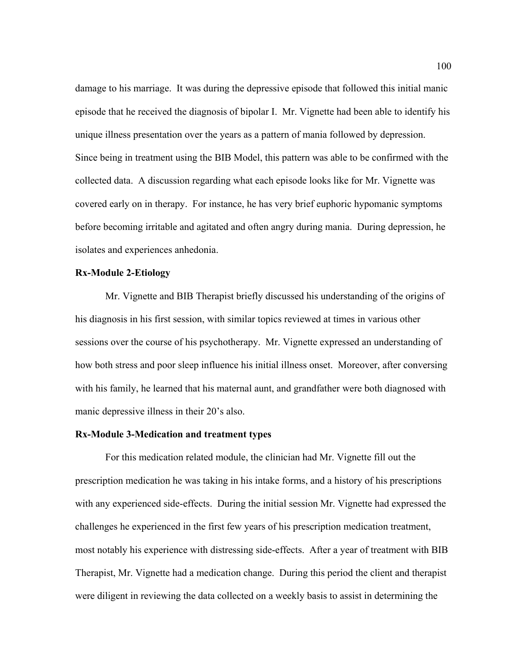damage to his marriage. It was during the depressive episode that followed this initial manic episode that he received the diagnosis of bipolar I. Mr. Vignette had been able to identify his unique illness presentation over the years as a pattern of mania followed by depression. Since being in treatment using the BIB Model, this pattern was able to be confirmed with the collected data. A discussion regarding what each episode looks like for Mr. Vignette was covered early on in therapy. For instance, he has very brief euphoric hypomanic symptoms before becoming irritable and agitated and often angry during mania. During depression, he isolates and experiences anhedonia.

## **Rx-Module 2-Etiology**

Mr. Vignette and BIB Therapist briefly discussed his understanding of the origins of his diagnosis in his first session, with similar topics reviewed at times in various other sessions over the course of his psychotherapy. Mr. Vignette expressed an understanding of how both stress and poor sleep influence his initial illness onset. Moreover, after conversing with his family, he learned that his maternal aunt, and grandfather were both diagnosed with manic depressive illness in their 20's also.

#### **Rx-Module 3-Medication and treatment types**

For this medication related module, the clinician had Mr. Vignette fill out the prescription medication he was taking in his intake forms, and a history of his prescriptions with any experienced side-effects. During the initial session Mr. Vignette had expressed the challenges he experienced in the first few years of his prescription medication treatment, most notably his experience with distressing side-effects. After a year of treatment with BIB Therapist, Mr. Vignette had a medication change. During this period the client and therapist were diligent in reviewing the data collected on a weekly basis to assist in determining the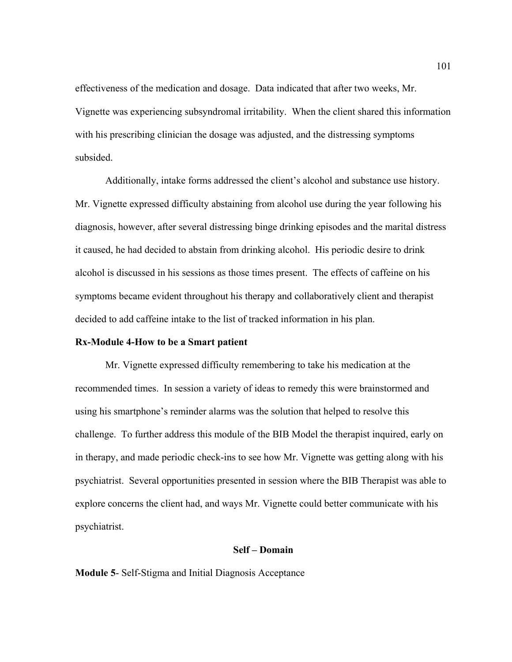effectiveness of the medication and dosage. Data indicated that after two weeks, Mr. Vignette was experiencing subsyndromal irritability. When the client shared this information with his prescribing clinician the dosage was adjusted, and the distressing symptoms subsided.

Additionally, intake forms addressed the client's alcohol and substance use history. Mr. Vignette expressed difficulty abstaining from alcohol use during the year following his diagnosis, however, after several distressing binge drinking episodes and the marital distress it caused, he had decided to abstain from drinking alcohol. His periodic desire to drink alcohol is discussed in his sessions as those times present. The effects of caffeine on his symptoms became evident throughout his therapy and collaboratively client and therapist decided to add caffeine intake to the list of tracked information in his plan.

## **Rx-Module 4-How to be a Smart patient**

Mr. Vignette expressed difficulty remembering to take his medication at the recommended times. In session a variety of ideas to remedy this were brainstormed and using his smartphone's reminder alarms was the solution that helped to resolve this challenge. To further address this module of the BIB Model the therapist inquired, early on in therapy, and made periodic check-ins to see how Mr. Vignette was getting along with his psychiatrist. Several opportunities presented in session where the BIB Therapist was able to explore concerns the client had, and ways Mr. Vignette could better communicate with his psychiatrist.

## **Self – Domain**

**Module 5**- Self-Stigma and Initial Diagnosis Acceptance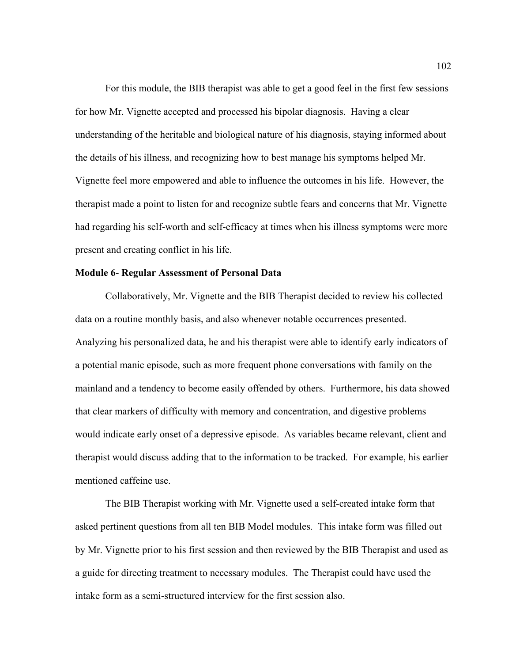For this module, the BIB therapist was able to get a good feel in the first few sessions for how Mr. Vignette accepted and processed his bipolar diagnosis. Having a clear understanding of the heritable and biological nature of his diagnosis, staying informed about the details of his illness, and recognizing how to best manage his symptoms helped Mr. Vignette feel more empowered and able to influence the outcomes in his life. However, the therapist made a point to listen for and recognize subtle fears and concerns that Mr. Vignette had regarding his self-worth and self-efficacy at times when his illness symptoms were more present and creating conflict in his life.

## **Module 6**- **Regular Assessment of Personal Data**

Collaboratively, Mr. Vignette and the BIB Therapist decided to review his collected data on a routine monthly basis, and also whenever notable occurrences presented. Analyzing his personalized data, he and his therapist were able to identify early indicators of a potential manic episode, such as more frequent phone conversations with family on the mainland and a tendency to become easily offended by others. Furthermore, his data showed that clear markers of difficulty with memory and concentration, and digestive problems would indicate early onset of a depressive episode. As variables became relevant, client and therapist would discuss adding that to the information to be tracked. For example, his earlier mentioned caffeine use.

The BIB Therapist working with Mr. Vignette used a self-created intake form that asked pertinent questions from all ten BIB Model modules. This intake form was filled out by Mr. Vignette prior to his first session and then reviewed by the BIB Therapist and used as a guide for directing treatment to necessary modules. The Therapist could have used the intake form as a semi-structured interview for the first session also.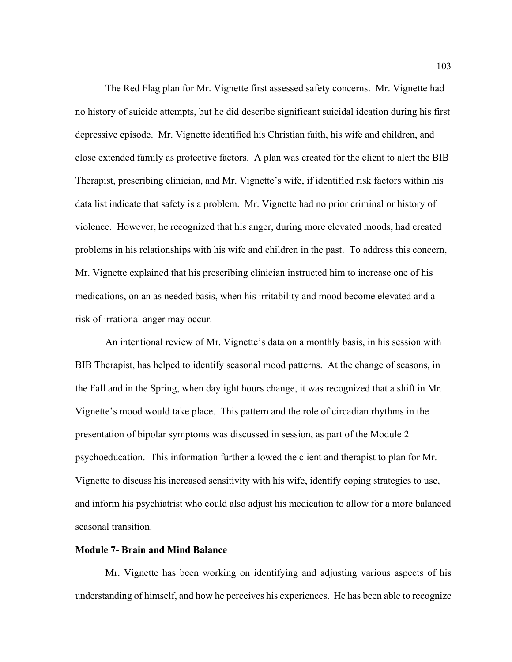The Red Flag plan for Mr. Vignette first assessed safety concerns. Mr. Vignette had no history of suicide attempts, but he did describe significant suicidal ideation during his first depressive episode. Mr. Vignette identified his Christian faith, his wife and children, and close extended family as protective factors. A plan was created for the client to alert the BIB Therapist, prescribing clinician, and Mr. Vignette's wife, if identified risk factors within his data list indicate that safety is a problem. Mr. Vignette had no prior criminal or history of violence. However, he recognized that his anger, during more elevated moods, had created problems in his relationships with his wife and children in the past. To address this concern, Mr. Vignette explained that his prescribing clinician instructed him to increase one of his medications, on an as needed basis, when his irritability and mood become elevated and a risk of irrational anger may occur.

An intentional review of Mr. Vignette's data on a monthly basis, in his session with BIB Therapist, has helped to identify seasonal mood patterns. At the change of seasons, in the Fall and in the Spring, when daylight hours change, it was recognized that a shift in Mr. Vignette's mood would take place. This pattern and the role of circadian rhythms in the presentation of bipolar symptoms was discussed in session, as part of the Module 2 psychoeducation. This information further allowed the client and therapist to plan for Mr. Vignette to discuss his increased sensitivity with his wife, identify coping strategies to use, and inform his psychiatrist who could also adjust his medication to allow for a more balanced seasonal transition.

## **Module 7- Brain and Mind Balance**

Mr. Vignette has been working on identifying and adjusting various aspects of his understanding of himself, and how he perceives his experiences. He has been able to recognize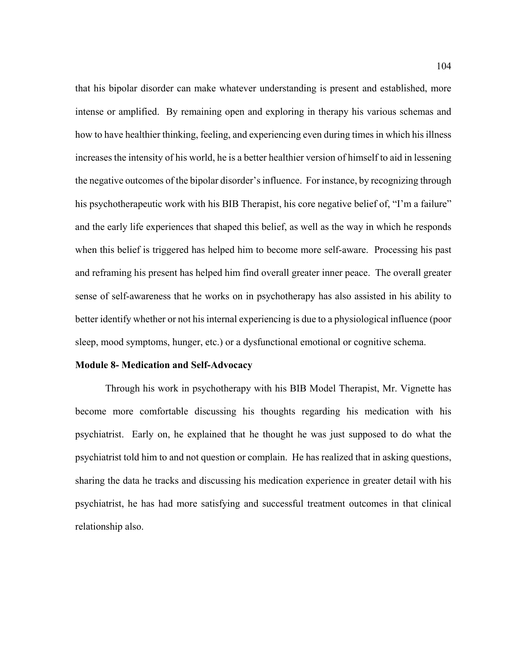that his bipolar disorder can make whatever understanding is present and established, more intense or amplified. By remaining open and exploring in therapy his various schemas and how to have healthier thinking, feeling, and experiencing even during times in which his illness increases the intensity of his world, he is a better healthier version of himself to aid in lessening the negative outcomes of the bipolar disorder's influence. For instance, by recognizing through his psychotherapeutic work with his BIB Therapist, his core negative belief of, "I'm a failure" and the early life experiences that shaped this belief, as well as the way in which he responds when this belief is triggered has helped him to become more self-aware. Processing his past and reframing his present has helped him find overall greater inner peace. The overall greater sense of self-awareness that he works on in psychotherapy has also assisted in his ability to better identify whether or not his internal experiencing is due to a physiological influence (poor sleep, mood symptoms, hunger, etc.) or a dysfunctional emotional or cognitive schema.

## **Module 8- Medication and Self-Advocacy**

Through his work in psychotherapy with his BIB Model Therapist, Mr. Vignette has become more comfortable discussing his thoughts regarding his medication with his psychiatrist. Early on, he explained that he thought he was just supposed to do what the psychiatrist told him to and not question or complain. He has realized that in asking questions, sharing the data he tracks and discussing his medication experience in greater detail with his psychiatrist, he has had more satisfying and successful treatment outcomes in that clinical relationship also.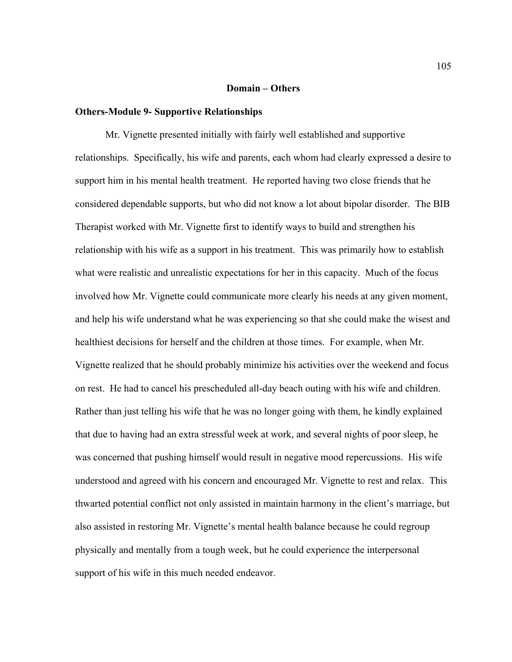#### **Domain – Others**

#### **Others-Module 9- Supportive Relationships**

Mr. Vignette presented initially with fairly well established and supportive relationships. Specifically, his wife and parents, each whom had clearly expressed a desire to support him in his mental health treatment. He reported having two close friends that he considered dependable supports, but who did not know a lot about bipolar disorder. The BIB Therapist worked with Mr. Vignette first to identify ways to build and strengthen his relationship with his wife as a support in his treatment. This was primarily how to establish what were realistic and unrealistic expectations for her in this capacity. Much of the focus involved how Mr. Vignette could communicate more clearly his needs at any given moment, and help his wife understand what he was experiencing so that she could make the wisest and healthiest decisions for herself and the children at those times. For example, when Mr. Vignette realized that he should probably minimize his activities over the weekend and focus on rest. He had to cancel his prescheduled all-day beach outing with his wife and children. Rather than just telling his wife that he was no longer going with them, he kindly explained that due to having had an extra stressful week at work, and several nights of poor sleep, he was concerned that pushing himself would result in negative mood repercussions. His wife understood and agreed with his concern and encouraged Mr. Vignette to rest and relax. This thwarted potential conflict not only assisted in maintain harmony in the client's marriage, but also assisted in restoring Mr. Vignette's mental health balance because he could regroup physically and mentally from a tough week, but he could experience the interpersonal support of his wife in this much needed endeavor.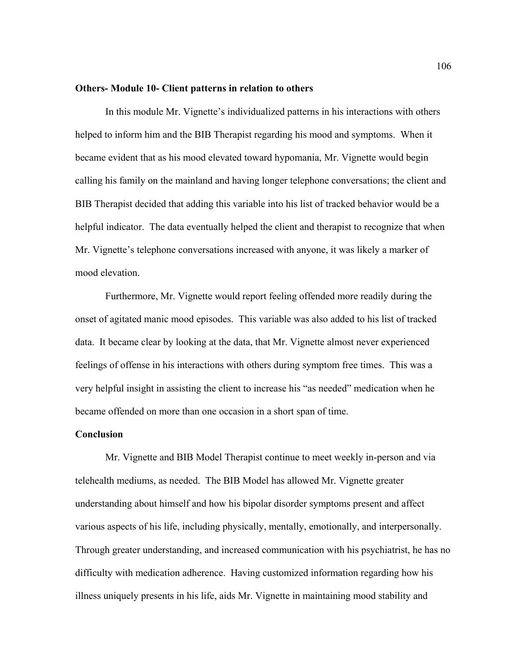#### **Others- Module 10- Client patterns in relation to others**

In this module Mr. Vignette's individualized patterns in his interactions with others helped to inform him and the BIB Therapist regarding his mood and symptoms. When it became evident that as his mood elevated toward hypomania, Mr. Vignette would begin calling his family on the mainland and having longer telephone conversations; the client and BIB Therapist decided that adding this variable into his list of tracked behavior would be a helpful indicator. The data eventually helped the client and therapist to recognize that when Mr. Vignette's telephone conversations increased with anyone, it was likely a marker of mood elevation.

Furthermore, Mr. Vignette would report feeling offended more readily during the onset of agitated manic mood episodes. This variable was also added to his list of tracked data. It became clear by looking at the data, that Mr. Vignette almost never experienced feelings of offense in his interactions with others during symptom free times. This was a very helpful insight in assisting the client to increase his "as needed" medication when he became offended on more than one occasion in a short span of time.

## **Conclusion**

Mr. Vignette and BIB Model Therapist continue to meet weekly in-person and via telehealth mediums, as needed. The BIB Model has allowed Mr. Vignette greater understanding about himself and how his bipolar disorder symptoms present and affect various aspects of his life, including physically, mentally, emotionally, and interpersonally. Through greater understanding, and increased communication with his psychiatrist, he has no difficulty with medication adherence. Having customized information regarding how his illness uniquely presents in his life, aids Mr. Vignette in maintaining mood stability and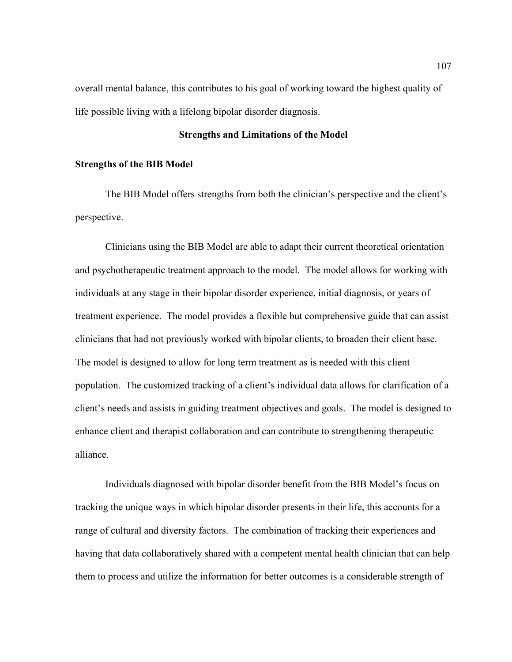overall mental balance, this contributes to his goal of working toward the highest quality of life possible living with a lifelong bipolar disorder diagnosis.

## **Strengths and Limitations of the Model**

## **Strengths of the BIB Model**

The BIB Model offers strengths from both the clinician's perspective and the client's perspective.

Clinicians using the BIB Model are able to adapt their current theoretical orientation and psychotherapeutic treatment approach to the model. The model allows for working with individuals at any stage in their bipolar disorder experience, initial diagnosis, or years of treatment experience. The model provides a flexible but comprehensive guide that can assist clinicians that had not previously worked with bipolar clients, to broaden their client base. The model is designed to allow for long term treatment as is needed with this client population. The customized tracking of a client's individual data allows for clarification of a client's needs and assists in guiding treatment objectives and goals. The model is designed to enhance client and therapist collaboration and can contribute to strengthening therapeutic alliance.

Individuals diagnosed with bipolar disorder benefit from the BIB Model's focus on tracking the unique ways in which bipolar disorder presents in their life, this accounts for a range of cultural and diversity factors. The combination of tracking their experiences and having that data collaboratively shared with a competent mental health clinician that can help them to process and utilize the information for better outcomes is a considerable strength of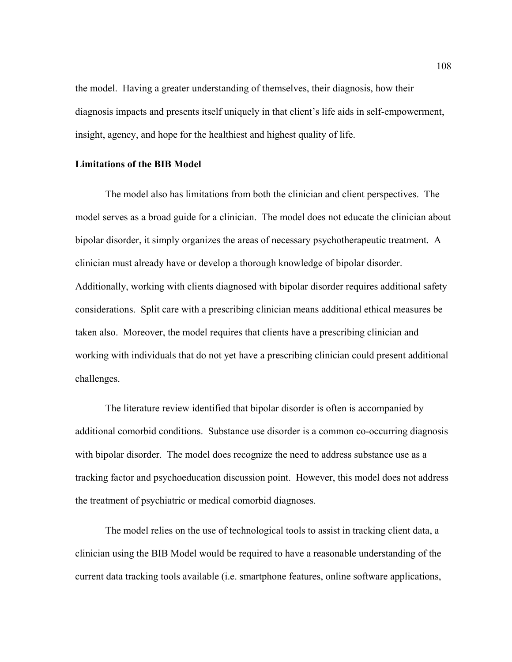the model. Having a greater understanding of themselves, their diagnosis, how their diagnosis impacts and presents itself uniquely in that client's life aids in self-empowerment, insight, agency, and hope for the healthiest and highest quality of life.

## **Limitations of the BIB Model**

The model also has limitations from both the clinician and client perspectives. The model serves as a broad guide for a clinician. The model does not educate the clinician about bipolar disorder, it simply organizes the areas of necessary psychotherapeutic treatment. A clinician must already have or develop a thorough knowledge of bipolar disorder. Additionally, working with clients diagnosed with bipolar disorder requires additional safety considerations. Split care with a prescribing clinician means additional ethical measures be taken also. Moreover, the model requires that clients have a prescribing clinician and working with individuals that do not yet have a prescribing clinician could present additional challenges.

The literature review identified that bipolar disorder is often is accompanied by additional comorbid conditions. Substance use disorder is a common co-occurring diagnosis with bipolar disorder. The model does recognize the need to address substance use as a tracking factor and psychoeducation discussion point. However, this model does not address the treatment of psychiatric or medical comorbid diagnoses.

The model relies on the use of technological tools to assist in tracking client data, a clinician using the BIB Model would be required to have a reasonable understanding of the current data tracking tools available (i.e. smartphone features, online software applications,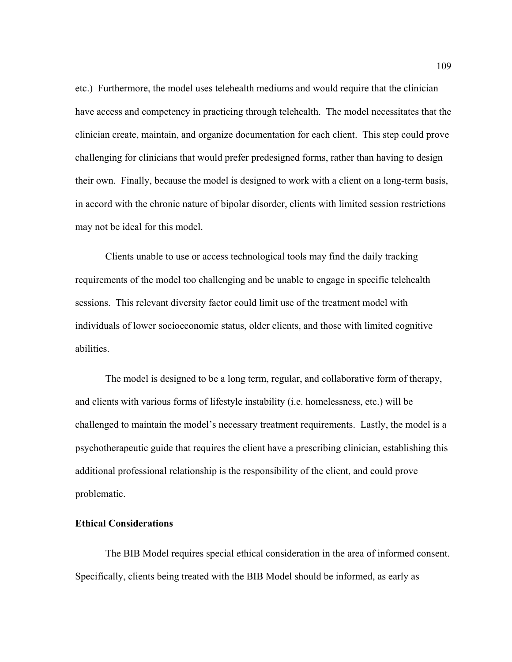etc.) Furthermore, the model uses telehealth mediums and would require that the clinician have access and competency in practicing through telehealth. The model necessitates that the clinician create, maintain, and organize documentation for each client. This step could prove challenging for clinicians that would prefer predesigned forms, rather than having to design their own. Finally, because the model is designed to work with a client on a long-term basis, in accord with the chronic nature of bipolar disorder, clients with limited session restrictions may not be ideal for this model.

Clients unable to use or access technological tools may find the daily tracking requirements of the model too challenging and be unable to engage in specific telehealth sessions. This relevant diversity factor could limit use of the treatment model with individuals of lower socioeconomic status, older clients, and those with limited cognitive abilities.

The model is designed to be a long term, regular, and collaborative form of therapy, and clients with various forms of lifestyle instability (i.e. homelessness, etc.) will be challenged to maintain the model's necessary treatment requirements. Lastly, the model is a psychotherapeutic guide that requires the client have a prescribing clinician, establishing this additional professional relationship is the responsibility of the client, and could prove problematic.

## **Ethical Considerations**

The BIB Model requires special ethical consideration in the area of informed consent. Specifically, clients being treated with the BIB Model should be informed, as early as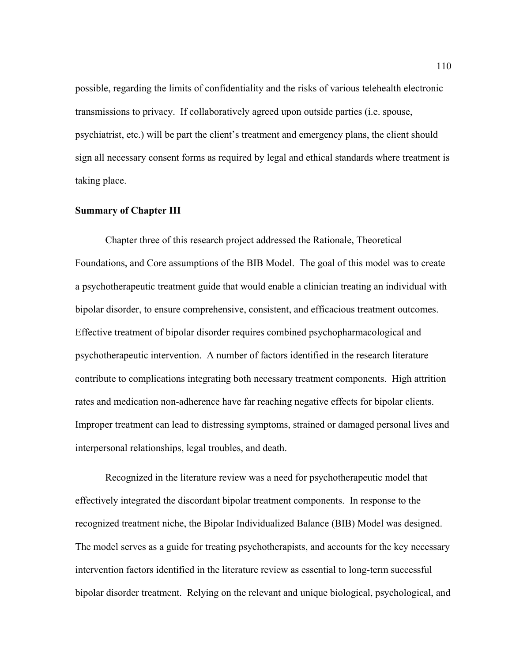possible, regarding the limits of confidentiality and the risks of various telehealth electronic transmissions to privacy. If collaboratively agreed upon outside parties (i.e. spouse, psychiatrist, etc.) will be part the client's treatment and emergency plans, the client should sign all necessary consent forms as required by legal and ethical standards where treatment is taking place.

#### **Summary of Chapter III**

Chapter three of this research project addressed the Rationale, Theoretical Foundations, and Core assumptions of the BIB Model. The goal of this model was to create a psychotherapeutic treatment guide that would enable a clinician treating an individual with bipolar disorder, to ensure comprehensive, consistent, and efficacious treatment outcomes. Effective treatment of bipolar disorder requires combined psychopharmacological and psychotherapeutic intervention. A number of factors identified in the research literature contribute to complications integrating both necessary treatment components. High attrition rates and medication non-adherence have far reaching negative effects for bipolar clients. Improper treatment can lead to distressing symptoms, strained or damaged personal lives and interpersonal relationships, legal troubles, and death.

Recognized in the literature review was a need for psychotherapeutic model that effectively integrated the discordant bipolar treatment components. In response to the recognized treatment niche, the Bipolar Individualized Balance (BIB) Model was designed. The model serves as a guide for treating psychotherapists, and accounts for the key necessary intervention factors identified in the literature review as essential to long-term successful bipolar disorder treatment. Relying on the relevant and unique biological, psychological, and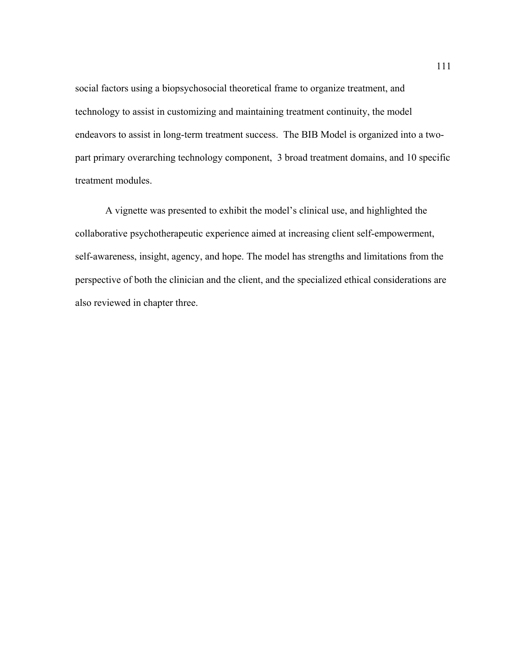social factors using a biopsychosocial theoretical frame to organize treatment, and technology to assist in customizing and maintaining treatment continuity, the model endeavors to assist in long-term treatment success. The BIB Model is organized into a twopart primary overarching technology component, 3 broad treatment domains, and 10 specific treatment modules.

A vignette was presented to exhibit the model's clinical use, and highlighted the collaborative psychotherapeutic experience aimed at increasing client self-empowerment, self-awareness, insight, agency, and hope. The model has strengths and limitations from the perspective of both the clinician and the client, and the specialized ethical considerations are also reviewed in chapter three.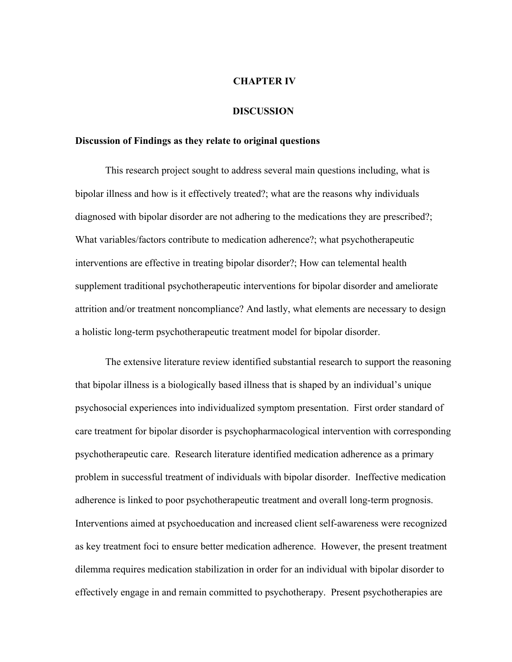#### **CHAPTER IV**

#### **DISCUSSION**

#### **Discussion of Findings as they relate to original questions**

This research project sought to address several main questions including, what is bipolar illness and how is it effectively treated?; what are the reasons why individuals diagnosed with bipolar disorder are not adhering to the medications they are prescribed?; What variables/factors contribute to medication adherence?; what psychotherapeutic interventions are effective in treating bipolar disorder?; How can telemental health supplement traditional psychotherapeutic interventions for bipolar disorder and ameliorate attrition and/or treatment noncompliance? And lastly, what elements are necessary to design a holistic long-term psychotherapeutic treatment model for bipolar disorder.

The extensive literature review identified substantial research to support the reasoning that bipolar illness is a biologically based illness that is shaped by an individual's unique psychosocial experiences into individualized symptom presentation. First order standard of care treatment for bipolar disorder is psychopharmacological intervention with corresponding psychotherapeutic care. Research literature identified medication adherence as a primary problem in successful treatment of individuals with bipolar disorder. Ineffective medication adherence is linked to poor psychotherapeutic treatment and overall long-term prognosis. Interventions aimed at psychoeducation and increased client self-awareness were recognized as key treatment foci to ensure better medication adherence. However, the present treatment dilemma requires medication stabilization in order for an individual with bipolar disorder to effectively engage in and remain committed to psychotherapy. Present psychotherapies are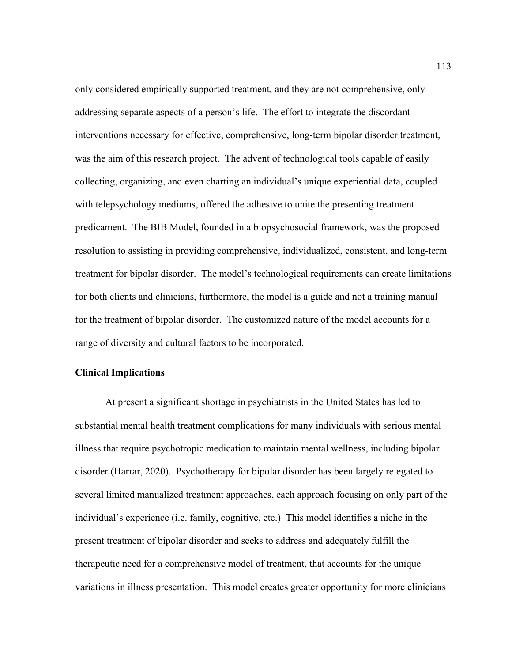only considered empirically supported treatment, and they are not comprehensive, only addressing separate aspects of a person's life. The effort to integrate the discordant interventions necessary for effective, comprehensive, long-term bipolar disorder treatment, was the aim of this research project. The advent of technological tools capable of easily collecting, organizing, and even charting an individual's unique experiential data, coupled with telepsychology mediums, offered the adhesive to unite the presenting treatment predicament. The BIB Model, founded in a biopsychosocial framework, was the proposed resolution to assisting in providing comprehensive, individualized, consistent, and long-term treatment for bipolar disorder. The model's technological requirements can create limitations for both clients and clinicians, furthermore, the model is a guide and not a training manual for the treatment of bipolar disorder. The customized nature of the model accounts for a range of diversity and cultural factors to be incorporated.

## **Clinical Implications**

At present a significant shortage in psychiatrists in the United States has led to substantial mental health treatment complications for many individuals with serious mental illness that require psychotropic medication to maintain mental wellness, including bipolar disorder (Harrar, 2020). Psychotherapy for bipolar disorder has been largely relegated to several limited manualized treatment approaches, each approach focusing on only part of the individual's experience (i.e. family, cognitive, etc.) This model identifies a niche in the present treatment of bipolar disorder and seeks to address and adequately fulfill the therapeutic need for a comprehensive model of treatment, that accounts for the unique variations in illness presentation. This model creates greater opportunity for more clinicians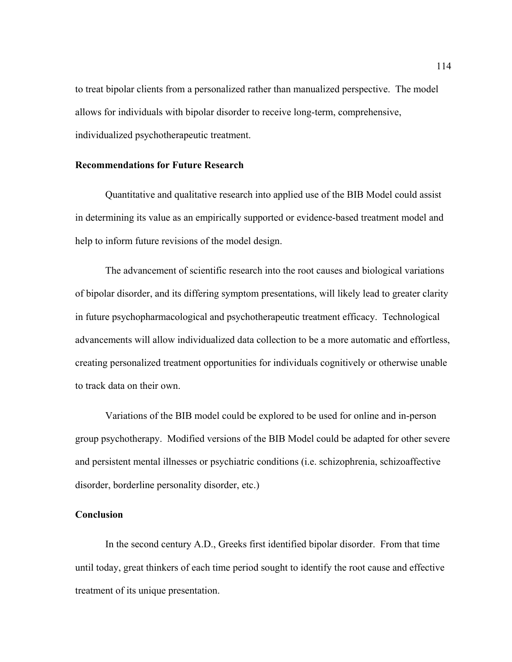to treat bipolar clients from a personalized rather than manualized perspective. The model allows for individuals with bipolar disorder to receive long-term, comprehensive, individualized psychotherapeutic treatment.

## **Recommendations for Future Research**

Quantitative and qualitative research into applied use of the BIB Model could assist in determining its value as an empirically supported or evidence-based treatment model and help to inform future revisions of the model design.

The advancement of scientific research into the root causes and biological variations of bipolar disorder, and its differing symptom presentations, will likely lead to greater clarity in future psychopharmacological and psychotherapeutic treatment efficacy. Technological advancements will allow individualized data collection to be a more automatic and effortless, creating personalized treatment opportunities for individuals cognitively or otherwise unable to track data on their own.

Variations of the BIB model could be explored to be used for online and in-person group psychotherapy. Modified versions of the BIB Model could be adapted for other severe and persistent mental illnesses or psychiatric conditions (i.e. schizophrenia, schizoaffective disorder, borderline personality disorder, etc.)

#### **Conclusion**

In the second century A.D., Greeks first identified bipolar disorder. From that time until today, great thinkers of each time period sought to identify the root cause and effective treatment of its unique presentation.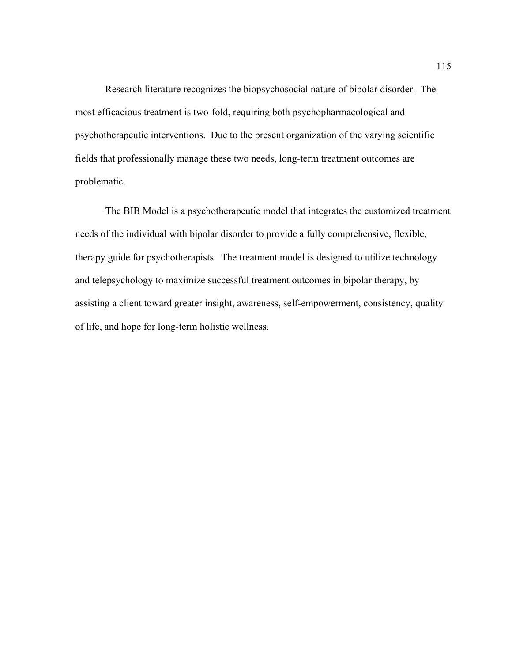Research literature recognizes the biopsychosocial nature of bipolar disorder. The most efficacious treatment is two-fold, requiring both psychopharmacological and psychotherapeutic interventions. Due to the present organization of the varying scientific fields that professionally manage these two needs, long-term treatment outcomes are problematic.

The BIB Model is a psychotherapeutic model that integrates the customized treatment needs of the individual with bipolar disorder to provide a fully comprehensive, flexible, therapy guide for psychotherapists. The treatment model is designed to utilize technology and telepsychology to maximize successful treatment outcomes in bipolar therapy, by assisting a client toward greater insight, awareness, self-empowerment, consistency, quality of life, and hope for long-term holistic wellness.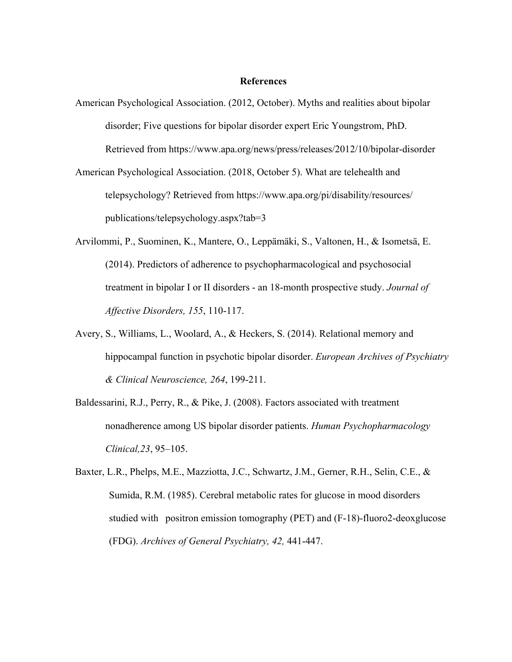#### **References**

- American Psychological Association. (2012, October). Myths and realities about bipolar disorder; Five questions for bipolar disorder expert Eric Youngstrom, PhD. Retrieved from https://www.apa.org/news/press/releases/2012/10/bipolar-disorder
- American Psychological Association. (2018, October 5). What are telehealth and telepsychology? Retrieved from https://www.apa.org/pi/disability/resources/ publications/telepsychology.aspx?tab=3
- Arvilommi, P., Suominen, K., Mantere, O., Leppämäki, S., Valtonen, H., & Isometsä, E. (2014). Predictors of adherence to psychopharmacological and psychosocial treatment in bipolar I or II disorders - an 18-month prospective study. *Journal of Affective Disorders, 155*, 110-117.
- Avery, S., Williams, L., Woolard, A., & Heckers, S. (2014). Relational memory and hippocampal function in psychotic bipolar disorder. *European Archives of Psychiatry & Clinical Neuroscience, 264*, 199-211.
- Baldessarini, R.J., Perry, R., & Pike, J. (2008). Factors associated with treatment nonadherence among US bipolar disorder patients. *Human Psychopharmacology Clinical,23*, 95–105.
- Baxter, L.R., Phelps, M.E., Mazziotta, J.C., Schwartz, J.M., Gerner, R.H., Selin, C.E., & Sumida, R.M. (1985). Cerebral metabolic rates for glucose in mood disorders studied with positron emission tomography (PET) and (F-18)-fluoro2-deoxglucose (FDG). *Archives of General Psychiatry, 42,* 441-447.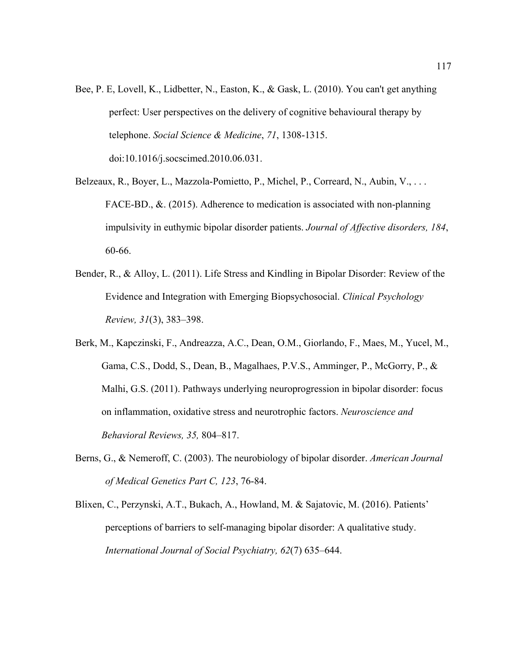- Bee, P. E, Lovell, K., Lidbetter, N., Easton, K., & Gask, L. (2010). You can't get anything perfect: User perspectives on the delivery of cognitive behavioural therapy by telephone. *Social Science & Medicine*, *71*, 1308-1315. doi:10.1016/j.socscimed.2010.06.031.
- Belzeaux, R., Boyer, L., Mazzola-Pomietto, P., Michel, P., Correard, N., Aubin, V., ... FACE-BD., &. (2015). Adherence to medication is associated with non-planning impulsivity in euthymic bipolar disorder patients. *Journal of Affective disorders, 184*, 60-66.
- Bender, R., & Alloy, L. (2011). Life Stress and Kindling in Bipolar Disorder: Review of the Evidence and Integration with Emerging Biopsychosocial. *Clinical Psychology Review, 31*(3), 383–398.
- Berk, M., Kapczinski, F., Andreazza, A.C., Dean, O.M., Giorlando, F., Maes, M., Yucel, M., Gama, C.S., Dodd, S., Dean, B., Magalhaes, P.V.S., Amminger, P., McGorry, P., & Malhi, G.S. (2011). Pathways underlying neuroprogression in bipolar disorder: focus on inflammation, oxidative stress and neurotrophic factors. *Neuroscience and Behavioral Reviews, 35,* 804–817.
- Berns, G., & Nemeroff, C. (2003). The neurobiology of bipolar disorder. *American Journal of Medical Genetics Part C, 123*, 76-84.
- Blixen, C., Perzynski, A.T., Bukach, A., Howland, M. & Sajatovic, M. (2016). Patients' perceptions of barriers to self-managing bipolar disorder: A qualitative study. *International Journal of Social Psychiatry, 62*(7) 635–644.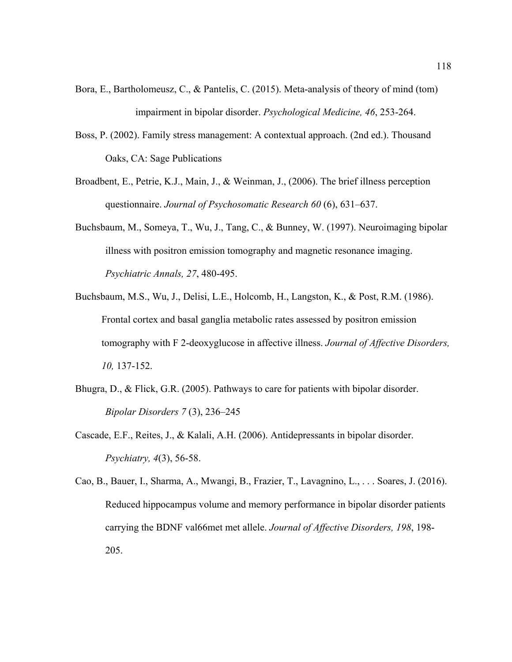- Bora, E., Bartholomeusz, C., & Pantelis, C. (2015). Meta-analysis of theory of mind (tom) impairment in bipolar disorder. *Psychological Medicine, 46*, 253-264.
- Boss, P. (2002). Family stress management: A contextual approach. (2nd ed.). Thousand Oaks, CA: Sage Publications
- Broadbent, E., Petrie, K.J., Main, J., & Weinman, J., (2006). The brief illness perception questionnaire. *Journal of Psychosomatic Research 60* (6), 631–637.
- Buchsbaum, M., Someya, T., Wu, J., Tang, C., & Bunney, W. (1997). Neuroimaging bipolar illness with positron emission tomography and magnetic resonance imaging. *Psychiatric Annals, 27*, 480-495.
- Buchsbaum, M.S., Wu, J., Delisi, L.E., Holcomb, H., Langston, K., & Post, R.M. (1986). Frontal cortex and basal ganglia metabolic rates assessed by positron emission tomography with F 2-deoxyglucose in affective illness. *Journal of Affective Disorders, 10,* 137-152.
- Bhugra, D., & Flick, G.R. (2005). Pathways to care for patients with bipolar disorder. *Bipolar Disorders 7* (3), 236–245
- Cascade, E.F., Reites, J., & Kalali, A.H. (2006). Antidepressants in bipolar disorder. *Psychiatry, 4*(3), 56-58.
- Cao, B., Bauer, I., Sharma, A., Mwangi, B., Frazier, T., Lavagnino, L., . . . Soares, J. (2016). Reduced hippocampus volume and memory performance in bipolar disorder patients carrying the BDNF val66met met allele. *Journal of Affective Disorders, 198*, 198- 205.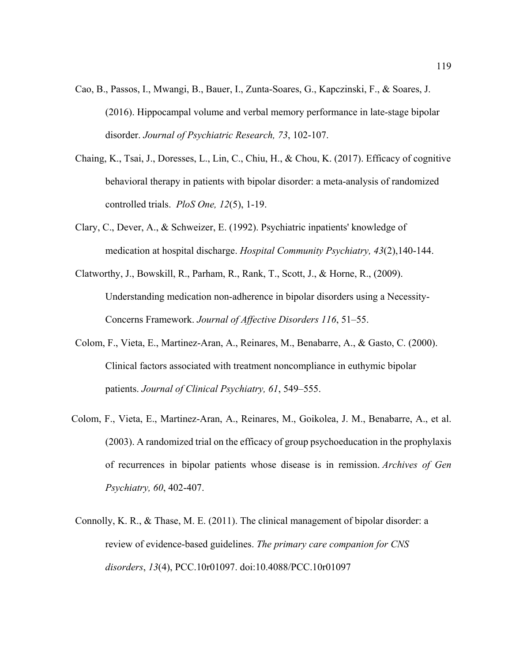- Cao, B., Passos, I., Mwangi, B., Bauer, I., Zunta-Soares, G., Kapczinski, F., & Soares, J. (2016). Hippocampal volume and verbal memory performance in late-stage bipolar disorder. *Journal of Psychiatric Research, 73*, 102-107.
- Chaing, K., Tsai, J., Doresses, L., Lin, C., Chiu, H., & Chou, K. (2017). Efficacy of cognitive behavioral therapy in patients with bipolar disorder: a meta-analysis of randomized controlled trials. *PloS One, 12*(5), 1-19.
- Clary, C., Dever, A., & Schweizer, E. (1992). Psychiatric inpatients' knowledge of medication at hospital discharge. *Hospital Community Psychiatry, 43*(2),140-144.
- Clatworthy, J., Bowskill, R., Parham, R., Rank, T., Scott, J., & Horne, R., (2009). Understanding medication non-adherence in bipolar disorders using a Necessity-Concerns Framework. *Journal of Affective Disorders 116*, 51–55.
- Colom, F., Vieta, E., Martinez-Aran, A., Reinares, M., Benabarre, A., & Gasto, C. (2000). Clinical factors associated with treatment noncompliance in euthymic bipolar patients. *Journal of Clinical Psychiatry, 61*, 549–555.
- Colom, F., Vieta, E., Martinez-Aran, A., Reinares, M., Goikolea, J. M., Benabarre, A., et al. (2003). A randomized trial on the efficacy of group psychoeducation in the prophylaxis of recurrences in bipolar patients whose disease is in remission. *Archives of Gen Psychiatry, 60*, 402-407.
- Connolly, K. R., & Thase, M. E. (2011). The clinical management of bipolar disorder: a review of evidence-based guidelines. *The primary care companion for CNS disorders*, *13*(4), PCC.10r01097. doi:10.4088/PCC.10r01097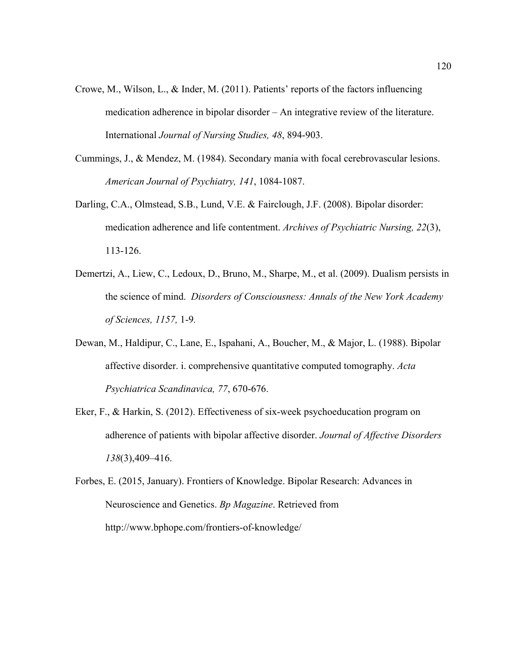- Crowe, M., Wilson, L., & Inder, M. (2011). Patients' reports of the factors influencing medication adherence in bipolar disorder – An integrative review of the literature. International *Journal of Nursing Studies, 48*, 894-903.
- Cummings, J., & Mendez, M. (1984). Secondary mania with focal cerebrovascular lesions. *American Journal of Psychiatry, 141*, 1084-1087.
- Darling, C.A., Olmstead, S.B., Lund, V.E. & Fairclough, J.F. (2008). Bipolar disorder: medication adherence and life contentment. *Archives of Psychiatric Nursing, 22*(3), 113-126.
- Demertzi, A., Liew, C., Ledoux, D., Bruno, M., Sharpe, M., et al. (2009). Dualism persists in the science of mind. *Disorders of Consciousness: Annals of the New York Academy of Sciences, 1157,* 1-9*.*
- Dewan, M., Haldipur, C., Lane, E., Ispahani, A., Boucher, M., & Major, L. (1988). Bipolar affective disorder. i. comprehensive quantitative computed tomography. *Acta Psychiatrica Scandinavica, 77*, 670-676.
- Eker, F., & Harkin, S. (2012). Effectiveness of six-week psychoeducation program on adherence of patients with bipolar affective disorder. *Journal of Affective Disorders 138*(3),409–416.
- Forbes, E. (2015, January). Frontiers of Knowledge. Bipolar Research: Advances in Neuroscience and Genetics. *Bp Magazine*. Retrieved from http://www.bphope.com/frontiers-of-knowledge/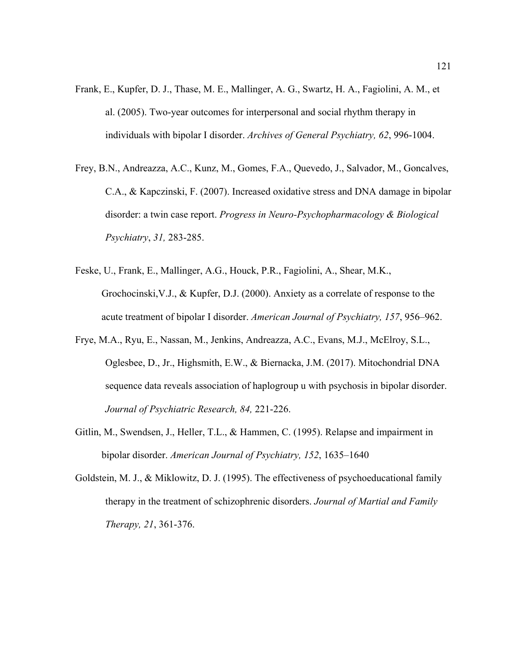- Frank, E., Kupfer, D. J., Thase, M. E., Mallinger, A. G., Swartz, H. A., Fagiolini, A. M., et al. (2005). Two-year outcomes for interpersonal and social rhythm therapy in individuals with bipolar I disorder. *Archives of General Psychiatry, 62*, 996-1004.
- Frey, B.N., Andreazza, A.C., Kunz, M., Gomes, F.A., Quevedo, J., Salvador, M., Goncalves, C.A., & Kapczinski, F. (2007). Increased oxidative stress and DNA damage in bipolar disorder: a twin case report. *Progress in Neuro-Psychopharmacology & Biological Psychiatry*, *31,* 283-285.
- Feske, U., Frank, E., Mallinger, A.G., Houck, P.R., Fagiolini, A., Shear, M.K., Grochocinski,V.J., & Kupfer, D.J. (2000). Anxiety as a correlate of response to the acute treatment of bipolar I disorder. *American Journal of Psychiatry, 157*, 956–962.
- Frye, M.A., Ryu, E., Nassan, M., Jenkins, Andreazza, A.C., Evans, M.J., McElroy, S.L., Oglesbee, D., Jr., Highsmith, E.W., & Biernacka, J.M. (2017). Mitochondrial DNA sequence data reveals association of haplogroup u with psychosis in bipolar disorder. *Journal of Psychiatric Research, 84,* 221-226.
- Gitlin, M., Swendsen, J., Heller, T.L., & Hammen, C. (1995). Relapse and impairment in bipolar disorder. *American Journal of Psychiatry, 152*, 1635–1640
- Goldstein, M. J., & Miklowitz, D. J. (1995). The effectiveness of psychoeducational family therapy in the treatment of schizophrenic disorders. *Journal of Martial and Family Therapy, 21*, 361-376.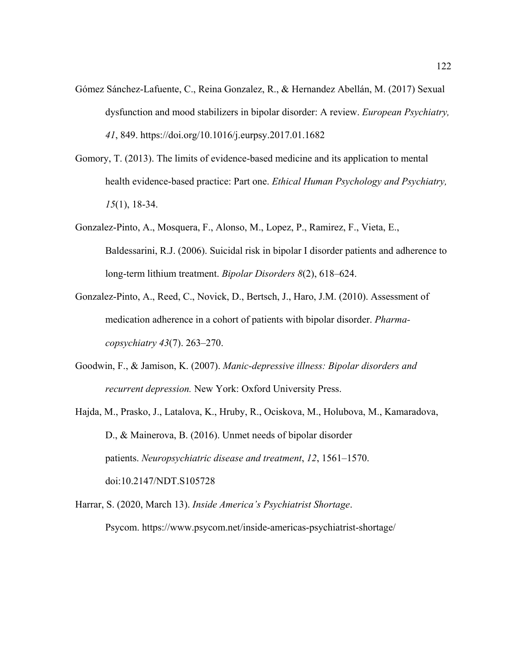- Gómez Sánchez-Lafuente, C., Reina Gonzalez, R., & Hernandez Abellán, M. (2017) Sexual dysfunction and mood stabilizers in bipolar disorder: A review. *European Psychiatry, 41*, 849. https://doi.org/10.1016/j.eurpsy.2017.01.1682
- Gomory, T. (2013). The limits of evidence-based medicine and its application to mental health evidence-based practice: Part one. *Ethical Human Psychology and Psychiatry, 15*(1), 18-34.
- Gonzalez-Pinto, A., Mosquera, F., Alonso, M., Lopez, P., Ramirez, F., Vieta, E., Baldessarini, R.J. (2006). Suicidal risk in bipolar I disorder patients and adherence to long-term lithium treatment. *Bipolar Disorders 8*(2), 618–624.
- Gonzalez-Pinto, A., Reed, C., Novick, D., Bertsch, J., Haro, J.M. (2010). Assessment of medication adherence in a cohort of patients with bipolar disorder. *Pharmacopsychiatry 43*(7). 263–270.
- Goodwin, F., & Jamison, K. (2007). *Manic-depressive illness: Bipolar disorders and recurrent depression.* New York: Oxford University Press.
- Hajda, M., Prasko, J., Latalova, K., Hruby, R., Ociskova, M., Holubova, M., Kamaradova, D., & Mainerova, B. (2016). Unmet needs of bipolar disorder patients. *Neuropsychiatric disease and treatment*, *12*, 1561–1570. doi:10.2147/NDT.S105728
- Harrar, S. (2020, March 13). *Inside America's Psychiatrist Shortage*. Psycom. https://www.psycom.net/inside-americas-psychiatrist-shortage/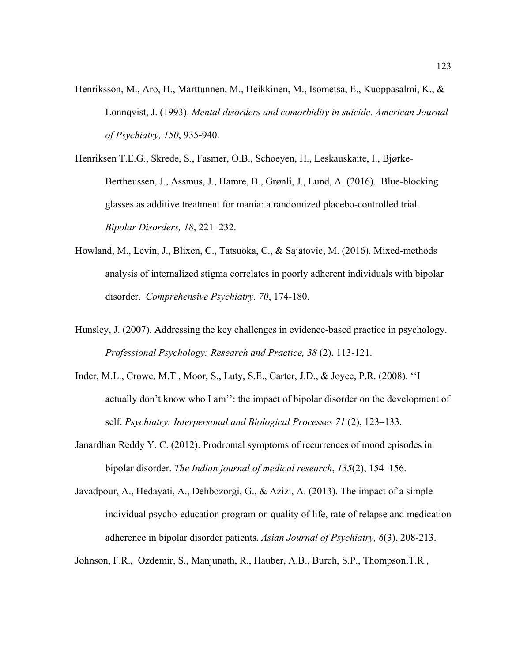- Henriksson, M., Aro, H., Marttunnen, M., Heikkinen, M., Isometsa, E., Kuoppasalmi, K., & Lonnqvist, J. (1993). *Mental disorders and comorbidity in suicide. American Journal of Psychiatry, 150*, 935-940.
- Henriksen T.E.G., Skrede, S., Fasmer, O.B., Schoeyen, H., Leskauskaite, I., Bjørke-Bertheussen, J., Assmus, J., Hamre, B., Grønli, J., Lund, A. (2016). Blue-blocking glasses as additive treatment for mania: a randomized placebo-controlled trial. *Bipolar Disorders, 18*, 221–232.
- Howland, M., Levin, J., Blixen, C., Tatsuoka, C., & Sajatovic, M. (2016). Mixed-methods analysis of internalized stigma correlates in poorly adherent individuals with bipolar disorder. *Comprehensive Psychiatry. 70*, 174-180.
- Hunsley, J. (2007). Addressing the key challenges in evidence-based practice in psychology. *Professional Psychology: Research and Practice, 38* (2), 113-121.
- Inder, M.L., Crowe, M.T., Moor, S., Luty, S.E., Carter, J.D., & Joyce, P.R. (2008). ''I actually don't know who I am'': the impact of bipolar disorder on the development of self. *Psychiatry: Interpersonal and Biological Processes 71* (2), 123–133.
- Janardhan Reddy Y. C. (2012). Prodromal symptoms of recurrences of mood episodes in bipolar disorder. *The Indian journal of medical research*, *135*(2), 154–156.
- Javadpour, A., Hedayati, A., Dehbozorgi, G., & Azizi, A. (2013). The impact of a simple individual psycho-education program on quality of life, rate of relapse and medication adherence in bipolar disorder patients. *Asian Journal of Psychiatry, 6*(3), 208-213.

Johnson, F.R., Ozdemir, S., Manjunath, R., Hauber, A.B., Burch, S.P., Thompson,T.R.,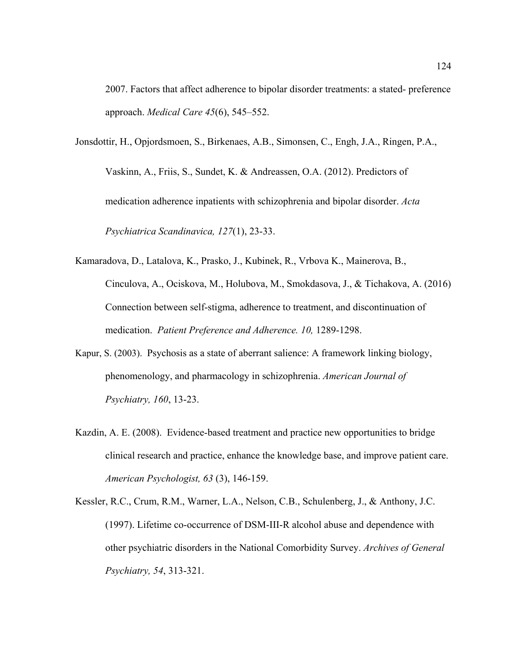2007. Factors that affect adherence to bipolar disorder treatments: a stated- preference approach. *Medical Care 45*(6), 545–552.

Jonsdottir, H., Opjordsmoen, S., Birkenaes, A.B., Simonsen, C., Engh, J.A., Ringen, P.A.,

Vaskinn, A., Friis, S., Sundet, K. & Andreassen, O.A. (2012). Predictors of medication adherence inpatients with schizophrenia and bipolar disorder. *Acta Psychiatrica Scandinavica, 127*(1), 23-33.

- Kamaradova, D., Latalova, K., Prasko, J., Kubinek, R., Vrbova K., Mainerova, B., Cinculova, A., Ociskova, M., Holubova, M., Smokdasova, J., & Tichakova, A. (2016) Connection between self-stigma, adherence to treatment, and discontinuation of medication. *Patient Preference and Adherence. 10,* 1289-1298.
- Kapur, S. (2003). Psychosis as a state of aberrant salience: A framework linking biology, phenomenology, and pharmacology in schizophrenia. *American Journal of Psychiatry, 160*, 13-23.
- Kazdin, A. E. (2008). Evidence-based treatment and practice new opportunities to bridge clinical research and practice, enhance the knowledge base, and improve patient care. *American Psychologist, 63* (3), 146-159.

Kessler, R.C., Crum, R.M., Warner, L.A., Nelson, C.B., Schulenberg, J., & Anthony, J.C. (1997). Lifetime co-occurrence of DSM-III-R alcohol abuse and dependence with other psychiatric disorders in the National Comorbidity Survey. *Archives of General Psychiatry, 54*, 313-321.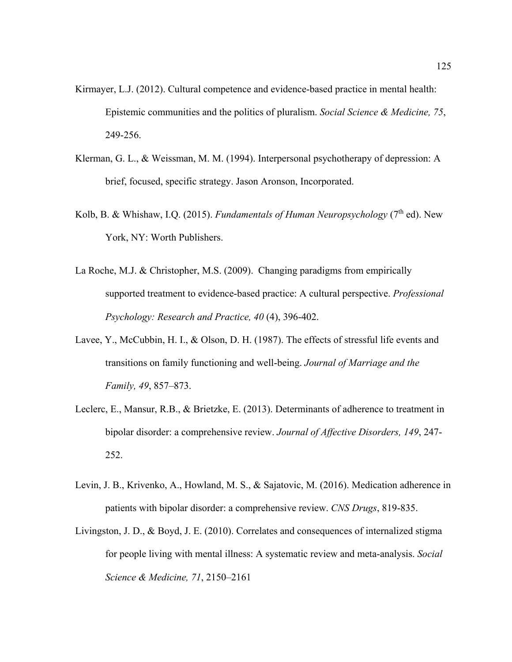- Kirmayer, L.J. (2012). Cultural competence and evidence-based practice in mental health: Epistemic communities and the politics of pluralism. *Social Science & Medicine, 75*, 249-256.
- Klerman, G. L., & Weissman, M. M. (1994). Interpersonal psychotherapy of depression: A brief, focused, specific strategy. Jason Aronson, Incorporated.
- Kolb, B. & Whishaw, I.Q. (2015). *Fundamentals of Human Neuropsychology* (7<sup>th</sup> ed). New York, NY: Worth Publishers.
- La Roche, M.J. & Christopher, M.S. (2009). Changing paradigms from empirically supported treatment to evidence-based practice: A cultural perspective. *Professional Psychology: Research and Practice, 40* (4), 396-402.
- Lavee, Y., McCubbin, H. I., & Olson, D. H. (1987). The effects of stressful life events and transitions on family functioning and well-being. *Journal of Marriage and the Family, 49*, 857–873.
- Leclerc, E., Mansur, R.B., & Brietzke, E. (2013). Determinants of adherence to treatment in bipolar disorder: a comprehensive review. *Journal of Affective Disorders, 149*, 247- 252.
- Levin, J. B., Krivenko, A., Howland, M. S., & Sajatovic, M. (2016). Medication adherence in patients with bipolar disorder: a comprehensive review. *CNS Drugs*, 819-835.
- Livingston, J. D., & Boyd, J. E. (2010). Correlates and consequences of internalized stigma for people living with mental illness: A systematic review and meta-analysis. *Social Science & Medicine, 71*, 2150–2161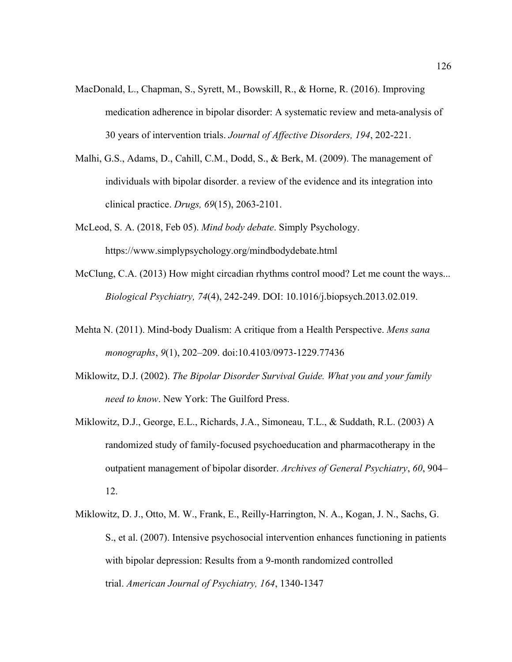- MacDonald, L., Chapman, S., Syrett, M., Bowskill, R., & Horne, R. (2016). Improving medication adherence in bipolar disorder: A systematic review and meta-analysis of 30 years of intervention trials. *Journal of Affective Disorders, 194*, 202-221.
- Malhi, G.S., Adams, D., Cahill, C.M., Dodd, S., & Berk, M. (2009). The management of individuals with bipolar disorder. a review of the evidence and its integration into clinical practice. *Drugs, 69*(15), 2063-2101.
- McLeod, S. A. (2018, Feb 05). *Mind body debate*. Simply Psychology. https://www.simplypsychology.org/mindbodydebate.html
- McClung, C.A. (2013) How might circadian rhythms control mood? Let me count the ways... *Biological Psychiatry, 74*(4), 242-249. DOI: 10.1016/j.biopsych.2013.02.019.
- Mehta N. (2011). Mind-body Dualism: A critique from a Health Perspective. *Mens sana monographs*, *9*(1), 202–209. doi:10.4103/0973-1229.77436
- Miklowitz, D.J. (2002). *The Bipolar Disorder Survival Guide. What you and your family need to know*. New York: The Guilford Press.
- Miklowitz, D.J., George, E.L., Richards, J.A., Simoneau, T.L., & Suddath, R.L. (2003) A randomized study of family-focused psychoeducation and pharmacotherapy in the outpatient management of bipolar disorder. *Archives of General Psychiatry*, *60*, 904– 12.
- Miklowitz, D. J., Otto, M. W., Frank, E., Reilly-Harrington, N. A., Kogan, J. N., Sachs, G. S., et al. (2007). Intensive psychosocial intervention enhances functioning in patients with bipolar depression: Results from a 9-month randomized controlled trial. *American Journal of Psychiatry, 164*, 1340-1347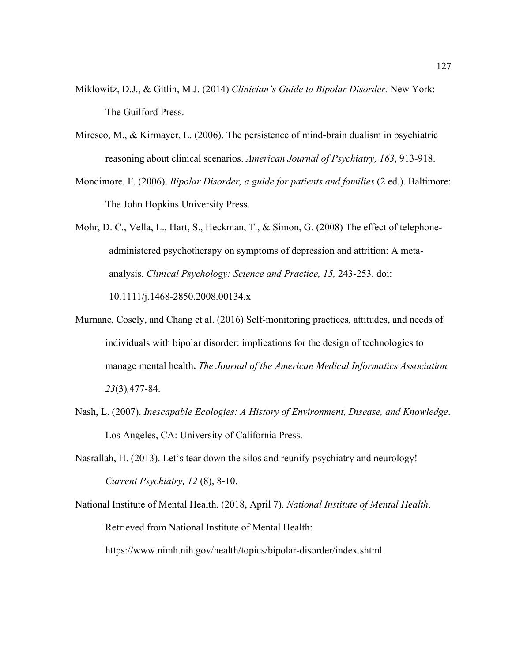- Miklowitz, D.J., & Gitlin, M.J. (2014) *Clinician's Guide to Bipolar Disorder.* New York: The Guilford Press.
- Miresco, M., & Kirmayer, L. (2006). The persistence of mind-brain dualism in psychiatric reasoning about clinical scenarios. *American Journal of Psychiatry, 163*, 913-918.
- Mondimore, F. (2006). *Bipolar Disorder, a guide for patients and families* (2 ed.). Baltimore: The John Hopkins University Press.
- Mohr, D. C., Vella, L., Hart, S., Heckman, T., & Simon, G. (2008) The effect of telephoneadministered psychotherapy on symptoms of depression and attrition: A metaanalysis. *Clinical Psychology: Science and Practice, 15,* 243-253. doi: 10.1111/j.1468-2850.2008.00134.x
- Murnane, Cosely, and Chang et al. (2016) Self-monitoring practices, attitudes, and needs of individuals with bipolar disorder: implications for the design of technologies to manage mental health**.** *The Journal of the American Medical Informatics Association, 23*(3)*,*477-84.
- Nash, L. (2007). *Inescapable Ecologies: A History of Environment, Disease, and Knowledge*. Los Angeles, CA: University of California Press.
- Nasrallah, H. (2013). Let's tear down the silos and reunify psychiatry and neurology! *Current Psychiatry, 12* (8), 8-10.
- National Institute of Mental Health. (2018, April 7). *National Institute of Mental Health*. Retrieved from National Institute of Mental Health:

https://www.nimh.nih.gov/health/topics/bipolar-disorder/index.shtml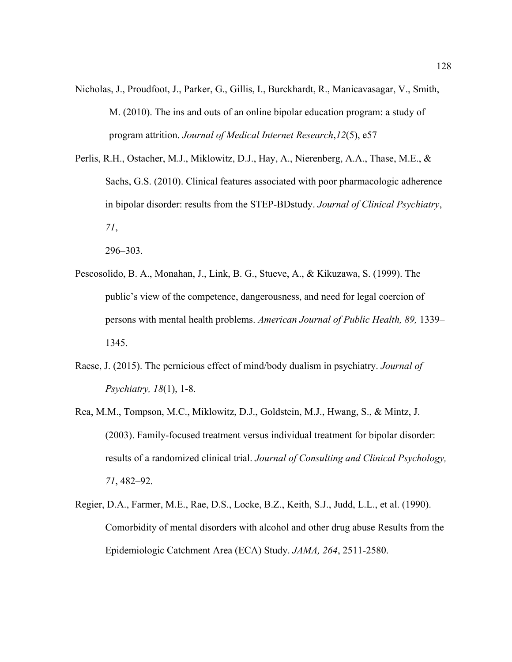- Nicholas, J., Proudfoot, J., Parker, G., Gillis, I., Burckhardt, R., Manicavasagar, V., Smith, M. (2010). The ins and outs of an online bipolar education program: a study of program attrition. *Journal of Medical Internet Research*,*12*(5), e57
- Perlis, R.H., Ostacher, M.J., Miklowitz, D.J., Hay, A., Nierenberg, A.A., Thase, M.E., & Sachs, G.S. (2010). Clinical features associated with poor pharmacologic adherence in bipolar disorder: results from the STEP-BDstudy. *Journal of Clinical Psychiatry*, *71*,
	- 296–303.
- Pescosolido, B. A., Monahan, J., Link, B. G., Stueve, A., & Kikuzawa, S. (1999). The public's view of the competence, dangerousness, and need for legal coercion of persons with mental health problems. *American Journal of Public Health, 89,* 1339– 1345.
- Raese, J. (2015). The pernicious effect of mind/body dualism in psychiatry. *Journal of Psychiatry, 18*(1), 1-8.
- Rea, M.M., Tompson, M.C., Miklowitz, D.J., Goldstein, M.J., Hwang, S., & Mintz, J. (2003). Family-focused treatment versus individual treatment for bipolar disorder: results of a randomized clinical trial. *Journal of Consulting and Clinical Psychology, 71*, 482–92.
- Regier, D.A., Farmer, M.E., Rae, D.S., Locke, B.Z., Keith, S.J., Judd, L.L., et al. (1990). Comorbidity of mental disorders with alcohol and other drug abuse Results from the Epidemiologic Catchment Area (ECA) Study. *JAMA, 264*, 2511-2580.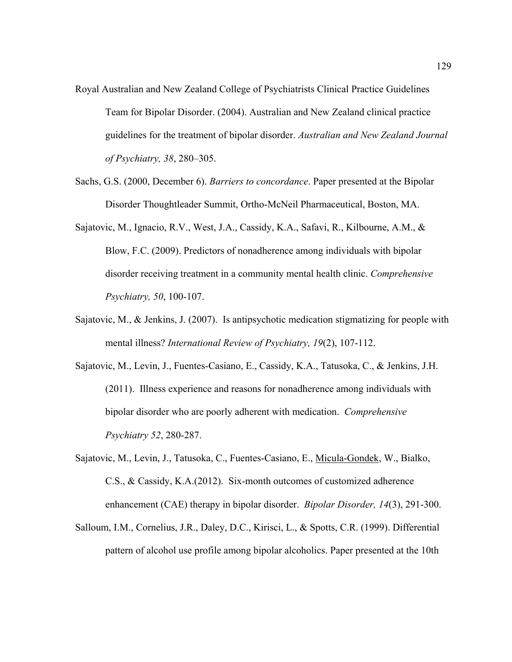- Royal Australian and New Zealand College of Psychiatrists Clinical Practice Guidelines Team for Bipolar Disorder. (2004). Australian and New Zealand clinical practice guidelines for the treatment of bipolar disorder. *Australian and New Zealand Journal of Psychiatry, 38*, 280–305.
- Sachs, G.S. (2000, December 6). *Barriers to concordance*. Paper presented at the Bipolar Disorder Thoughtleader Summit, Ortho-McNeil Pharmaceutical, Boston, MA.
- Sajatovic, M., Ignacio, R.V., West, J.A., Cassidy, K.A., Safavi, R., Kilbourne, A.M., & Blow, F.C. (2009). Predictors of nonadherence among individuals with bipolar disorder receiving treatment in a community mental health clinic. *Comprehensive Psychiatry, 50*, 100-107.
- Sajatovic, M., & Jenkins, J. (2007). Is antipsychotic medication stigmatizing for people with mental illness? *International Review of Psychiatry, 19*(2), 107-112.
- Sajatovic, M., Levin, J., Fuentes-Casiano, E., Cassidy, K.A., Tatusoka, C., & Jenkins, J.H. (2011). Illness experience and reasons for nonadherence among individuals with bipolar disorder who are poorly adherent with medication. *Comprehensive Psychiatry 52*, 280-287.
- Sajatovic, M., Levin, J., Tatusoka, C., Fuentes-Casiano, E., [Micula-Gondek,](https://www.ncbi.nlm.nih.gov/pubmed/?term=Micula-Gondek%20W%5BAuthor%5D&cauthor=true&cauthor_uid=22548902) W., Bialko, C.S., & Cassidy, K.A.(2012). Six-month outcomes of customized adherence enhancement (CAE) therapy in bipolar disorder. *Bipolar Disorder, 14*(3), 291-300.
- Salloum, I.M., Cornelius, J.R., Daley, D.C., Kirisci, L., & Spotts, C.R. (1999). Differential pattern of alcohol use profile among bipolar alcoholics. Paper presented at the 10th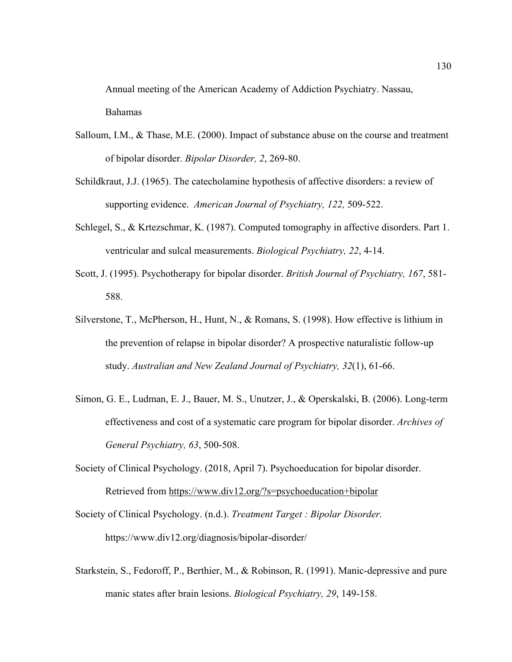Annual meeting of the American Academy of Addiction Psychiatry. Nassau, Bahamas

- Salloum, I.M., & Thase, M.E. (2000). Impact of substance abuse on the course and treatment of bipolar disorder. *Bipolar Disorder, 2*, 269-80.
- Schildkraut, J.J. (1965). The catecholamine hypothesis of affective disorders: a review of supporting evidence. *American Journal of Psychiatry, 122,* 509-522.
- Schlegel, S., & Krtezschmar, K. (1987). Computed tomography in affective disorders. Part 1. ventricular and sulcal measurements. *Biological Psychiatry, 22*, 4-14.
- Scott, J. (1995). Psychotherapy for bipolar disorder. *British Journal of Psychiatry, 167*, 581- 588.
- Silverstone, T., McPherson, H., Hunt, N., & Romans, S. (1998). How effective is lithium in the prevention of relapse in bipolar disorder? A prospective naturalistic follow-up study. *Australian and New Zealand Journal of Psychiatry, 32*(1), 61-66.
- Simon, G. E., Ludman, E. J., Bauer, M. S., Unutzer, J., & Operskalski, B. (2006). Long-term effectiveness and cost of a systematic care program for bipolar disorder. *Archives of General Psychiatry, 63*, 500-508.
- Society of Clinical Psychology. (2018, April 7). Psychoeducation for bipolar disorder. Retrieved from https://www.div12.org/?s=psychoeducation+bipolar
- Society of Clinical Psychology. (n.d.). *Treatment Target : Bipolar Disorder.*  https://www.div12.org/diagnosis/bipolar-disorder/
- Starkstein, S., Fedoroff, P., Berthier, M., & Robinson, R. (1991). Manic-depressive and pure manic states after brain lesions. *Biological Psychiatry, 29*, 149-158.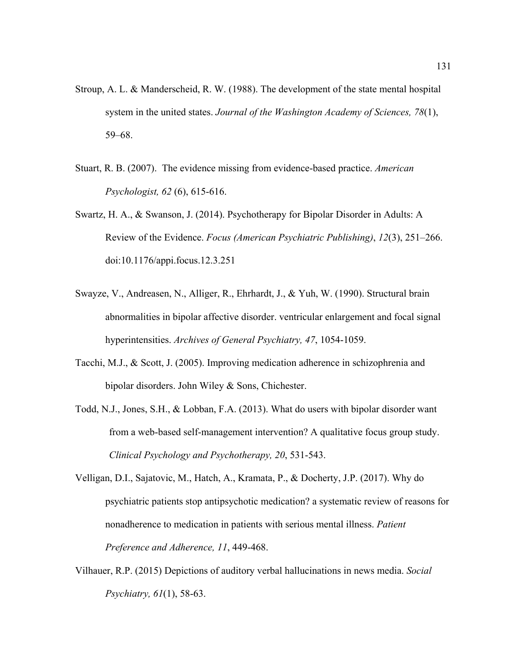- Stroup, A. L. & Manderscheid, R. W. (1988). The development of the state mental hospital system in the united states. *Journal of the Washington Academy of Sciences, 78*(1), 59–68.
- Stuart, R. B. (2007). The evidence missing from evidence-based practice. *American Psychologist, 62* (6), 615-616.
- Swartz, H. A., & Swanson, J. (2014). Psychotherapy for Bipolar Disorder in Adults: A Review of the Evidence. *Focus (American Psychiatric Publishing)*, *12*(3), 251–266. doi:10.1176/appi.focus.12.3.251
- Swayze, V., Andreasen, N., Alliger, R., Ehrhardt, J., & Yuh, W. (1990). Structural brain abnormalities in bipolar affective disorder. ventricular enlargement and focal signal hyperintensities. *Archives of General Psychiatry, 47*, 1054-1059.
- Tacchi, M.J., & Scott, J. (2005). Improving medication adherence in schizophrenia and bipolar disorders. John Wiley & Sons, Chichester.
- Todd, N.J., Jones, S.H., & Lobban, F.A. (2013). What do users with bipolar disorder want from a web-based self-management intervention? A qualitative focus group study. *Clinical Psychology and Psychotherapy, 20*, 531-543.
- Velligan, D.I., Sajatovic, M., Hatch, A., Kramata, P., & Docherty, J.P. (2017). Why do psychiatric patients stop antipsychotic medication? a systematic review of reasons for nonadherence to medication in patients with serious mental illness. *Patient Preference and Adherence, 11*, 449-468.
- Vilhauer, R.P. (2015) Depictions of auditory verbal hallucinations in news media. *Social Psychiatry, 61*(1), 58-63.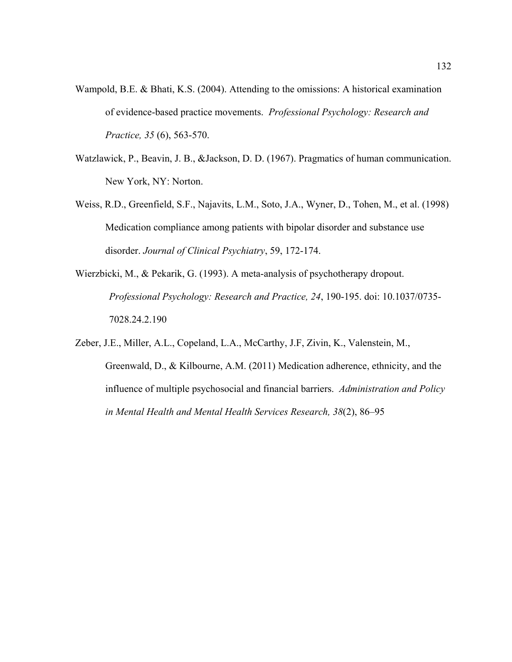- Wampold, B.E. & Bhati, K.S. (2004). Attending to the omissions: A historical examination of evidence-based practice movements. *Professional Psychology: Research and Practice, 35* (6), 563-570.
- Watzlawick, P., Beavin, J. B., &Jackson, D. D. (1967). Pragmatics of human communication. New York, NY: Norton.
- Weiss, R.D., Greenfield, S.F., Najavits, L.M., Soto, J.A., Wyner, D., Tohen, M., et al. (1998) Medication compliance among patients with bipolar disorder and substance use disorder. *Journal of Clinical Psychiatry*, 59, 172-174.
- Wierzbicki, M., & Pekarik, G. (1993). A meta-analysis of psychotherapy dropout. *Professional Psychology: Research and Practice, 24*, 190-195. doi: 10.1037/0735- 7028.24.2.190
- Zeber, J.E., Miller, A.L., Copeland, L.A., McCarthy, J.F, Zivin, K., Valenstein, M., Greenwald, D., & Kilbourne, A.M. (2011) Medication adherence, ethnicity, and the influence of multiple psychosocial and financial barriers. *Administration and Policy in Mental Health and Mental Health Services Research, 38*(2), 86–95